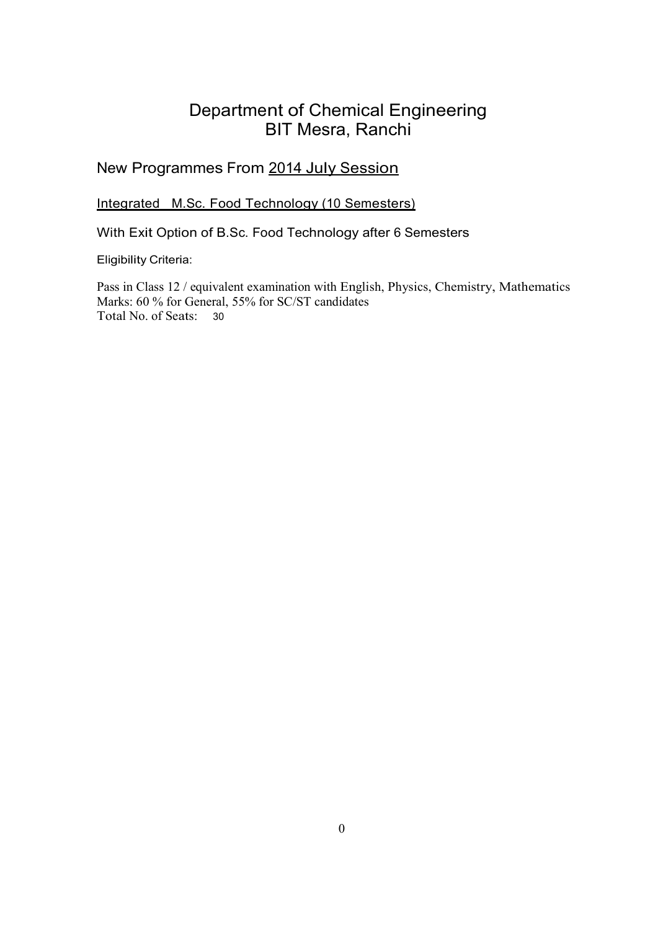# Department of Chemical Engineering BIT Mesra, Ranchi

# New Programmes From 2014 July Session

Integrated M.Sc. Food Technology (10 Semesters)

With Exit Option of B.Sc. Food Technology after 6 Semesters

Eligibility Criteria:

Pass in Class 12 / equivalent examination with English, Physics, Chemistry, Mathematics Marks: 60 % for General, 55% for SC/ST candidates Total No. of Seats: <sup>30</sup>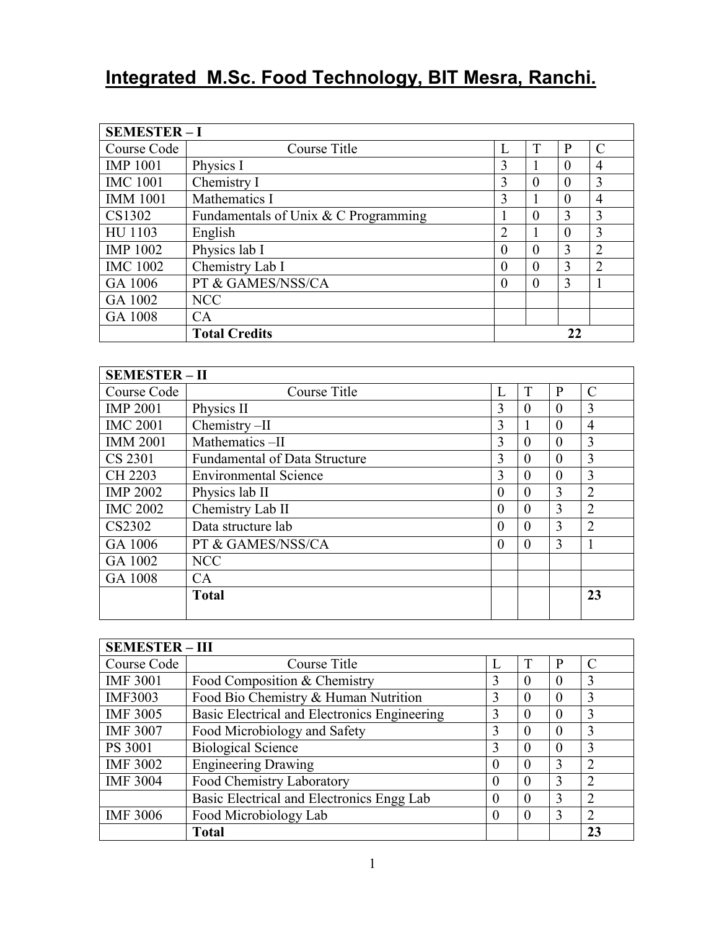# **Integrated M.Sc. Food Technology, BIT Mesra, Ranchi.**

| <b>SEMESTER-I</b> |                                      |                |   |          |                |
|-------------------|--------------------------------------|----------------|---|----------|----------------|
| Course Code       | Course Title                         | L              |   | P        | C              |
| <b>IMP 1001</b>   | Physics I                            | 3              |   | $\theta$ | 4              |
| <b>IMC 1001</b>   | Chemistry I                          | 3              | 0 | 0        | 3              |
| <b>IMM 1001</b>   | Mathematics I                        | 3              |   | $\theta$ | 4              |
| CS1302            | Fundamentals of Unix & C Programming |                | 0 | 3        | 3              |
| HU 1103           | English                              | $\overline{2}$ |   | 0        | 3              |
| <b>IMP 1002</b>   | Physics lab I                        | $\theta$       | 0 | 3        | $\overline{2}$ |
| <b>IMC 1002</b>   | Chemistry Lab I                      | $\theta$       | 0 | 3        | 2              |
| GA 1006           | PT & GAMES/NSS/CA                    | $\theta$       | 0 | 3        |                |
| GA 1002           | <b>NCC</b>                           |                |   |          |                |
| GA 1008           | CA                                   |                |   |          |                |
|                   | <b>Total Credits</b>                 | 22             |   |          |                |

| <b>SEMESTER - II</b> |                                      |          |          |          |                |  |  |
|----------------------|--------------------------------------|----------|----------|----------|----------------|--|--|
| Course Code          | Course Title                         | L        | T        | P        | C              |  |  |
| <b>IMP 2001</b>      | Physics II                           | 3        | $\Omega$ | $\theta$ | 3              |  |  |
| <b>IMC 2001</b>      | Chemistry-II                         | 3        |          | $\theta$ | 4              |  |  |
| <b>IMM 2001</b>      | Mathematics-II                       | 3        | $\theta$ | $\theta$ | 3              |  |  |
| CS 2301              | <b>Fundamental of Data Structure</b> | 3        | $\theta$ | $\theta$ | 3              |  |  |
| CH 2203              | <b>Environmental Science</b>         | 3        | $\Omega$ | $\theta$ | 3              |  |  |
| <b>IMP 2002</b>      | Physics lab II                       | $\theta$ | $\theta$ | 3        | $\overline{2}$ |  |  |
| <b>IMC 2002</b>      | Chemistry Lab II                     | $\theta$ | $\theta$ | 3        | $\overline{2}$ |  |  |
| CS2302               | Data structure lab                   | $\theta$ | $\theta$ | 3        | $\overline{2}$ |  |  |
| GA 1006              | PT & GAMES/NSS/CA                    | $\theta$ | $\theta$ | 3        | 1              |  |  |
| GA 1002              | <b>NCC</b>                           |          |          |          |                |  |  |
| GA 1008              | CA                                   |          |          |          |                |  |  |
|                      | <b>Total</b>                         |          |          |          | 23             |  |  |
|                      |                                      |          |          |          |                |  |  |

| <b>SEMESTER - III</b> |                                              |          |          |          |                |  |  |  |
|-----------------------|----------------------------------------------|----------|----------|----------|----------------|--|--|--|
| Course Code           | Course Title                                 | L        | T        | P        | $\mathcal{C}$  |  |  |  |
| <b>IMF 3001</b>       | Food Composition & Chemistry                 | 3        | 0        | $\Omega$ | 3              |  |  |  |
| <b>IMF3003</b>        | Food Bio Chemistry & Human Nutrition         | 3        | $\theta$ | $\theta$ | 3              |  |  |  |
| <b>IMF 3005</b>       | Basic Electrical and Electronics Engineering | 3        | $\theta$ | $\theta$ | 3              |  |  |  |
| <b>IMF 3007</b>       | Food Microbiology and Safety                 | 3        | $\Omega$ | $\theta$ | 3              |  |  |  |
| PS 3001               | <b>Biological Science</b>                    | 3        | $\Omega$ | $\theta$ | 3              |  |  |  |
| <b>IMF 3002</b>       | <b>Engineering Drawing</b>                   | 0        | $\Omega$ | 3        | 2              |  |  |  |
| <b>IMF 3004</b>       | Food Chemistry Laboratory                    | 0        | $\Omega$ | 3        | $\overline{2}$ |  |  |  |
|                       | Basic Electrical and Electronics Engg Lab    | $\theta$ | $\Omega$ | 3        | $\overline{2}$ |  |  |  |
| <b>IMF 3006</b>       | Food Microbiology Lab                        | 0        | $\Omega$ | 3        | $\overline{2}$ |  |  |  |
|                       | <b>Total</b>                                 |          |          |          | 23             |  |  |  |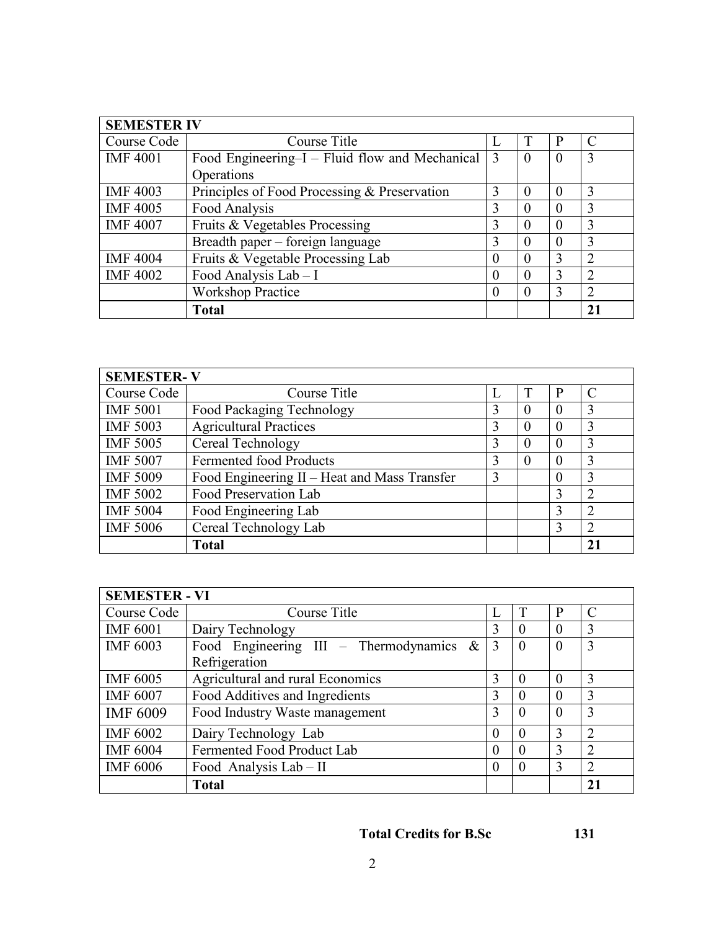| <b>SEMESTER IV</b> |                                                |          |          |          |               |  |  |
|--------------------|------------------------------------------------|----------|----------|----------|---------------|--|--|
| Course Code        | Course Title                                   | L        | T        | P        | $\mathcal{C}$ |  |  |
| <b>IMF4001</b>     | Food Engineering–I – Fluid flow and Mechanical | 3        | $\theta$ | $\Omega$ | 3             |  |  |
|                    | Operations                                     |          |          |          |               |  |  |
| <b>IMF 4003</b>    | Principles of Food Processing & Preservation   | 3        | $\Omega$ | $\theta$ | 3             |  |  |
| <b>IMF 4005</b>    | Food Analysis                                  | 3        | $\Omega$ | $\theta$ | 3             |  |  |
| <b>IMF 4007</b>    | Fruits & Vegetables Processing                 | 3        | $\theta$ | $\Omega$ | 3             |  |  |
|                    | Breadth paper – foreign language               | 3        | $\Omega$ | $\Omega$ | 3             |  |  |
| <b>IMF 4004</b>    | Fruits & Vegetable Processing Lab              | $\Omega$ | $\Omega$ | 3        | $\mathcal{L}$ |  |  |
| <b>IMF 4002</b>    | Food Analysis Lab - I                          | $\Omega$ | $\Omega$ | 3        | $\mathcal{D}$ |  |  |
|                    | <b>Workshop Practice</b>                       | 0        | $\Omega$ | 3        | ↑             |  |  |
|                    | <b>Total</b>                                   |          |          |          | 21            |  |  |

| <b>SEMESTER-V</b> |                                              |   |          |          |                |  |  |  |
|-------------------|----------------------------------------------|---|----------|----------|----------------|--|--|--|
| Course Code       | Course Title                                 | L |          | P        | C              |  |  |  |
| <b>IMF 5001</b>   | Food Packaging Technology                    | 3 | $\theta$ | $\Omega$ | 3              |  |  |  |
| <b>IMF 5003</b>   | <b>Agricultural Practices</b>                | 3 | $\theta$ | $\theta$ | 3              |  |  |  |
| <b>IMF 5005</b>   | Cereal Technology                            | 3 | $\theta$ | $\theta$ | 3              |  |  |  |
| <b>IMF 5007</b>   | <b>Fermented food Products</b>               | 3 | $\theta$ | $\theta$ | 3              |  |  |  |
| <b>IMF 5009</b>   | Food Engineering II - Heat and Mass Transfer | 3 |          | $\theta$ | 3              |  |  |  |
| <b>IMF 5002</b>   | Food Preservation Lab                        |   |          | 3        | $\overline{2}$ |  |  |  |
| <b>IMF 5004</b>   | Food Engineering Lab                         |   |          | 3        | $\overline{2}$ |  |  |  |
| <b>IMF 5006</b>   | Cereal Technology Lab                        |   |          | 3        | $\overline{2}$ |  |  |  |
|                   | <b>Total</b>                                 |   |          |          | 21             |  |  |  |

| <b>SEMESTER - VI</b> |                                            |          |          |          |                |  |  |  |
|----------------------|--------------------------------------------|----------|----------|----------|----------------|--|--|--|
| Course Code          | Course Title                               | L        | T        | P        | $\mathcal{C}$  |  |  |  |
| <b>IMF 6001</b>      | Dairy Technology                           | 3        | $\Omega$ | $\Omega$ | 3              |  |  |  |
| <b>IMF 6003</b>      | Food Engineering III - Thermodynamics $\&$ | 3        | $\Omega$ | $\Omega$ | 3              |  |  |  |
|                      | Refrigeration                              |          |          |          |                |  |  |  |
| <b>IMF 6005</b>      | Agricultural and rural Economics           | 3        | $\Omega$ | $\Omega$ | 3              |  |  |  |
| <b>IMF 6007</b>      | Food Additives and Ingredients             | 3        | $\Omega$ | $\Omega$ | 3              |  |  |  |
| <b>IMF 6009</b>      | Food Industry Waste management             | 3        | $\Omega$ | $\theta$ | 3              |  |  |  |
| <b>IMF 6002</b>      | Dairy Technology Lab                       | $\Omega$ | $\theta$ | 3        | 2              |  |  |  |
| <b>IMF 6004</b>      | Fermented Food Product Lab                 |          | $\theta$ | 3        | $\overline{2}$ |  |  |  |
| <b>IMF 6006</b>      | Food Analysis Lab - II                     |          |          | 3        |                |  |  |  |
|                      | Total                                      |          |          |          | 21             |  |  |  |

# **Total Credits for B.Sc 131**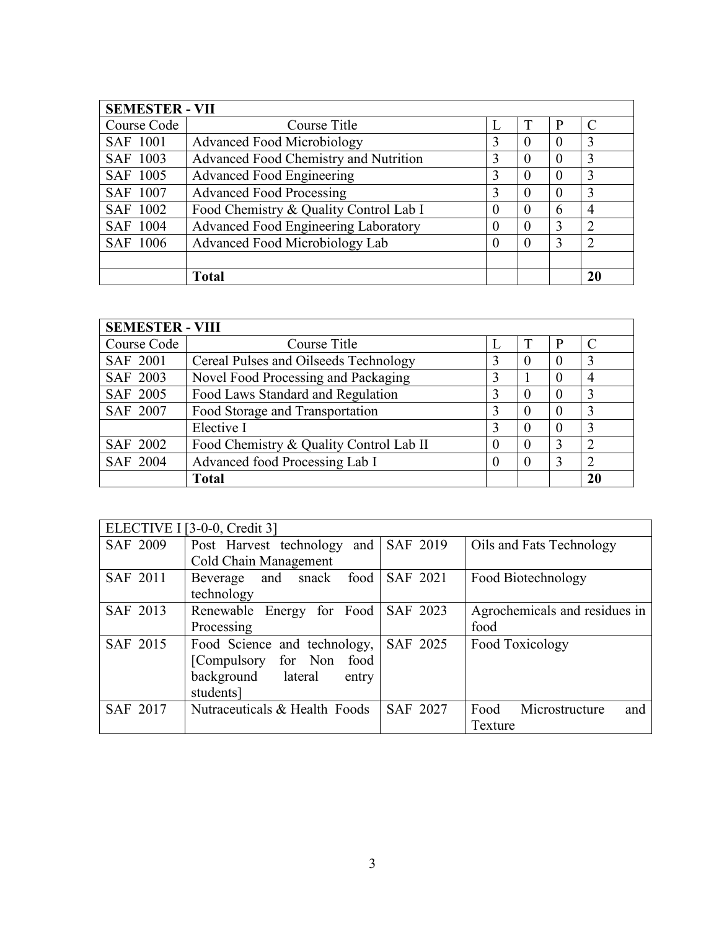| <b>SEMESTER - VII</b> |                                        |                   |          |          |                |  |  |  |
|-----------------------|----------------------------------------|-------------------|----------|----------|----------------|--|--|--|
| Course Code           | Course Title                           |                   |          | P        |                |  |  |  |
| <b>SAF 1001</b>       | <b>Advanced Food Microbiology</b>      | 3                 | $\theta$ | $\theta$ | 3              |  |  |  |
| SAF 1003              | Advanced Food Chemistry and Nutrition  | 3                 | $\theta$ | $\Omega$ | 3              |  |  |  |
| SAF 1005              | <b>Advanced Food Engineering</b>       | 3                 | $\Omega$ | $\Omega$ | 3              |  |  |  |
| SAF 1007              | <b>Advanced Food Processing</b>        | 3                 | $\Omega$ | $\Omega$ | 3              |  |  |  |
| SAF 1002              | Food Chemistry & Quality Control Lab I | $\mathbf{\Omega}$ | $\Omega$ | 6        | 4              |  |  |  |
| SAF 1004              | Advanced Food Engineering Laboratory   | $_{0}$            | $\theta$ | 3        | $\overline{2}$ |  |  |  |
| SAF 1006              | Advanced Food Microbiology Lab         |                   | $\Omega$ | 3        | $\overline{2}$ |  |  |  |
|                       |                                        |                   |          |          |                |  |  |  |
|                       | <b>Total</b>                           |                   |          |          | 20             |  |  |  |

| <b>SEMESTER - VIII</b> |                                         |          |  |          |    |  |  |
|------------------------|-----------------------------------------|----------|--|----------|----|--|--|
| Course Code            | Course Title                            |          |  |          |    |  |  |
| <b>SAF 2001</b>        | Cereal Pulses and Oilseeds Technology   | 3        |  | $\theta$ | 3  |  |  |
| SAF 2003               | Novel Food Processing and Packaging     | 3        |  | 0        | 4  |  |  |
| SAF 2005               | Food Laws Standard and Regulation       |          |  | $\Omega$ | 3  |  |  |
| SAF 2007               | Food Storage and Transportation         | 3        |  | $\theta$ | 3  |  |  |
|                        | Elective I                              | 3        |  | $\Omega$ | 3  |  |  |
| SAF 2002               | Food Chemistry & Quality Control Lab II | O        |  | 3        | ∍  |  |  |
| SAF 2004               | Advanced food Processing Lab I          | $\theta$ |  | 3        | ∍  |  |  |
|                        | <b>Total</b>                            |          |  |          | 20 |  |  |

|                 | ELECTIVE I [3-0-0, Credit 3]  |          |                               |  |  |  |  |
|-----------------|-------------------------------|----------|-------------------------------|--|--|--|--|
| <b>SAF 2009</b> | Post Harvest technology and   | SAF 2019 | Oils and Fats Technology      |  |  |  |  |
|                 | Cold Chain Management         |          |                               |  |  |  |  |
| SAF 2011        | food  <br>Beverage and snack  | SAF 2021 | Food Biotechnology            |  |  |  |  |
|                 | technology                    |          |                               |  |  |  |  |
| SAF 2013        | Renewable Energy for Food     | SAF 2023 | Agrochemicals and residues in |  |  |  |  |
|                 | Processing                    |          | food                          |  |  |  |  |
| SAF 2015        | Food Science and technology,  | SAF 2025 | Food Toxicology               |  |  |  |  |
|                 | [Compulsory for Non<br>food   |          |                               |  |  |  |  |
|                 | background lateral<br>entry   |          |                               |  |  |  |  |
|                 | students]                     |          |                               |  |  |  |  |
| SAF 2017        | Nutraceuticals & Health Foods | SAF 2027 | Food<br>Microstructure<br>and |  |  |  |  |
|                 |                               |          | Texture                       |  |  |  |  |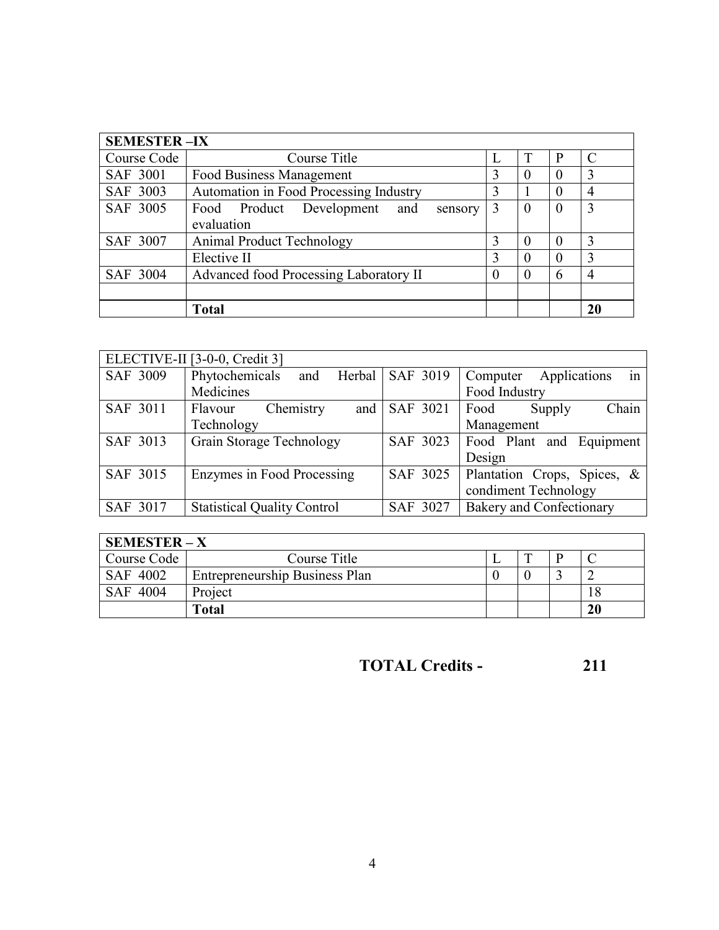| <b>SEMESTER-IX</b> |                                               |   |   |                |    |  |  |  |  |
|--------------------|-----------------------------------------------|---|---|----------------|----|--|--|--|--|
| Course Code        | Course Title                                  |   | T | P              |    |  |  |  |  |
| <b>SAF 3001</b>    | Food Business Management                      | 3 |   | $\overline{0}$ | 3  |  |  |  |  |
| SAF 3003           | Automation in Food Processing Industry        | 3 |   | $\Omega$       | 4  |  |  |  |  |
| SAF 3005           | Food Product<br>Development<br>and<br>sensory | 3 |   | $\Omega$       | 3  |  |  |  |  |
|                    | evaluation                                    |   |   |                |    |  |  |  |  |
| SAF 3007           | <b>Animal Product Technology</b>              | 3 |   | $\Omega$       | 3  |  |  |  |  |
|                    | Elective II                                   |   |   | $\Omega$       | 3  |  |  |  |  |
| SAF 3004           | Advanced food Processing Laboratory II        |   |   | 6              | 4  |  |  |  |  |
|                    |                                               |   |   |                |    |  |  |  |  |
|                    | Total                                         |   |   |                | 20 |  |  |  |  |

|          | ELECTIVE-II [3-0-0, Credit 3]      |                   |                                 |  |  |
|----------|------------------------------------|-------------------|---------------------------------|--|--|
| SAF 3009 | Phytochemicals<br>and              | Herbal   SAF 3019 | Applications<br>Computer<br>in  |  |  |
|          | Medicines                          |                   | Food Industry                   |  |  |
| SAF 3011 | Chemistry<br>and<br>Flavour        | SAF 3021          | Chain<br>Food<br>Supply         |  |  |
|          | Technology                         |                   | Management                      |  |  |
| SAF 3013 | Grain Storage Technology           | SAF 3023          | Food Plant and Equipment        |  |  |
|          |                                    |                   | Design                          |  |  |
| SAF 3015 | Enzymes in Food Processing         | SAF 3025          | Plantation Crops, Spices, &     |  |  |
|          |                                    |                   | condiment Technology            |  |  |
| SAF 3017 | <b>Statistical Quality Control</b> | SAF 3027          | <b>Bakery and Confectionary</b> |  |  |

| <b>SEMESTER-X</b> |                                       |  |  |  |    |  |  |
|-------------------|---------------------------------------|--|--|--|----|--|--|
| Course Code       | Course Title                          |  |  |  |    |  |  |
| SAF 4002          | <b>Entrepreneurship Business Plan</b> |  |  |  |    |  |  |
| SAF 4004          | Project                               |  |  |  | 18 |  |  |
|                   | Total                                 |  |  |  | 20 |  |  |

**TOTAL Credits - 211**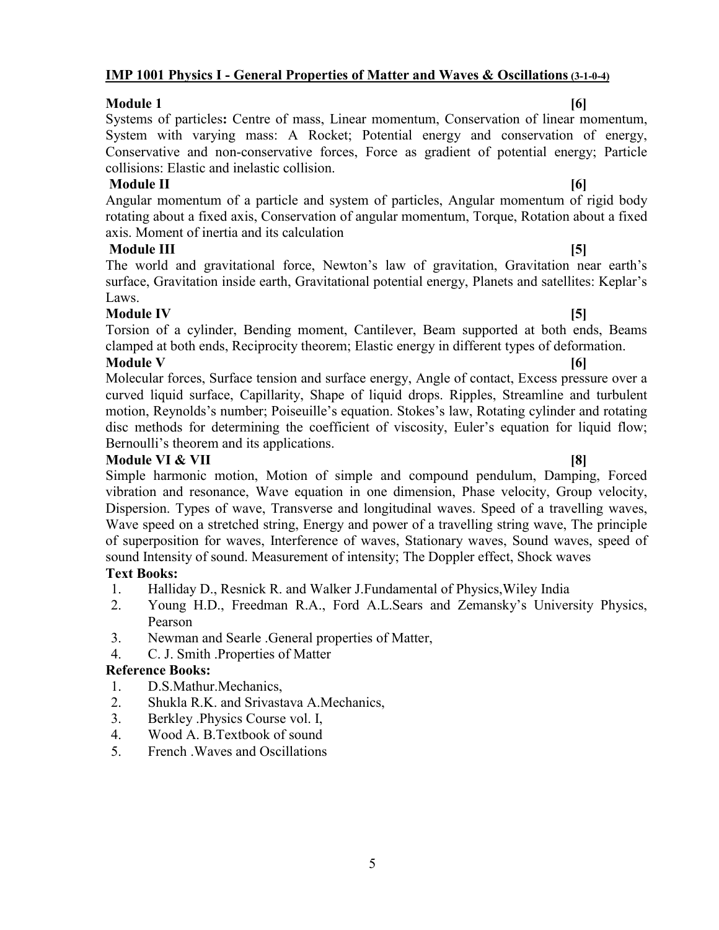### 5

### **IMP 1001 Physics I - General Properties of Matter and Waves & Oscillations(3-1-0-4)**

### **Module 1 [6]**

Systems of particles**:** Centre of mass, Linear momentum, Conservation of linear momentum, System with varying mass: A Rocket; Potential energy and conservation of energy, Conservative and non-conservative forces, Force as gradient of potential energy; Particle collisions: Elastic and inelastic collision.

### **Module II [6]**

Angular momentum of a particle and system of particles, Angular momentum of rigid body rotating about a fixed axis, Conservation of angular momentum, Torque, Rotation about a fixed axis. Moment of inertia and its calculation

**Module III [5]** The world and gravitational force, Newton's law of gravitation, Gravitation near earth's surface, Gravitation inside earth, Gravitational potential energy, Planets and satellites: Keplar's Laws.

### **Module IV [5]**

Torsion of a cylinder, Bending moment, Cantilever, Beam supported at both ends, Beams clamped at both ends, Reciprocity theorem; Elastic energy in different types of deformation. **Module V [6]**

Molecular forces, Surface tension and surface energy, Angle of contact, Excess pressure over a curved liquid surface, Capillarity, Shape of liquid drops. Ripples, Streamline and turbulent motion, Reynolds's number; Poiseuille's equation. Stokes's law, Rotating cylinder and rotating disc methods for determining the coefficient of viscosity, Euler's equation for liquid flow; Bernoulli's theorem and its applications.

### **Module VI & VII [8]**

Simple harmonic motion, Motion of simple and compound pendulum, Damping, Forced vibration and resonance, Wave equation in one dimension, Phase velocity, Group velocity, Dispersion. Types of wave, Transverse and longitudinal waves. Speed of a travelling waves, Wave speed on a stretched string, Energy and power of a travelling string wave, The principle of superposition for waves, Interference of waves, Stationary waves, Sound waves, speed of sound Intensity of sound. Measurement of intensity; The Doppler effect, Shock waves

### **Text Books:**

- 1. Halliday D., Resnick R. and Walker J.Fundamental of Physics,Wiley India
- 2. Young H.D., Freedman R.A., Ford A.L.Sears and Zemansky's University Physics, Pearson
- 3. Newman and Searle .General properties of Matter,
- 4. C. J. Smith .Properties of Matter

### **Reference Books:**

- 1. D.S.Mathur.Mechanics,
- 2. Shukla R.K. and Srivastava A.Mechanics,
- 3. Berkley .Physics Course vol. I,
- 4. Wood A. B.Textbook of sound
- 5. French .Waves and Oscillations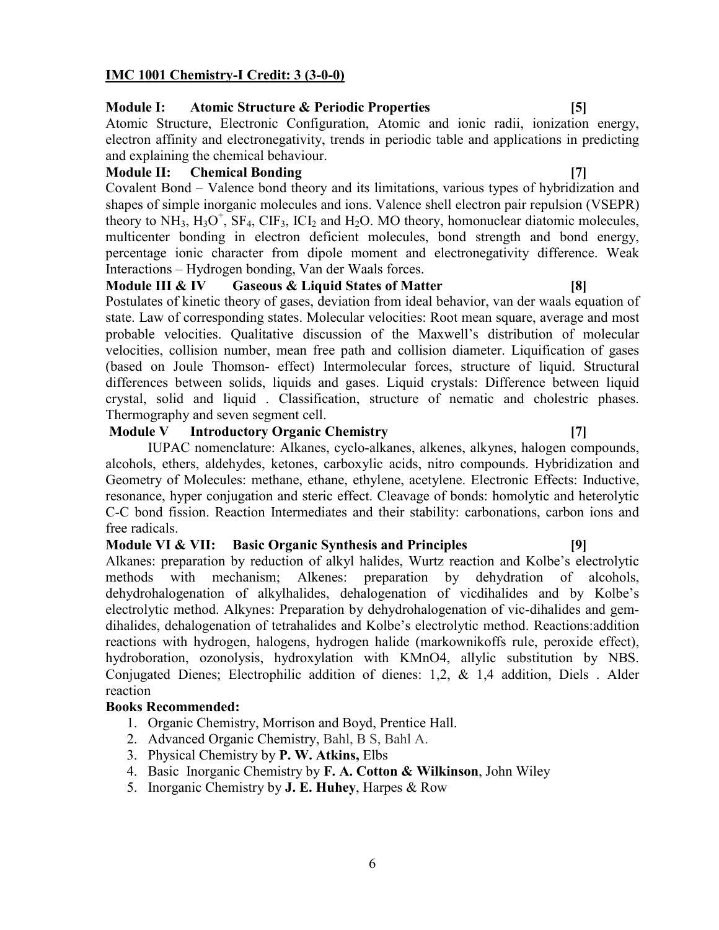### **IMC 1001 Chemistry-I Credit: 3 (3-0-0)**

### **Module I: Atomic Structure & Periodic Properties [5]**

Atomic Structure, Electronic Configuration, Atomic and ionic radii, ionization energy, electron affinity and electronegativity, trends in periodic table and applications in predicting and explaining the chemical behaviour.

### **Module II: Chemical Bonding [7]**

Covalent Bond – Valence bond theory and its limitations, various types of hybridization and shapes of simple inorganic molecules and ions. Valence shell electron pair repulsion (VSEPR) theory to  $NH_3$ ,  $H_3O^+$ ,  $SF_4$ ,  $CIF_3$ ,  $ICI_2$  and  $H_2O$ . MO theory, homonuclear diatomic molecules, multicenter bonding in electron deficient molecules, bond strength and bond energy, percentage ionic character from dipole moment and electronegativity difference. Weak Interactions – Hydrogen bonding, Van der Waals forces.

**Module III & IV Gaseous & Liquid States of Matter [8]**

Postulates of kinetic theory of gases, deviation from ideal behavior, van der waals equation of state. Law of corresponding states. Molecular velocities: Root mean square, average and most probable velocities. Qualitative discussion of the Maxwell's distribution of molecular velocities, collision number, mean free path and collision diameter. Liquification of gases (based on Joule Thomson- effect) Intermolecular forces, structure of liquid. Structural differences between solids, liquids and gases. Liquid crystals: Difference between liquid crystal, solid and liquid . Classification, structure of nematic and cholestric phases. Thermography and seven segment cell.

### **Module V Introductory Organic Chemistry [7]**

IUPAC nomenclature: Alkanes, cyclo-alkanes, alkenes, alkynes, halogen compounds, alcohols, ethers, aldehydes, ketones, carboxylic acids, nitro compounds. Hybridization and Geometry of Molecules: methane, ethane, ethylene, acetylene. Electronic Effects: Inductive, resonance, hyper conjugation and steric effect. Cleavage of bonds: homolytic and heterolytic C-C bond fission. Reaction Intermediates and their stability: carbonations, carbon ions and free radicals.

### **Module VI & VII: Basic Organic Synthesis and Principles [9]**

Alkanes: preparation by reduction of alkyl halides, Wurtz reaction and Kolbe's electrolytic methods with mechanism; Alkenes: preparation by dehydration of alcohols, dehydrohalogenation of alkylhalides, dehalogenation of vicdihalides and by Kolbe's electrolytic method. Alkynes: Preparation by dehydrohalogenation of vic-dihalides and gemdihalides, dehalogenation of tetrahalides and Kolbe's electrolytic method. Reactions:addition reactions with hydrogen, halogens, hydrogen halide (markownikoffs rule, peroxide effect), hydroboration, ozonolysis, hydroxylation with KMnO4, allylic substitution by NBS. Conjugated Dienes; Electrophilic addition of dienes: 1,2, & 1,4 addition, Diels . Alder reaction

### **Books Recommended:**

- 1. Organic Chemistry, Morrison and Boyd, Prentice Hall.
- 2. Advanced Organic Chemistry, Bahl, B S, Bahl A.
- 3. Physical Chemistry by **P. W. Atkins,** Elbs
- 4. Basic Inorganic Chemistry by **F. A. Cotton & Wilkinson**, John Wiley
- 5. Inorganic Chemistry by **J. E. Huhey**, Harpes & Row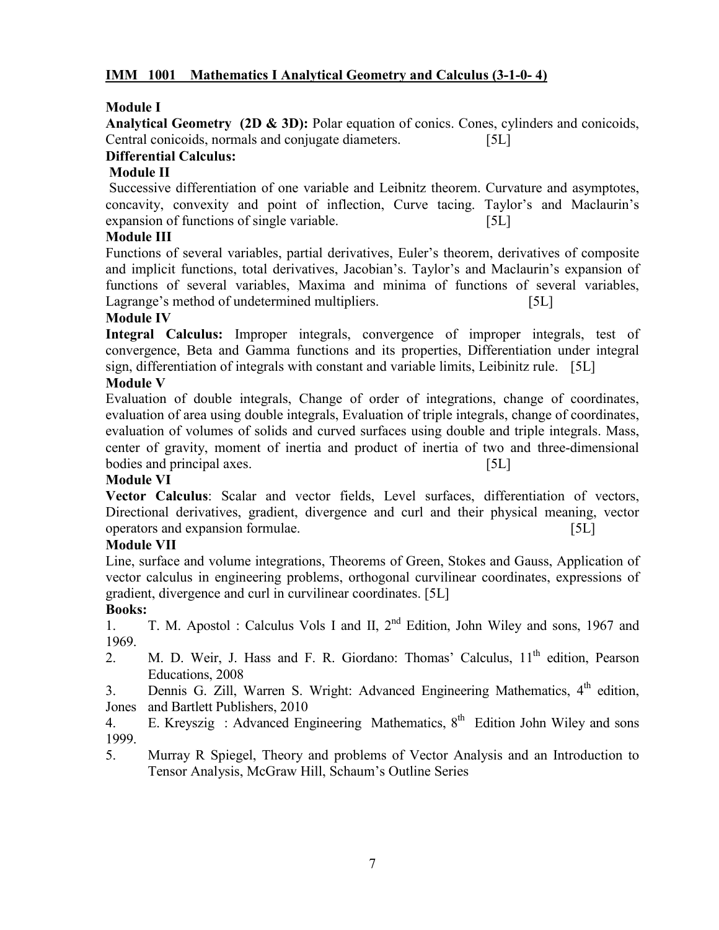### **IMM 1001 Mathematics I Analytical Geometry and Calculus (3-1-0- 4)**

### **Module I**

**Analytical Geometry (2D & 3D):** Polar equation of conics. Cones, cylinders and conicoids, Central conicoids, normals and conjugate diameters. [5L]

### **Differential Calculus:**

### **Module II**

Successive differentiation of one variable and Leibnitz theorem. Curvature and asymptotes, concavity, convexity and point of inflection, Curve tacing. Taylor's and Maclaurin's expansion of functions of single variable. [5L]

### **Module III**

Functions of several variables, partial derivatives, Euler's theorem, derivatives of composite and implicit functions, total derivatives, Jacobian's. Taylor's and Maclaurin's expansion of functions of several variables, Maxima and minima of functions of several variables, Lagrange's method of undetermined multipliers. [5L]

### **Module IV**

**Integral Calculus:** Improper integrals, convergence of improper integrals, test of convergence, Beta and Gamma functions and its properties, Differentiation under integral sign, differentiation of integrals with constant and variable limits, Leibinitz rule. [5L]

### **Module V**

Evaluation of double integrals, Change of order of integrations, change of coordinates, evaluation of area using double integrals, Evaluation of triple integrals, change of coordinates, evaluation of volumes of solids and curved surfaces using double and triple integrals. Mass, center of gravity, moment of inertia and product of inertia of two and three-dimensional bodies and principal axes. [5L]

### **Module VI**

**Vector Calculus**: Scalar and vector fields, Level surfaces, differentiation of vectors, Directional derivatives, gradient, divergence and curl and their physical meaning, vector operators and expansion formulae. [5L]

### **Module VII**

Line, surface and volume integrations, Theorems of Green, Stokes and Gauss, Application of vector calculus in engineering problems, orthogonal curvilinear coordinates, expressions of gradient, divergence and curl in curvilinear coordinates. [5L]

### **Books:**

1. T. M. Apostol : Calculus Vols I and II,  $2<sup>nd</sup>$  Edition, John Wiley and sons, 1967 and 1969.

2. M. D. Weir, J. Hass and F. R. Giordano: Thomas' Calculus,  $11<sup>th</sup>$  edition, Pearson Educations, 2008

3. Dennis G. Zill, Warren S. Wright: Advanced Engineering Mathematics, 4<sup>th</sup> edition, Jones and Bartlett Publishers, 2010

4. E. Kreyszig : Advanced Engineering Mathematics,  $8<sup>th</sup>$  Edition John Wiley and sons 1999.

5. Murray R Spiegel, Theory and problems of Vector Analysis and an Introduction to Tensor Analysis, McGraw Hill, Schaum's Outline Series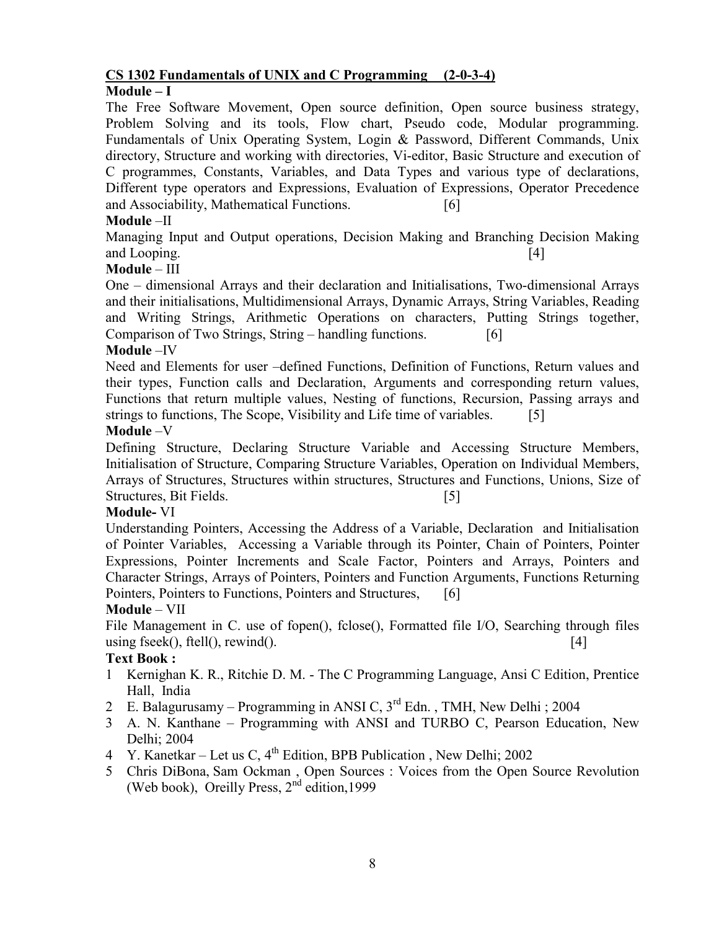### **CS 1302 Fundamentals of UNIX and C Programming (2-0-3-4)**

### **Module – I**

The Free Software Movement, Open source definition, Open source business strategy, Problem Solving and its tools, Flow chart, Pseudo code, Modular programming. Fundamentals of Unix Operating System, Login & Password, Different Commands, Unix directory, Structure and working with directories, Vi-editor, Basic Structure and execution of C programmes, Constants, Variables, and Data Types and various type of declarations, Different type operators and Expressions, Evaluation of Expressions, Operator Precedence and Associability, Mathematical Functions. [6]

### **Module** –II

Managing Input and Output operations, Decision Making and Branching Decision Making and Looping. [4]

### **Module** – III

One – dimensional Arrays and their declaration and Initialisations, Two-dimensional Arrays and their initialisations, Multidimensional Arrays, Dynamic Arrays, String Variables, Reading and Writing Strings, Arithmetic Operations on characters, Putting Strings together, Comparison of Two Strings, String – handling functions. [6]

### **Module** –IV

Need and Elements for user –defined Functions, Definition of Functions, Return values and their types, Function calls and Declaration, Arguments and corresponding return values, Functions that return multiple values, Nesting of functions, Recursion, Passing arrays and strings to functions, The Scope, Visibility and Life time of variables. [5]

### **Module** –V

Defining Structure, Declaring Structure Variable and Accessing Structure Members, Initialisation of Structure, Comparing Structure Variables, Operation on Individual Members, Arrays of Structures, Structures within structures, Structures and Functions, Unions, Size of Structures, Bit Fields. [5]

### **Module-** VI

Understanding Pointers, Accessing the Address of a Variable, Declaration and Initialisation of Pointer Variables, Accessing a Variable through its Pointer, Chain of Pointers, Pointer Expressions, Pointer Increments and Scale Factor, Pointers and Arrays, Pointers and Character Strings, Arrays of Pointers, Pointers and Function Arguments, Functions Returning Pointers, Pointers to Functions, Pointers and Structures, [6]

### **Module** – VII

File Management in C. use of fopen(), fclose(), Formatted file I/O, Searching through files using fseek(), ftell(), rewind().  $[4]$ 

### **Text Book :**

- 1 Kernighan K. R., Ritchie D. M. The C Programming Language, Ansi C Edition, Prentice Hall, India
- 2 E. Balagurusamy Programming in ANSI C,  $3^{rd}$  Edn., TMH, New Delhi; 2004
- 3 A. N. Kanthane Programming with ANSI and TURBO C, Pearson Education, New Delhi; 2004
- 4 Y. Kanetkar Let us C, 4<sup>th</sup> Edition, BPB Publication, New Delhi; 2002
- 5 Chris DiBona, Sam Ockman , Open Sources : Voices from the Open Source Revolution (Web book), Oreilly Press,  $2<sup>nd</sup>$  edition, 1999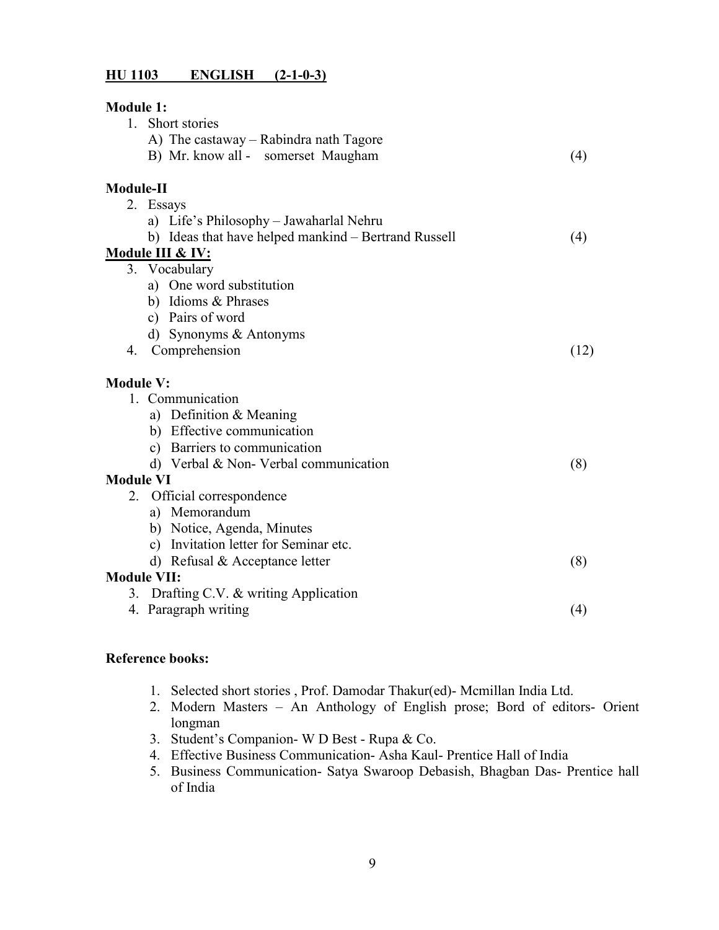### **HU 1103 ENGLISH (2-1-0-3)**

| <b>Module 1:</b>                                     |      |
|------------------------------------------------------|------|
| 1. Short stories                                     |      |
| A) The castaway – Rabindra nath Tagore               |      |
| B) Mr. know all - somerset Maugham                   | (4)  |
| Module-II                                            |      |
| 2. Essays                                            |      |
| a) Life's Philosophy – Jawaharlal Nehru              |      |
| b) Ideas that have helped mankind – Bertrand Russell | (4)  |
| Module III & IV:                                     |      |
| 3. Vocabulary                                        |      |
| a) One word substitution                             |      |
| b) Idioms & Phrases                                  |      |
| c) Pairs of word                                     |      |
| d) Synonyms & Antonyms                               |      |
| 4. Comprehension                                     | (12) |
| <b>Module V:</b>                                     |      |
| 1. Communication                                     |      |
| a) Definition & Meaning                              |      |
| b) Effective communication                           |      |
| c) Barriers to communication                         |      |
| d) Verbal & Non- Verbal communication                | (8)  |
| <b>Module VI</b>                                     |      |
| 2. Official correspondence                           |      |
| a) Memorandum                                        |      |
| b) Notice, Agenda, Minutes                           |      |
| c) Invitation letter for Seminar etc.                |      |
| d) Refusal $&$ Acceptance letter                     | (8)  |
| <b>Module VII:</b>                                   |      |
| 3. Drafting C.V. & writing Application               |      |
| 4. Paragraph writing                                 | (4)  |

### **Reference books:**

- 1. Selected short stories , Prof. Damodar Thakur(ed)- Mcmillan India Ltd.
- 2. Modern Masters An Anthology of English prose; Bord of editors- Orient longman
- 3. Student's Companion- W D Best Rupa & Co.
- 4. Effective Business Communication- Asha Kaul- Prentice Hall of India
- 5. Business Communication- Satya Swaroop Debasish, Bhagban Das- Prentice hall of India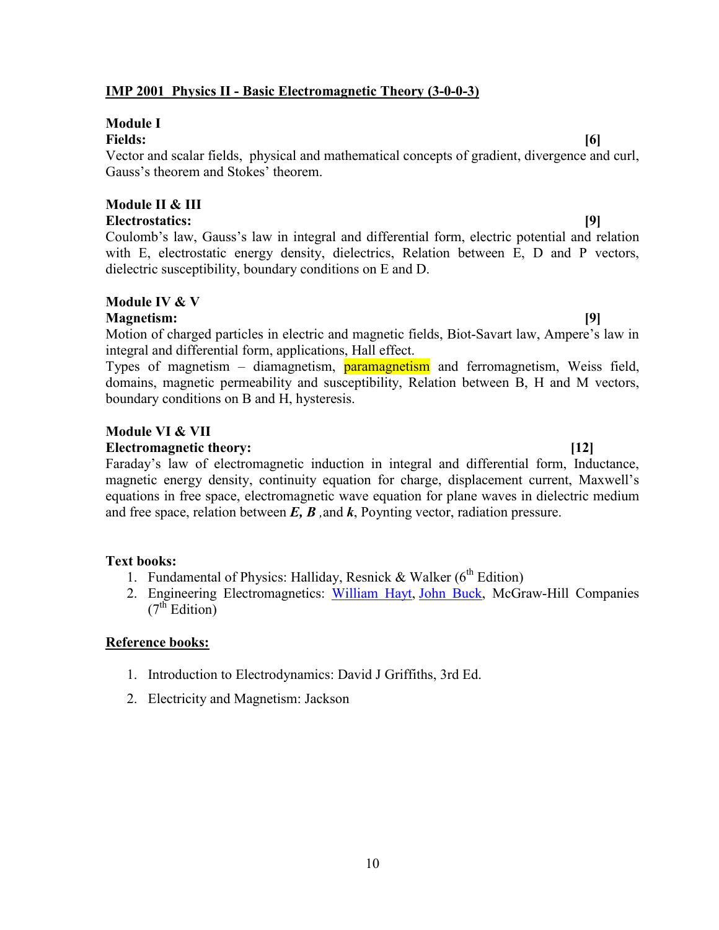### **IMP 2001 Physics II - Basic Electromagnetic Theory (3-0-0-3)**

# **Module I**

### **Fields: [6]**

Vector and scalar fields, physical and mathematical concepts of gradient, divergence and curl, Gauss's theorem and Stokes' theorem.

### **Module II & III Electrostatics: [9]**

Coulomb's law, Gauss's law in integral and differential form, electric potential and relation with E, electrostatic energy density, dielectrics, Relation between E, D and P vectors, dielectric susceptibility, boundary conditions on E and D.

# **Module IV & V**

### **Magnetism: [9]**

Motion of charged particles in electric and magnetic fields, Biot-Savart law, Ampere's law in integral and differential form, applications, Hall effect.

Types of magnetism – diamagnetism, **paramagnetism** and ferromagnetism, Weiss field, domains, magnetic permeability and susceptibility, Relation between B, H and M vectors, boundary conditions on B and H, hysteresis.

### **Module VI & VII**

### **Electromagnetic theory: [12]**

Faraday's law of electromagnetic induction in integral and differential form, Inductance, magnetic energy density, continuity equation for charge, displacement current, Maxwell's equations in free space, electromagnetic wave equation for plane waves in dielectric medium and free space, relation between *E, B ,*and *k*, Poynting vector, radiation pressure.

### **Text books:**

- 1. Fundamental of Physics: Halliday, Resnick & Walker  $(6<sup>th</sup> Edition)$
- 2. Engineering Electromagnetics: William Hayt, John Buck, McGraw-Hill Companies  $(7<sup>th</sup> Edition)$

### **Reference books:**

- 1. Introduction to Electrodynamics: David J Griffiths, 3rd Ed.
- 2. Electricity and Magnetism: Jackson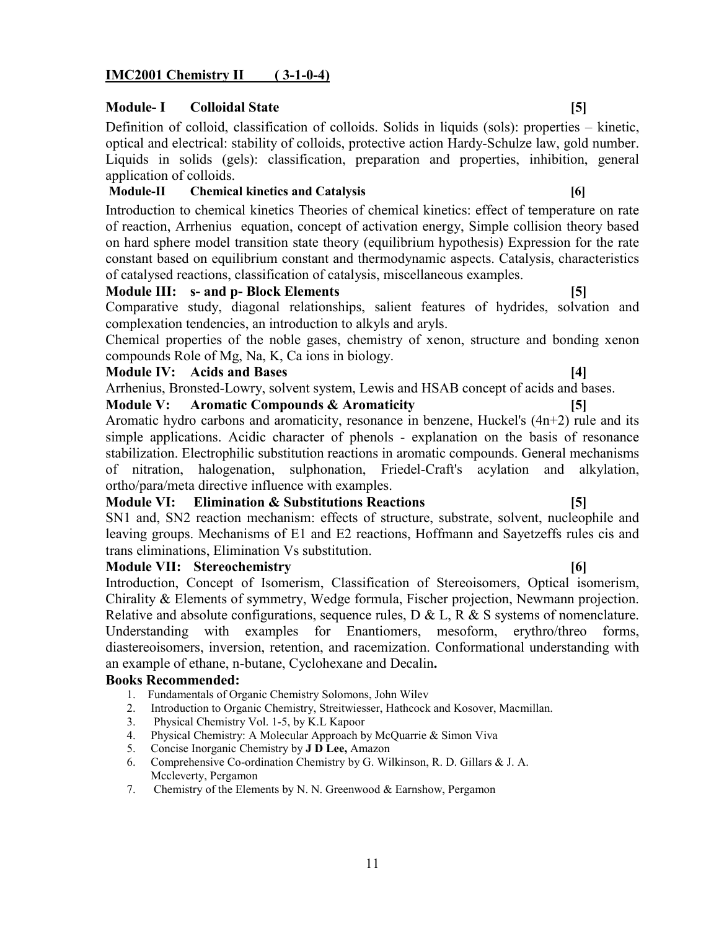### **IMC2001 Chemistry II ( 3-1-0-4)**

### **Module-I** Colloidal State [5]

Definition of colloid, classification of colloids. Solids in liquids (sols): properties – kinetic, optical and electrical: stability of colloids, protective action Hardy-Schulze law, gold number. Liquids in solids (gels): classification, preparation and properties, inhibition, general application of colloids.

### **Module-II Chemical kinetics and Catalysis [6]**

Introduction to chemical kinetics Theories of chemical kinetics: effect of temperature on rate of reaction, Arrhenius equation, concept of activation energy, Simple collision theory based on hard sphere model transition state theory (equilibrium hypothesis) Expression for the rate constant based on equilibrium constant and thermodynamic aspects. Catalysis, characteristics of catalysed reactions, classification of catalysis, miscellaneous examples.

### **Module III: s- and p- Block Elements [5]**

Comparative study, diagonal relationships, salient features of hydrides, solvation and complexation tendencies, an introduction to alkyls and aryls.

Chemical properties of the noble gases, chemistry of xenon, structure and bonding xenon compounds Role of Mg, Na, K, Ca ions in biology.

### **Module IV: Acids and Bases [4]**

Arrhenius, Bronsted-Lowry, solvent system, Lewis and HSAB concept of acids and bases.

**Module V: Aromatic Compounds & Aromaticity [5]**

Aromatic hydro carbons and aromaticity, resonance in benzene, Huckel's (4n+2) rule and its simple applications. Acidic character of phenols - explanation on the basis of resonance stabilization. Electrophilic substitution reactions in aromatic compounds. General mechanisms of nitration, halogenation, sulphonation, Friedel-Craft's acylation and alkylation, ortho/para/meta directive influence with examples.

### **Module VI: Elimination & Substitutions Reactions [5]**

SN1 and, SN2 reaction mechanism: effects of structure, substrate, solvent, nucleophile and leaving groups. Mechanisms of E1 and E2 reactions, Hoffmann and Sayetzeffs rules cis and trans eliminations, Elimination Vs substitution.

### **Module VII: Stereochemistry [6]**

Introduction, Concept of Isomerism, Classification of Stereoisomers, Optical isomerism, Chirality & Elements of symmetry, Wedge formula, Fischer projection, Newmann projection. Relative and absolute configurations, sequence rules,  $D & L$ ,  $R & S$  systems of nomenclature. Understanding with examples for Enantiomers, mesoform, erythro/threo forms, diastereoisomers, inversion, retention, and racemization. Conformational understanding with an example of ethane, n-butane, Cyclohexane and Decalin**.**

### **Books Recommended:**

- 1. Fundamentals of Organic Chemistry Solomons, John Wilev
- 2. Introduction to Organic Chemistry, Streitwiesser, Hathcock and Kosover, Macmillan.
- 3. Physical Chemistry Vol. 1-5, by K.L Kapoor
- 4. Physical Chemistry: A Molecular Approach by McQuarrie & Simon Viva
- 5. Concise Inorganic Chemistry by **J D Lee,** Amazon
- 6. Comprehensive Co-ordination Chemistry by G. Wilkinson, R. D. Gillars & J. A. Mccleverty, Pergamon
- 7. Chemistry of the Elements by N. N. Greenwood & Earnshow, Pergamon

### 11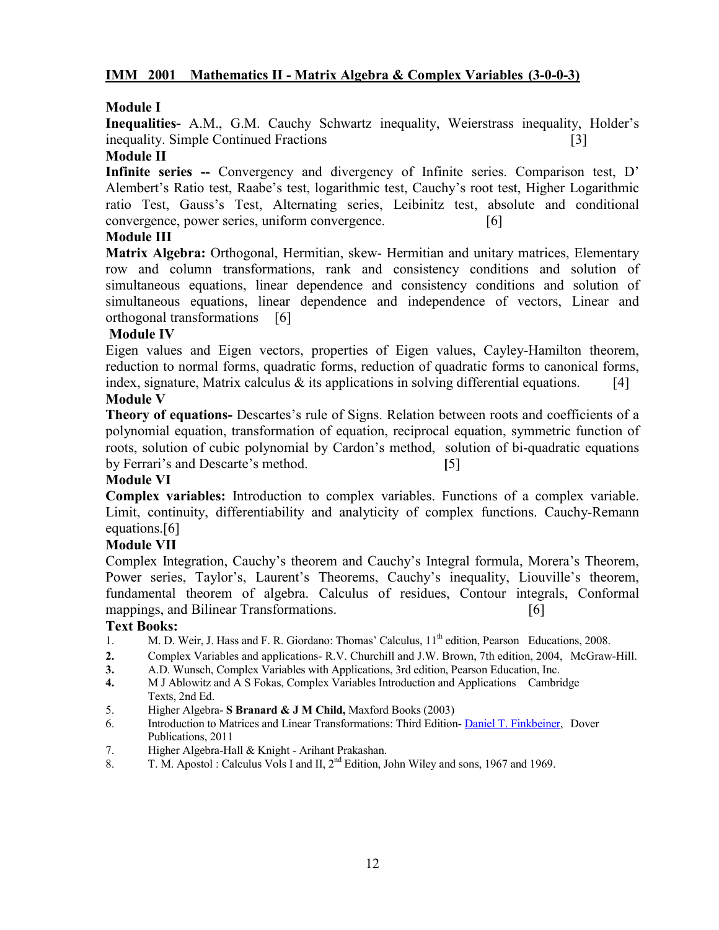### **IMM 2001 Mathematics II - Matrix Algebra & Complex Variables (3-0-0-3)**

### **Module I**

**Inequalities-** A.M., G.M. Cauchy Schwartz inequality, Weierstrass inequality, Holder's inequality. Simple Continued Fractions [3]

### **Module II**

**Infinite series --** Convergency and divergency of Infinite series. Comparison test, D' Alembert's Ratio test, Raabe's test, logarithmic test, Cauchy's root test, Higher Logarithmic ratio Test, Gauss's Test, Alternating series, Leibinitz test, absolute and conditional convergence, power series, uniform convergence. [6]

### **Module III**

**Matrix Algebra:** Orthogonal, Hermitian, skew- Hermitian and unitary matrices, Elementary row and column transformations, rank and consistency conditions and solution of simultaneous equations, linear dependence and consistency conditions and solution of simultaneous equations, linear dependence and independence of vectors, Linear and orthogonal transformations [6]

### **Module IV**

Eigen values and Eigen vectors, properties of Eigen values, Cayley-Hamilton theorem, reduction to normal forms, quadratic forms, reduction of quadratic forms to canonical forms, index, signature, Matrix calculus  $\&$  its applications in solving differential equations. [4]

### **Module V**

**Theory of equations-** Descartes's rule of Signs. Relation between roots and coefficients of a polynomial equation, transformation of equation, reciprocal equation, symmetric function of roots, solution of cubic polynomial by Cardon's method, solution of bi-quadratic equations by Ferrari's and Descarte's method. **[**5]

### **Module VI**

**Complex variables:** Introduction to complex variables. Functions of a complex variable. Limit, continuity, differentiability and analyticity of complex functions. Cauchy-Remann equations.[6]

### **Module VII**

Complex Integration, Cauchy's theorem and Cauchy's Integral formula, Morera's Theorem, Power series, Taylor's, Laurent's Theorems, Cauchy's inequality, Liouville's theorem, fundamental theorem of algebra. Calculus of residues, Contour integrals, Conformal mappings, and Bilinear Transformations. [6]

### **Text Books:**

- 1. M. D. Weir, J. Hass and F. R. Giordano: Thomas' Calculus, 11<sup>th</sup> edition, Pearson Educations, 2008.
- **2.** Complex Variables and applications- R.V. Churchill and J.W. Brown, 7th edition, 2004, McGraw-Hill.
- **3.** A.D. Wunsch, Complex Variables with Applications, 3rd edition, Pearson Education, Inc.
- **4.** M J Ablowitz and A S Fokas, Complex Variables Introduction and Applications Cambridge Texts, 2nd Ed.
- 5. Higher Algebra- **S Branard & J M Child,** Maxford Books (2003)
- 6. Introduction to Matrices and Linear Transformations: Third Edition-[Daniel T. Finkbeiner, D](http://www.google.co.in/search?tbo=p&tbm=bks&q=+inauthor:%22Daniel+T.+Finkbeiner%22)over Publications, 2011
- 7. Higher Algebra-Hall & Knight Arihant Prakashan.
- 8. T. M. Apostol : Calculus Vols I and II, 2<sup>nd</sup> Edition, John Wiley and sons, 1967 and 1969.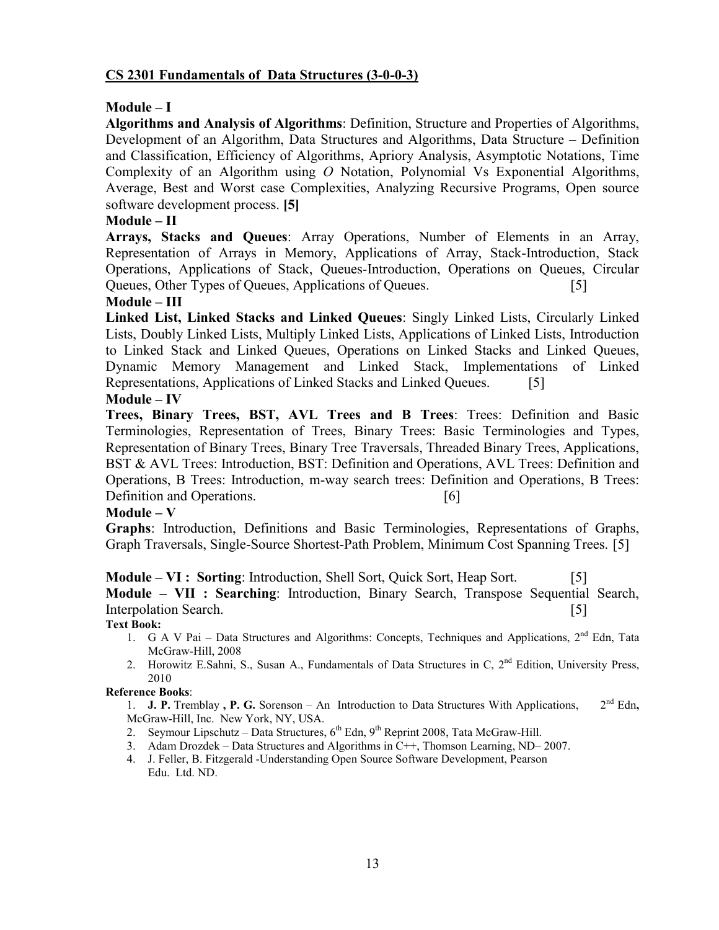### **CS 2301 Fundamentals of Data Structures (3-0-0-3)**

### **Module – I**

**Algorithms and Analysis of Algorithms**: Definition, Structure and Properties of Algorithms, Development of an Algorithm, Data Structures and Algorithms, Data Structure – Definition and Classification, Efficiency of Algorithms, Apriory Analysis, Asymptotic Notations, Time Complexity of an Algorithm using *O* Notation, Polynomial Vs Exponential Algorithms, Average, Best and Worst case Complexities, Analyzing Recursive Programs, Open source software development process. **[5]**

### **Module – II**

**Arrays, Stacks and Queues**: Array Operations, Number of Elements in an Array, Representation of Arrays in Memory, Applications of Array, Stack-Introduction, Stack Operations, Applications of Stack, Queues-Introduction, Operations on Queues, Circular Queues, Other Types of Queues, Applications of Queues. [5]

### **Module – III**

**Linked List, Linked Stacks and Linked Queues**: Singly Linked Lists, Circularly Linked Lists, Doubly Linked Lists, Multiply Linked Lists, Applications of Linked Lists, Introduction to Linked Stack and Linked Queues, Operations on Linked Stacks and Linked Queues, Dynamic Memory Management and Linked Stack, Implementations of Linked Representations, Applications of Linked Stacks and Linked Queues. [5]

### **Module – IV**

**Trees, Binary Trees, BST, AVL Trees and B Trees**: Trees: Definition and Basic Terminologies, Representation of Trees, Binary Trees: Basic Terminologies and Types, Representation of Binary Trees, Binary Tree Traversals, Threaded Binary Trees, Applications, BST & AVL Trees: Introduction, BST: Definition and Operations, AVL Trees: Definition and Operations, B Trees: Introduction, m-way search trees: Definition and Operations, B Trees: Definition and Operations. [6]

### $Module - V$

**Graphs**: Introduction, Definitions and Basic Terminologies, Representations of Graphs, Graph Traversals, Single-Source Shortest-Path Problem, Minimum Cost Spanning Trees. [5]

**Module – VI : Sorting**: Introduction, Shell Sort, Quick Sort, Heap Sort. [5]

**Module – VII : Searching**: Introduction, Binary Search, Transpose Sequential Search, Interpolation Search. [5] [5]

**Text Book:**

- 1. G A V Pai Data Structures and Algorithms: Concepts, Techniques and Applications, 2<sup>nd</sup> Edn, Tata McGraw-Hill, 2008
- 2. Horowitz E.Sahni, S., Susan A., Fundamentals of Data Structures in C, 2<sup>nd</sup> Edition, University Press, 2010

### **Reference Books**:

- 1. **J. P.** Tremblay **, P. G.** Sorenson An Introduction to Data Structures With Applications, 2nd Edn**,**  McGraw-Hill, Inc. New York, NY, USA.
- 2. Seymour Lipschutz Data Structures,  $6^{th}$  Edn,  $9^{th}$  Reprint 2008, Tata McGraw-Hill.
- 3. Adam Drozdek Data Structures and Algorithms in C++, Thomson Learning, ND– 2007.
- 4. J. Feller, B. Fitzgerald -Understanding Open Source Software Development, Pearson Edu. Ltd. ND.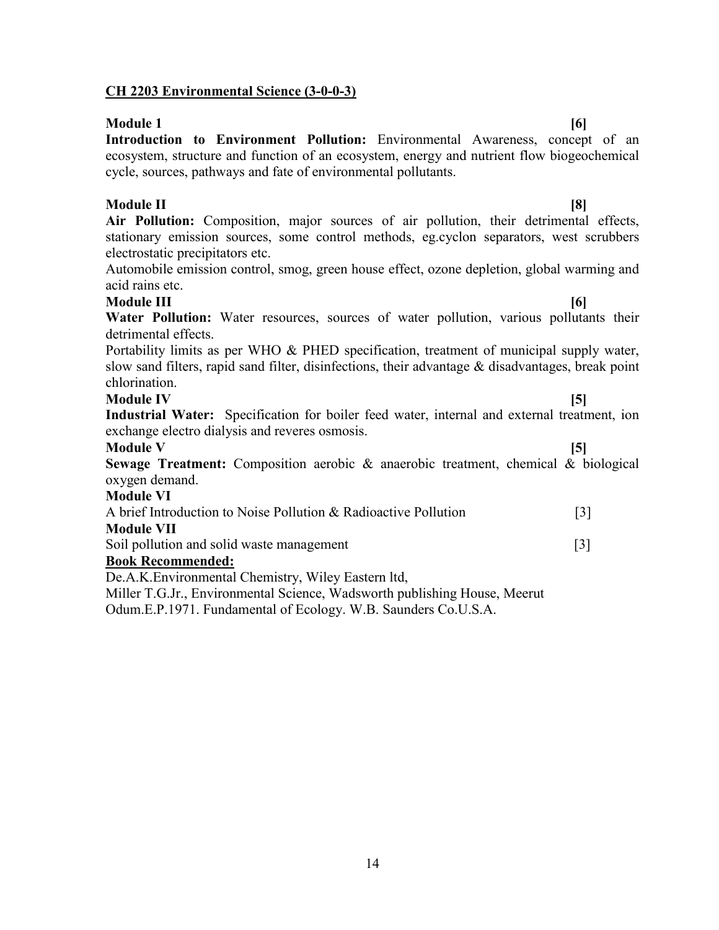### **CH 2203 Environmental Science (3-0-0-3)**

**Module 1 [6] Introduction to Environment Pollution:** Environmental Awareness, concept of an ecosystem, structure and function of an ecosystem, energy and nutrient flow biogeochemical cycle, sources, pathways and fate of environmental pollutants.

### **Module II [8]**

**Air Pollution:** Composition, major sources of air pollution, their detrimental effects, stationary emission sources, some control methods, eg.cyclon separators, west scrubbers electrostatic precipitators etc.

Automobile emission control, smog, green house effect, ozone depletion, global warming and acid rains etc.

### **Module III [6]**

Water Pollution: Water resources, sources of water pollution, various pollutants their detrimental effects.

Portability limits as per WHO & PHED specification, treatment of municipal supply water, slow sand filters, rapid sand filter, disinfections, their advantage & disadvantages, break point chlorination.

### **Module IV [5]**

**Industrial Water:** Specification for boiler feed water, internal and external treatment, ion exchange electro dialysis and reveres osmosis.

**Module V** [5]

**Sewage Treatment:** Composition aerobic & anaerobic treatment, chemical & biological oxygen demand.

### **Module VI**

| A brief Introduction to Noise Pollution & Radioactive Pollution | $\lceil 3 \rceil$ |
|-----------------------------------------------------------------|-------------------|
| <b>Module VII</b>                                               |                   |
| Soil notwige and solid wests monogeneent                        |                   |

Soil pollution and solid waste management [3]

### **Book Recommended:**

De.A.K.Environmental Chemistry, Wiley Eastern ltd,

Miller T.G.Jr., Environmental Science, Wadsworth publishing House, Meerut

Odum.E.P.1971. Fundamental of Ecology. W.B. Saunders Co.U.S.A.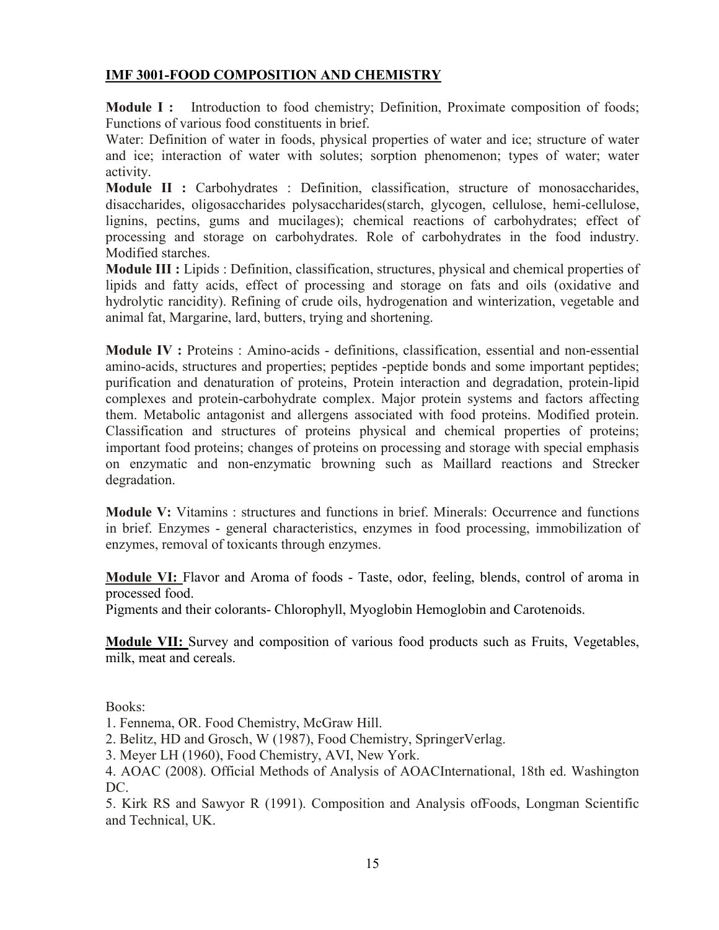### **IMF 3001-FOOD COMPOSITION AND CHEMISTRY**

**Module I :** Introduction to food chemistry; Definition, Proximate composition of foods; Functions of various food constituents in brief.

Water: Definition of water in foods, physical properties of water and ice; structure of water and ice; interaction of water with solutes; sorption phenomenon; types of water; water activity.

**Module II :** Carbohydrates : Definition, classification, structure of monosaccharides, disaccharides, oligosaccharides polysaccharides(starch, glycogen, cellulose, hemi-cellulose, lignins, pectins, gums and mucilages); chemical reactions of carbohydrates; effect of processing and storage on carbohydrates. Role of carbohydrates in the food industry. Modified starches.

**Module III :** Lipids : Definition, classification, structures, physical and chemical properties of lipids and fatty acids, effect of processing and storage on fats and oils (oxidative and hydrolytic rancidity). Refining of crude oils, hydrogenation and winterization, vegetable and animal fat, Margarine, lard, butters, trying and shortening.

**Module IV :** Proteins : Amino-acids - definitions, classification, essential and non-essential amino-acids, structures and properties; peptides -peptide bonds and some important peptides; purification and denaturation of proteins, Protein interaction and degradation, protein-lipid complexes and protein-carbohydrate complex. Major protein systems and factors affecting them. Metabolic antagonist and allergens associated with food proteins. Modified protein. Classification and structures of proteins physical and chemical properties of proteins; important food proteins; changes of proteins on processing and storage with special emphasis on enzymatic and non-enzymatic browning such as Maillard reactions and Strecker degradation.

**Module V:** Vitamins : structures and functions in brief. Minerals: Occurrence and functions in brief. Enzymes - general characteristics, enzymes in food processing, immobilization of enzymes, removal of toxicants through enzymes.

**Module VI:** Flavor and Aroma of foods - Taste, odor, feeling, blends, control of aroma in processed food.

Pigments and their colorants- Chlorophyll, Myoglobin Hemoglobin and Carotenoids.

**Module VII:** Survey and composition of various food products such as Fruits, Vegetables, milk, meat and cereals.

Books:

1. Fennema, OR. Food Chemistry, McGraw Hill.

2. Belitz, HD and Grosch, W (1987), Food Chemistry, SpringerVerlag.

3. Meyer LH (1960), Food Chemistry, AVI, New York.

4. AOAC (2008). Official Methods of Analysis of AOACInternational, 18th ed. Washington DC.

5. Kirk RS and Sawyor R (1991). Composition and Analysis ofFoods, Longman Scientific and Technical, UK.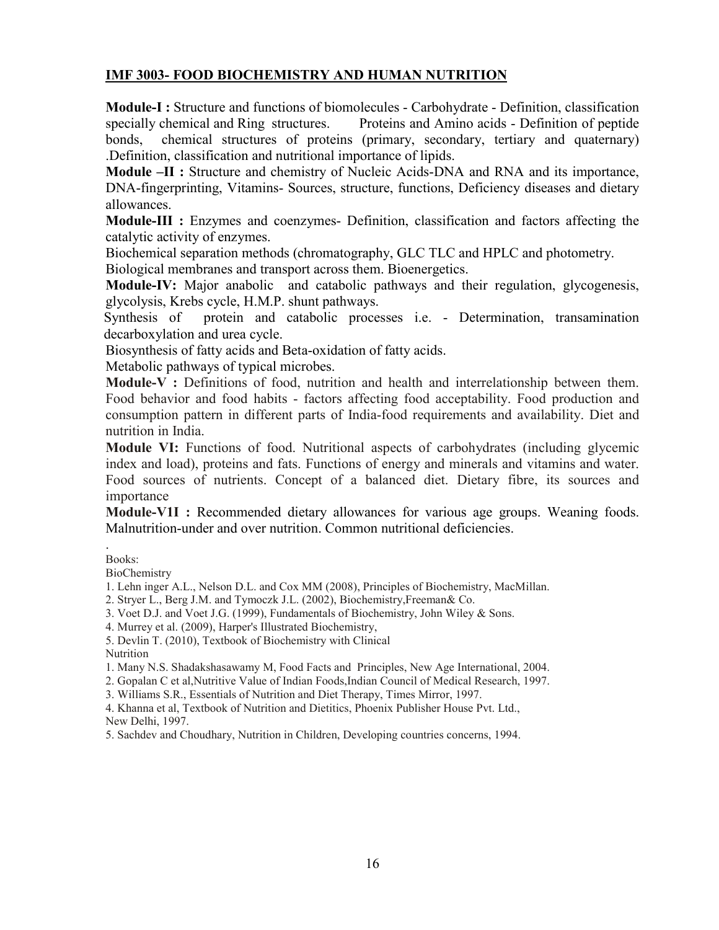### **IMF 3003- FOOD BIOCHEMISTRY AND HUMAN NUTRITION**

**Module-I :** Structure and functions of biomolecules - Carbohydrate - Definition, classification specially chemical and Ring structures. Proteins and Amino acids - Definition of peptide bonds, chemical structures of proteins (primary, secondary, tertiary and quaternary) .Definition, classification and nutritional importance of lipids.

**Module –II :** Structure and chemistry of Nucleic Acids-DNA and RNA and its importance, DNA-fingerprinting, Vitamins- Sources, structure, functions, Deficiency diseases and dietary allowances.

**Module-III :** Enzymes and coenzymes- Definition, classification and factors affecting the catalytic activity of enzymes.

Biochemical separation methods (chromatography, GLC TLC and HPLC and photometry.

Biological membranes and transport across them. Bioenergetics.

**Module-IV:** Major anabolic and catabolic pathways and their regulation, glycogenesis, glycolysis, Krebs cycle, H.M.P. shunt pathways.

Synthesis of protein and catabolic processes i.e. - Determination, transamination decarboxylation and urea cycle.

Biosynthesis of fatty acids and Beta-oxidation of fatty acids.

Metabolic pathways of typical microbes.

**Module-V :** Definitions of food, nutrition and health and interrelationship between them. Food behavior and food habits - factors affecting food acceptability. Food production and consumption pattern in different parts of India-food requirements and availability. Diet and nutrition in India.

**Module VI:** Functions of food. Nutritional aspects of carbohydrates (including glycemic index and load), proteins and fats. Functions of energy and minerals and vitamins and water. Food sources of nutrients. Concept of a balanced diet. Dietary fibre, its sources and importance

**Module-V1I :** Recommended dietary allowances for various age groups. Weaning foods. Malnutrition-under and over nutrition. Common nutritional deficiencies.

. Books:

BioChemistry

1. Lehn inger A.L., Nelson D.L. and Cox MM (2008), Principles of Biochemistry, MacMillan.

2. Stryer L., Berg J.M. and Tymoczk J.L. (2002), Biochemistry,Freeman& Co.

3. Voet D.J. and Voet J.G. (1999), Fundamentals of Biochemistry, John Wiley & Sons.

4. Murrey et al. (2009), Harper's Illustrated Biochemistry,

5. Devlin T. (2010), Textbook of Biochemistry with Clinical

Nutrition

1. Many N.S. Shadakshasawamy M, Food Facts and Principles, New Age International, 2004.

2. Gopalan C et al,Nutritive Value of Indian Foods,Indian Council of Medical Research, 1997.

3. Williams S.R., Essentials of Nutrition and Diet Therapy, Times Mirror, 1997.

4. Khanna et al, Textbook of Nutrition and Dietitics, Phoenix Publisher House Pvt. Ltd., New Delhi, 1997.

5. Sachdev and Choudhary, Nutrition in Children, Developing countries concerns, 1994.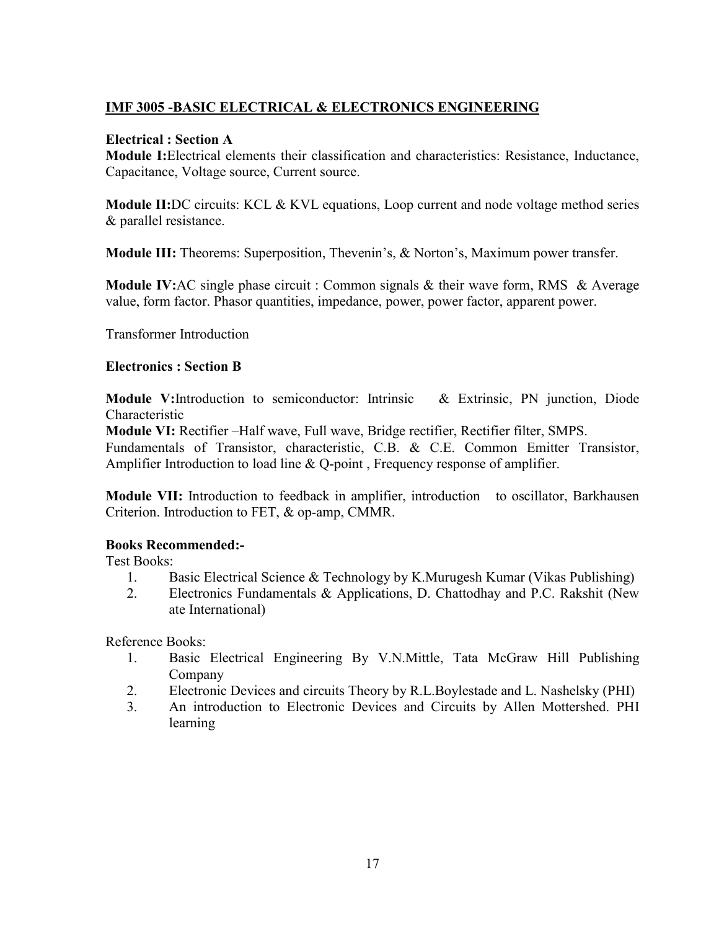### **IMF 3005 -BASIC ELECTRICAL & ELECTRONICS ENGINEERING**

### **Electrical : Section A**

**Module I:**Electrical elements their classification and characteristics: Resistance, Inductance, Capacitance, Voltage source, Current source.

**Module II:**DC circuits: KCL & KVL equations, Loop current and node voltage method series & parallel resistance.

**Module III:** Theorems: Superposition, Thevenin's, & Norton's, Maximum power transfer.

**Module IV:**AC single phase circuit : Common signals & their wave form, RMS & Average value, form factor. Phasor quantities, impedance, power, power factor, apparent power.

Transformer Introduction

### **Electronics : Section B**

**Module V:**Introduction to semiconductor: Intrinsic & Extrinsic, PN junction, Diode Characteristic

**Module VI:** Rectifier –Half wave, Full wave, Bridge rectifier, Rectifier filter, SMPS.

Fundamentals of Transistor, characteristic, C.B. & C.E. Common Emitter Transistor, Amplifier Introduction to load line & Q-point, Frequency response of amplifier.

**Module VII:** Introduction to feedback in amplifier, introduction to oscillator, Barkhausen Criterion. Introduction to FET, & op-amp, CMMR.

### **Books Recommended:-**

Test Books:

- 1. Basic Electrical Science & Technology by K.Murugesh Kumar (Vikas Publishing)
- 2. Electronics Fundamentals & Applications, D. Chattodhay and P.C. Rakshit (New ate International)

Reference Books:

- 1. Basic Electrical Engineering By V.N.Mittle, Tata McGraw Hill Publishing Company
- 2. Electronic Devices and circuits Theory by R.L.Boylestade and L. Nashelsky (PHI)
- 3. An introduction to Electronic Devices and Circuits by Allen Mottershed. PHI learning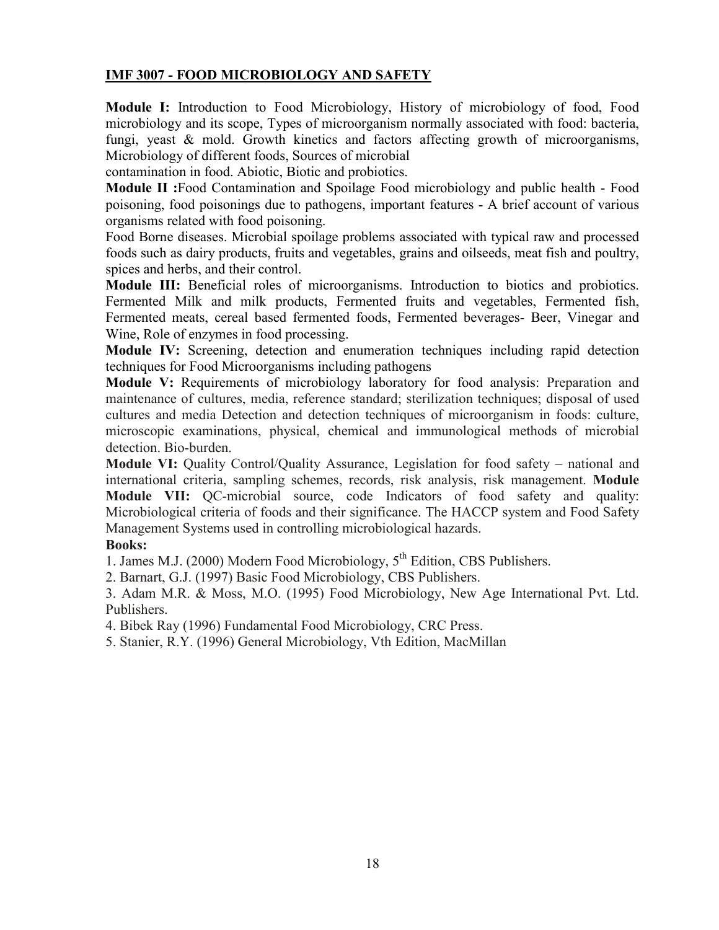### **IMF 3007 - FOOD MICROBIOLOGY AND SAFETY**

**Module I:** Introduction to Food Microbiology, History of microbiology of food, Food microbiology and its scope, Types of microorganism normally associated with food: bacteria, fungi, yeast & mold. Growth kinetics and factors affecting growth of microorganisms, Microbiology of different foods, Sources of microbial

contamination in food. Abiotic, Biotic and probiotics.

**Module II :**Food Contamination and Spoilage Food microbiology and public health - Food poisoning, food poisonings due to pathogens, important features - A brief account of various organisms related with food poisoning.

Food Borne diseases. Microbial spoilage problems associated with typical raw and processed foods such as dairy products, fruits and vegetables, grains and oilseeds, meat fish and poultry, spices and herbs, and their control.

**Module III:** Beneficial roles of microorganisms. Introduction to biotics and probiotics. Fermented Milk and milk products, Fermented fruits and vegetables, Fermented fish, Fermented meats, cereal based fermented foods, Fermented beverages- Beer, Vinegar and Wine, Role of enzymes in food processing.

**Module IV:** Screening, detection and enumeration techniques including rapid detection techniques for Food Microorganisms including pathogens

**Module V:** Requirements of microbiology laboratory for food analysis: Preparation and maintenance of cultures, media, reference standard; sterilization techniques; disposal of used cultures and media Detection and detection techniques of microorganism in foods: culture, microscopic examinations, physical, chemical and immunological methods of microbial detection. Bio-burden.

**Module VI:** Quality Control/Quality Assurance, Legislation for food safety – national and international criteria, sampling schemes, records, risk analysis, risk management. **Module Module VII:** QC-microbial source, code Indicators of food safety and quality: Microbiological criteria of foods and their significance. The HACCP system and Food Safety Management Systems used in controlling microbiological hazards.

### **Books:**

1. James M.J. (2000) Modern Food Microbiology,  $5<sup>th</sup>$  Edition, CBS Publishers.

2. Barnart, G.J. (1997) Basic Food Microbiology, CBS Publishers.

3. Adam M.R. & Moss, M.O. (1995) Food Microbiology, New Age International Pvt. Ltd. Publishers.

4. Bibek Ray (1996) Fundamental Food Microbiology, CRC Press.

5. Stanier, R.Y. (1996) General Microbiology, Vth Edition, MacMillan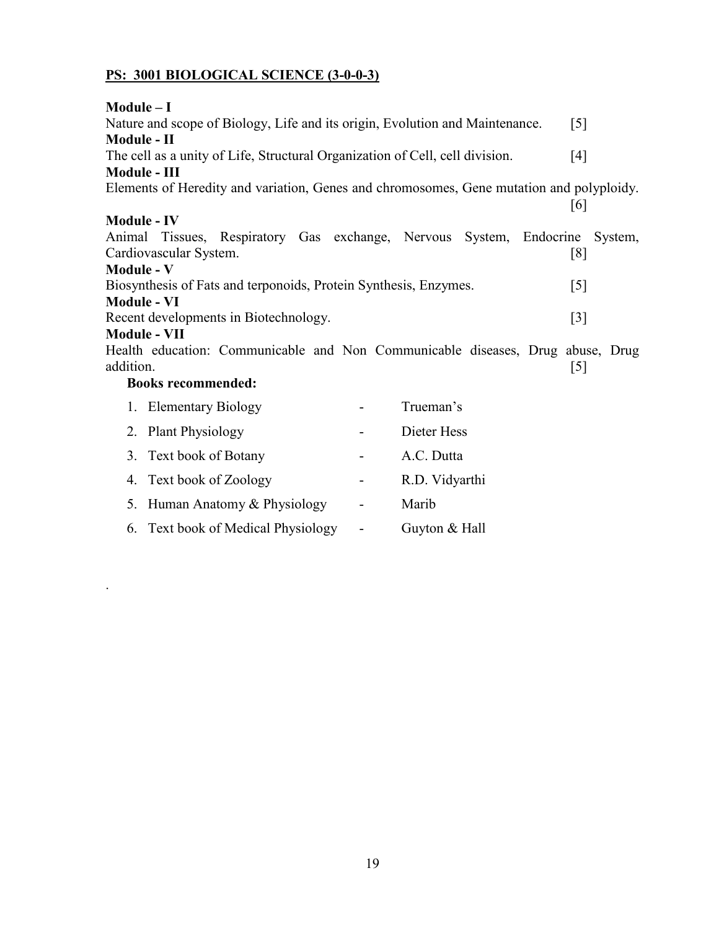# **PS: 3001 BIOLOGICAL SCIENCE (3-0-0-3)**

| Module – I<br>$\lceil 5 \rceil$                                                                    |                                                                                          |  |                          |                |  |  |                  |         |  |  |
|----------------------------------------------------------------------------------------------------|------------------------------------------------------------------------------------------|--|--------------------------|----------------|--|--|------------------|---------|--|--|
| Nature and scope of Biology, Life and its origin, Evolution and Maintenance.<br><b>Module - II</b> |                                                                                          |  |                          |                |  |  |                  |         |  |  |
|                                                                                                    |                                                                                          |  |                          |                |  |  |                  |         |  |  |
| The cell as a unity of Life, Structural Organization of Cell, cell division.<br>[4]                |                                                                                          |  |                          |                |  |  |                  |         |  |  |
| Module - III                                                                                       |                                                                                          |  |                          |                |  |  |                  |         |  |  |
|                                                                                                    | Elements of Heredity and variation, Genes and chromosomes, Gene mutation and polyploidy. |  |                          |                |  |  | [6]              |         |  |  |
| <b>Module - IV</b>                                                                                 |                                                                                          |  |                          |                |  |  |                  |         |  |  |
|                                                                                                    | Animal Tissues, Respiratory Gas exchange, Nervous System, Endocrine                      |  |                          |                |  |  |                  | System, |  |  |
|                                                                                                    | Cardiovascular System.                                                                   |  |                          |                |  |  | [8]              |         |  |  |
| <b>Module - V</b>                                                                                  |                                                                                          |  |                          |                |  |  |                  |         |  |  |
|                                                                                                    | Biosynthesis of Fats and terponoids, Protein Synthesis, Enzymes.                         |  |                          |                |  |  | $\left[5\right]$ |         |  |  |
| <b>Module - VI</b>                                                                                 |                                                                                          |  |                          |                |  |  |                  |         |  |  |
| Recent developments in Biotechnology.                                                              |                                                                                          |  |                          |                |  |  | $[3]$            |         |  |  |
|                                                                                                    | <b>Module - VII</b>                                                                      |  |                          |                |  |  |                  |         |  |  |
|                                                                                                    | Health education: Communicable and Non Communicable diseases, Drug abuse, Drug           |  |                          |                |  |  |                  |         |  |  |
| addition.                                                                                          |                                                                                          |  |                          |                |  |  | $[5]$            |         |  |  |
|                                                                                                    | <b>Books recommended:</b>                                                                |  |                          |                |  |  |                  |         |  |  |
|                                                                                                    | 1. Elementary Biology                                                                    |  |                          | Trueman's      |  |  |                  |         |  |  |
|                                                                                                    | 2. Plant Physiology                                                                      |  |                          | Dieter Hess    |  |  |                  |         |  |  |
|                                                                                                    | 3. Text book of Botany                                                                   |  |                          | A.C. Dutta     |  |  |                  |         |  |  |
|                                                                                                    | 4. Text book of Zoology                                                                  |  | $\overline{\phantom{a}}$ | R.D. Vidyarthi |  |  |                  |         |  |  |
|                                                                                                    | 5. Human Anatomy & Physiology                                                            |  | $\overline{\phantom{a}}$ | Marib          |  |  |                  |         |  |  |

6. Text book of Medical Physiology - Guyton & Hall

.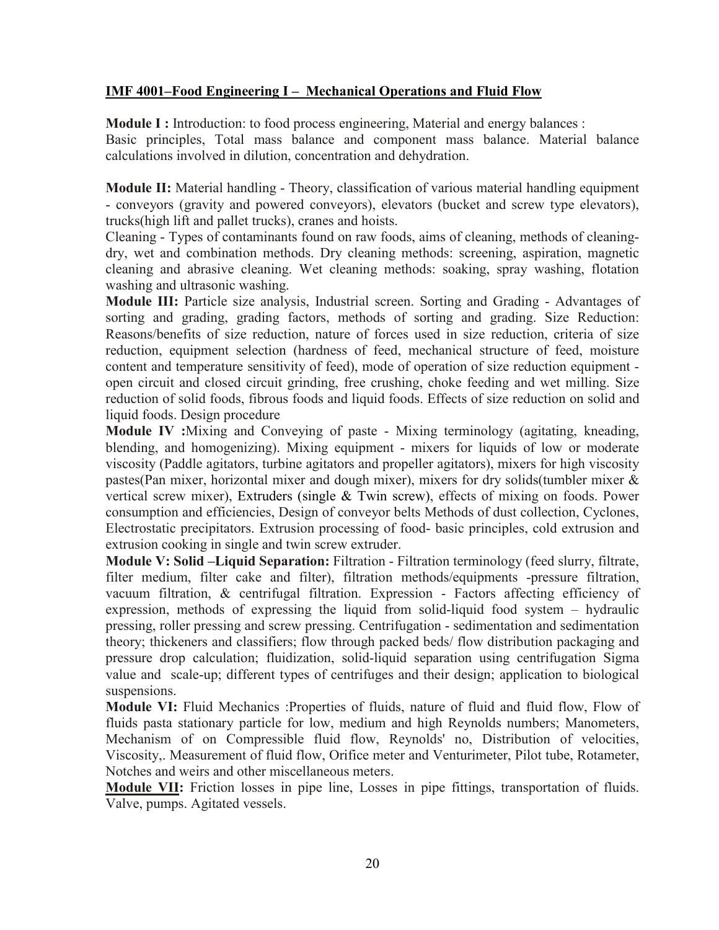### **IMF 4001–Food Engineering I – Mechanical Operations and Fluid Flow**

**Module I :** Introduction: to food process engineering, Material and energy balances : Basic principles, Total mass balance and component mass balance. Material balance calculations involved in dilution, concentration and dehydration.

**Module II:** Material handling - Theory, classification of various material handling equipment - conveyors (gravity and powered conveyors), elevators (bucket and screw type elevators), trucks(high lift and pallet trucks), cranes and hoists.

Cleaning - Types of contaminants found on raw foods, aims of cleaning, methods of cleaningdry, wet and combination methods. Dry cleaning methods: screening, aspiration, magnetic cleaning and abrasive cleaning. Wet cleaning methods: soaking, spray washing, flotation washing and ultrasonic washing.

**Module III:** Particle size analysis, Industrial screen. Sorting and Grading - Advantages of sorting and grading, grading factors, methods of sorting and grading. Size Reduction: Reasons/benefits of size reduction, nature of forces used in size reduction, criteria of size reduction, equipment selection (hardness of feed, mechanical structure of feed, moisture content and temperature sensitivity of feed), mode of operation of size reduction equipment open circuit and closed circuit grinding, free crushing, choke feeding and wet milling. Size reduction of solid foods, fibrous foods and liquid foods. Effects of size reduction on solid and liquid foods. Design procedure

**Module IV :**Mixing and Conveying of paste - Mixing terminology (agitating, kneading, blending, and homogenizing). Mixing equipment - mixers for liquids of low or moderate viscosity (Paddle agitators, turbine agitators and propeller agitators), mixers for high viscosity pastes(Pan mixer, horizontal mixer and dough mixer), mixers for dry solids(tumbler mixer & vertical screw mixer), Extruders (single & Twin screw), effects of mixing on foods. Power consumption and efficiencies, Design of conveyor belts Methods of dust collection, Cyclones, Electrostatic precipitators. Extrusion processing of food- basic principles, cold extrusion and extrusion cooking in single and twin screw extruder.

**Module V: Solid –Liquid Separation:** Filtration - Filtration terminology (feed slurry, filtrate, filter medium, filter cake and filter), filtration methods/equipments -pressure filtration, vacuum filtration, & centrifugal filtration. Expression - Factors affecting efficiency of expression, methods of expressing the liquid from solid-liquid food system – hydraulic pressing, roller pressing and screw pressing. Centrifugation - sedimentation and sedimentation theory; thickeners and classifiers; flow through packed beds/ flow distribution packaging and pressure drop calculation; fluidization, solid-liquid separation using centrifugation Sigma value and scale-up; different types of centrifuges and their design; application to biological suspensions.

**Module VI:** Fluid Mechanics :Properties of fluids, nature of fluid and fluid flow, Flow of fluids pasta stationary particle for low, medium and high Reynolds numbers; Manometers, Mechanism of on Compressible fluid flow, Reynolds' no, Distribution of velocities, Viscosity,. Measurement of fluid flow, Orifice meter and Venturimeter, Pilot tube, Rotameter, Notches and weirs and other miscellaneous meters.

**Module VII:** Friction losses in pipe line, Losses in pipe fittings, transportation of fluids. Valve, pumps. Agitated vessels.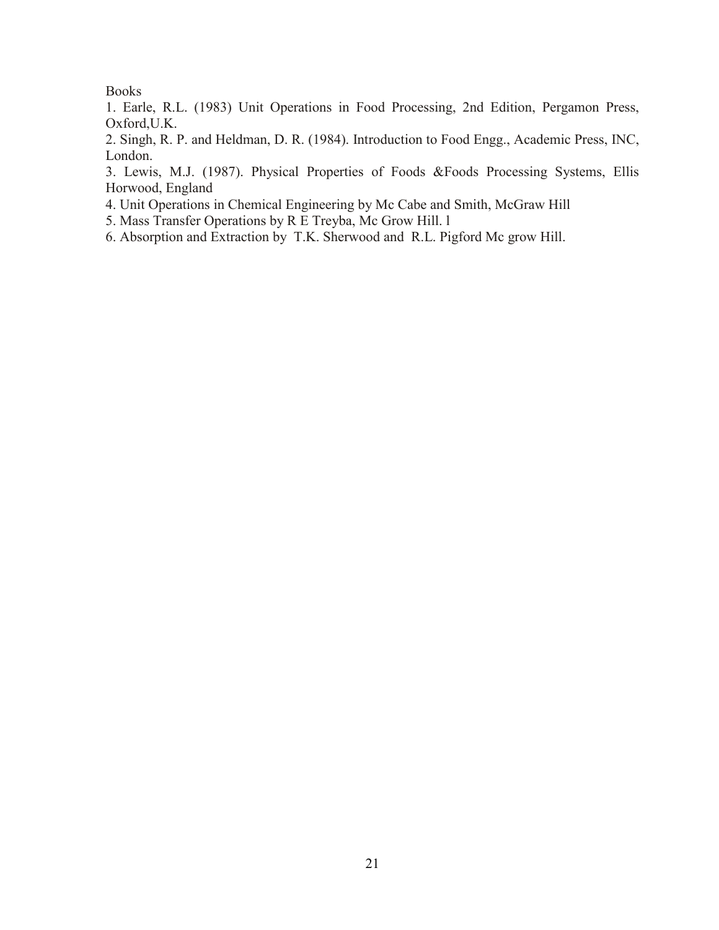### Books

1. Earle, R.L. (1983) Unit Operations in Food Processing, 2nd Edition, Pergamon Press, Oxford,U.K.

2. Singh, R. P. and Heldman, D. R. (1984). Introduction to Food Engg., Academic Press, INC, London.

3. Lewis, M.J. (1987). Physical Properties of Foods &Foods Processing Systems, Ellis Horwood, England

4. Unit Operations in Chemical Engineering by Mc Cabe and Smith, McGraw Hill

5. Mass Transfer Operations by R E Treyba, Mc Grow Hill. l

6. Absorption and Extraction by T.K. Sherwood and R.L. Pigford Mc grow Hill.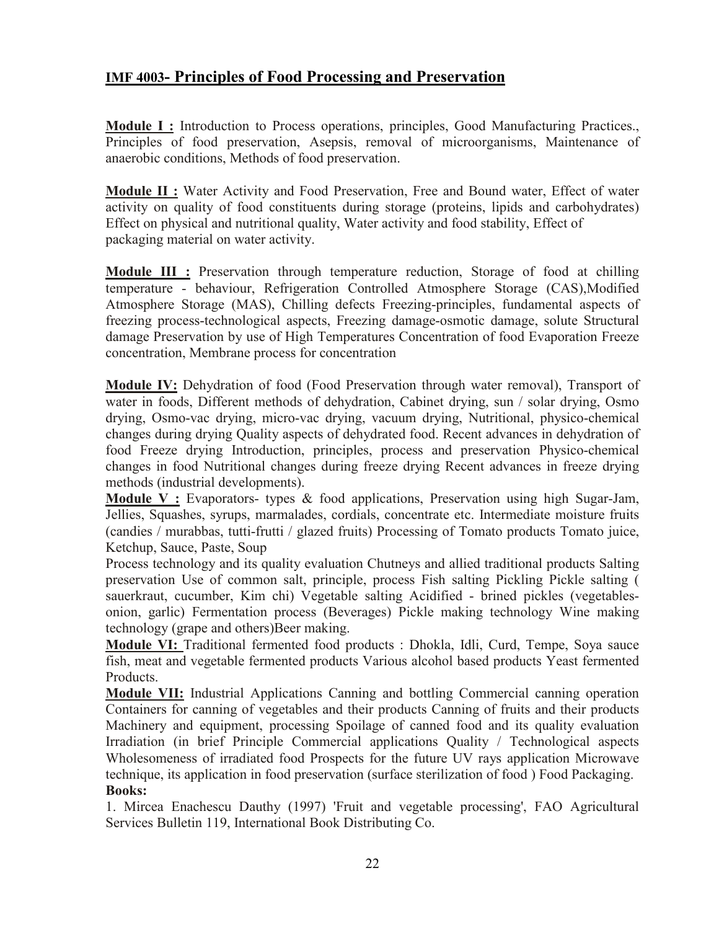# **IMF 4003- Principles of Food Processing and Preservation**

**Module I :** Introduction to Process operations, principles, Good Manufacturing Practices., Principles of food preservation, Asepsis, removal of microorganisms, Maintenance of anaerobic conditions, Methods of food preservation.

**Module II :** Water Activity and Food Preservation, Free and Bound water, Effect of water activity on quality of food constituents during storage (proteins, lipids and carbohydrates) Effect on physical and nutritional quality, Water activity and food stability, Effect of packaging material on water activity.

**Module III :** Preservation through temperature reduction, Storage of food at chilling temperature - behaviour, Refrigeration Controlled Atmosphere Storage (CAS),Modified Atmosphere Storage (MAS), Chilling defects Freezing-principles, fundamental aspects of freezing process-technological aspects, Freezing damage-osmotic damage, solute Structural damage Preservation by use of High Temperatures Concentration of food Evaporation Freeze concentration, Membrane process for concentration

**Module IV:** Dehydration of food (Food Preservation through water removal), Transport of water in foods, Different methods of dehydration, Cabinet drying, sun / solar drying, Osmo drying, Osmo-vac drying, micro-vac drying, vacuum drying, Nutritional, physico-chemical changes during drying Quality aspects of dehydrated food. Recent advances in dehydration of food Freeze drying Introduction, principles, process and preservation Physico-chemical changes in food Nutritional changes during freeze drying Recent advances in freeze drying methods (industrial developments).

**Module V :** Evaporators- types & food applications, Preservation using high Sugar-Jam, Jellies, Squashes, syrups, marmalades, cordials, concentrate etc. Intermediate moisture fruits (candies / murabbas, tutti-frutti / glazed fruits) Processing of Tomato products Tomato juice, Ketchup, Sauce, Paste, Soup

Process technology and its quality evaluation Chutneys and allied traditional products Salting preservation Use of common salt, principle, process Fish salting Pickling Pickle salting ( sauerkraut, cucumber, Kim chi) Vegetable salting Acidified - brined pickles (vegetablesonion, garlic) Fermentation process (Beverages) Pickle making technology Wine making technology (grape and others)Beer making.

**Module VI:** Traditional fermented food products : Dhokla, Idli, Curd, Tempe, Soya sauce fish, meat and vegetable fermented products Various alcohol based products Yeast fermented Products.

**Module VII:** Industrial Applications Canning and bottling Commercial canning operation Containers for canning of vegetables and their products Canning of fruits and their products Machinery and equipment, processing Spoilage of canned food and its quality evaluation Irradiation (in brief Principle Commercial applications Quality / Technological aspects Wholesomeness of irradiated food Prospects for the future UV rays application Microwave technique, its application in food preservation (surface sterilization of food ) Food Packaging. **Books:**

1. Mircea Enachescu Dauthy (1997) 'Fruit and vegetable processing', FAO Agricultural Services Bulletin 119, International Book Distributing Co.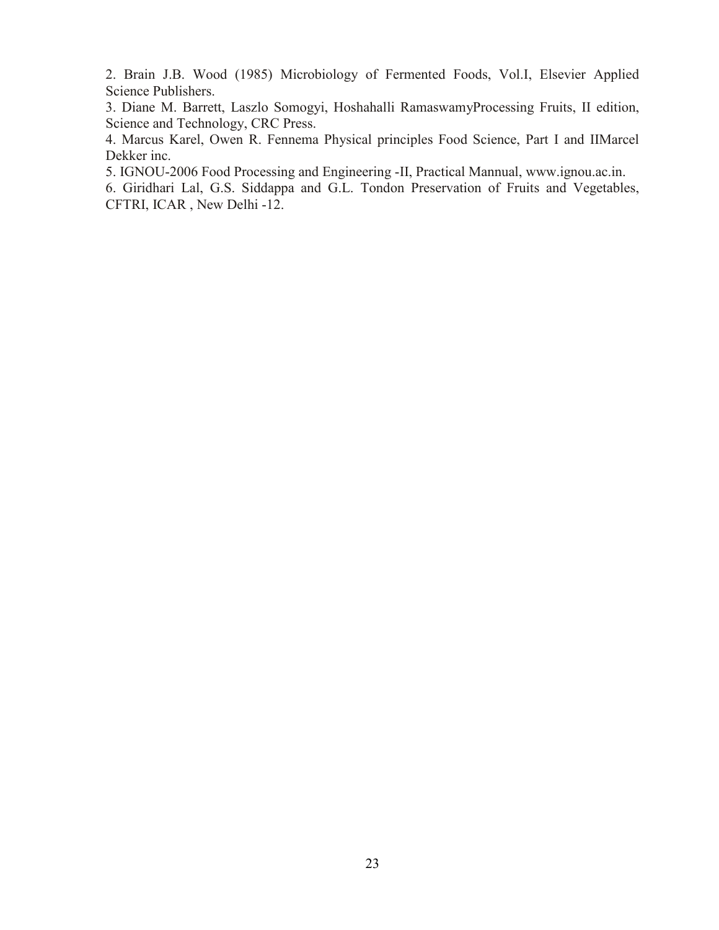2. Brain J.B. Wood (1985) Microbiology of Fermented Foods, Vol.I, Elsevier Applied Science Publishers.

3. Diane M. Barrett, Laszlo Somogyi, Hoshahalli RamaswamyProcessing Fruits, II edition, Science and Technology, CRC Press.

4. Marcus Karel, Owen R. Fennema Physical principles Food Science, Part I and IIMarcel Dekker inc.

5. IGNOU-2006 Food Processing and Engineering -II, Practical Mannual, www.ignou.ac.in.

6. Giridhari Lal, G.S. Siddappa and G.L. Tondon Preservation of Fruits and Vegetables, CFTRI, ICAR , New Delhi -12.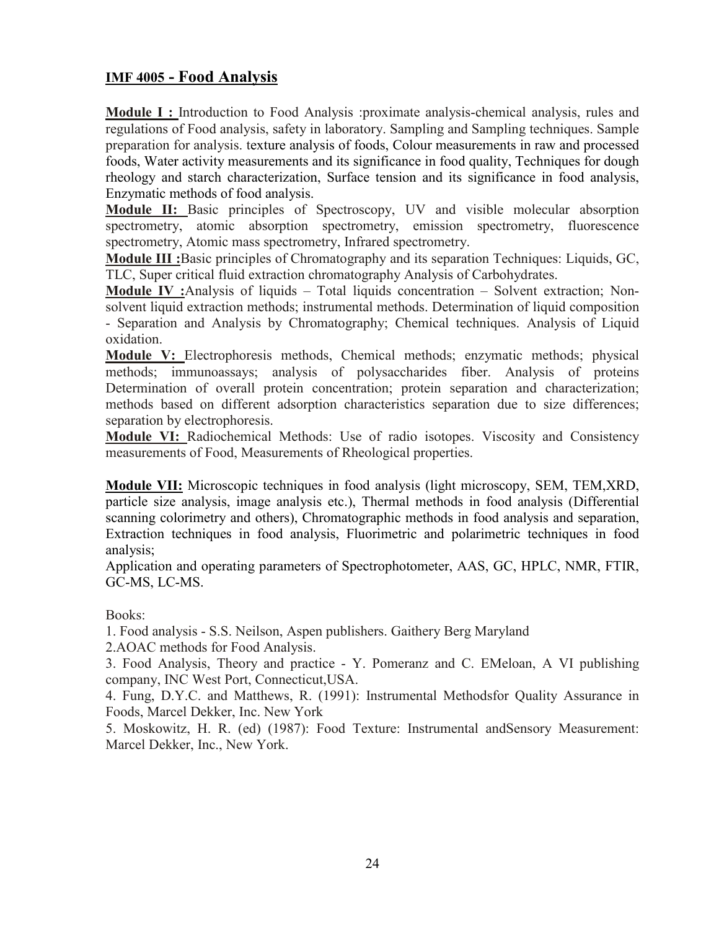# **IMF 4005 - Food Analysis**

**Module I :** Introduction to Food Analysis :proximate analysis-chemical analysis, rules and regulations of Food analysis, safety in laboratory. Sampling and Sampling techniques. Sample preparation for analysis. texture analysis of foods, Colour measurements in raw and processed foods, Water activity measurements and its significance in food quality, Techniques for dough rheology and starch characterization, Surface tension and its significance in food analysis, Enzymatic methods of food analysis.

**Module II:** Basic principles of Spectroscopy, UV and visible molecular absorption spectrometry, atomic absorption spectrometry, emission spectrometry, fluorescence spectrometry, Atomic mass spectrometry, Infrared spectrometry.

**Module III :**Basic principles of Chromatography and its separation Techniques: Liquids, GC, TLC, Super critical fluid extraction chromatography Analysis of Carbohydrates.

**Module IV :**Analysis of liquids – Total liquids concentration – Solvent extraction; Nonsolvent liquid extraction methods; instrumental methods. Determination of liquid composition - Separation and Analysis by Chromatography; Chemical techniques. Analysis of Liquid oxidation.

**Module V:** Electrophoresis methods, Chemical methods; enzymatic methods; physical methods; immunoassays; analysis of polysaccharides fiber. Analysis of proteins Determination of overall protein concentration; protein separation and characterization; methods based on different adsorption characteristics separation due to size differences; separation by electrophoresis.

**Module VI:** Radiochemical Methods: Use of radio isotopes. Viscosity and Consistency measurements of Food, Measurements of Rheological properties.

**Module VII:** Microscopic techniques in food analysis (light microscopy, SEM, TEM,XRD, particle size analysis, image analysis etc.), Thermal methods in food analysis (Differential scanning colorimetry and others), Chromatographic methods in food analysis and separation, Extraction techniques in food analysis, Fluorimetric and polarimetric techniques in food analysis;

Application and operating parameters of Spectrophotometer, AAS, GC, HPLC, NMR, FTIR, GC-MS, LC-MS.

Books:

1. Food analysis - S.S. Neilson, Aspen publishers. Gaithery Berg Maryland

2.AOAC methods for Food Analysis.

3. Food Analysis, Theory and practice - Y. Pomeranz and C. EMeloan, A VI publishing company, INC West Port, Connecticut,USA.

4. Fung, D.Y.C. and Matthews, R. (1991): Instrumental Methodsfor Quality Assurance in Foods, Marcel Dekker, Inc. New York

5. Moskowitz, H. R. (ed) (1987): Food Texture: Instrumental andSensory Measurement: Marcel Dekker, Inc., New York.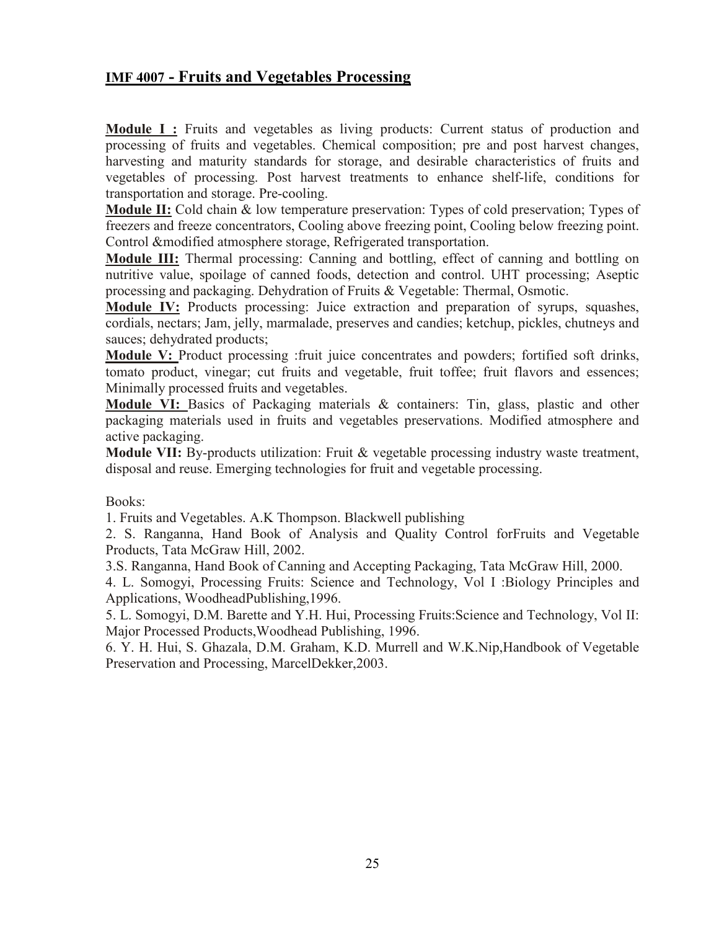# **IMF 4007 - Fruits and Vegetables Processing**

**Module I :** Fruits and vegetables as living products: Current status of production and processing of fruits and vegetables. Chemical composition; pre and post harvest changes, harvesting and maturity standards for storage, and desirable characteristics of fruits and vegetables of processing. Post harvest treatments to enhance shelf-life, conditions for transportation and storage. Pre-cooling.

**Module II:** Cold chain & low temperature preservation: Types of cold preservation; Types of freezers and freeze concentrators, Cooling above freezing point, Cooling below freezing point. Control &modified atmosphere storage, Refrigerated transportation.

**Module III:** Thermal processing: Canning and bottling, effect of canning and bottling on nutritive value, spoilage of canned foods, detection and control. UHT processing; Aseptic processing and packaging. Dehydration of Fruits & Vegetable: Thermal, Osmotic.

**Module IV:** Products processing: Juice extraction and preparation of syrups, squashes, cordials, nectars; Jam, jelly, marmalade, preserves and candies; ketchup, pickles, chutneys and sauces; dehydrated products;

**Module V:** Product processing :fruit juice concentrates and powders; fortified soft drinks, tomato product, vinegar; cut fruits and vegetable, fruit toffee; fruit flavors and essences; Minimally processed fruits and vegetables.

**Module VI:** Basics of Packaging materials & containers: Tin, glass, plastic and other packaging materials used in fruits and vegetables preservations. Modified atmosphere and active packaging.

**Module VII:** By-products utilization: Fruit & vegetable processing industry waste treatment, disposal and reuse. Emerging technologies for fruit and vegetable processing.

Books:

1. Fruits and Vegetables. A.K Thompson. Blackwell publishing

2. S. Ranganna, Hand Book of Analysis and Quality Control forFruits and Vegetable Products, Tata McGraw Hill, 2002.

3.S. Ranganna, Hand Book of Canning and Accepting Packaging, Tata McGraw Hill, 2000.

4. L. Somogyi, Processing Fruits: Science and Technology, Vol I :Biology Principles and Applications, WoodheadPublishing,1996.

5. L. Somogyi, D.M. Barette and Y.H. Hui, Processing Fruits:Science and Technology, Vol II: Major Processed Products,Woodhead Publishing, 1996.

6. Y. H. Hui, S. Ghazala, D.M. Graham, K.D. Murrell and W.K.Nip,Handbook of Vegetable Preservation and Processing, MarcelDekker,2003.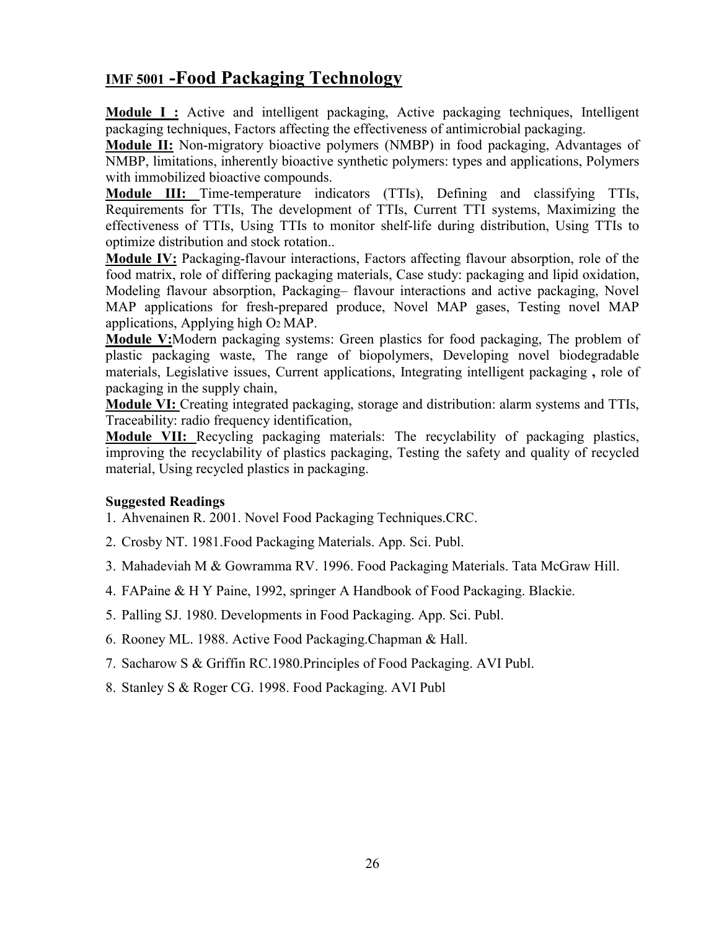# **IMF 5001 -Food Packaging Technology**

**Module I:** Active and intelligent packaging, Active packaging techniques, Intelligent packaging techniques, Factors affecting the effectiveness of antimicrobial packaging.

**Module II:** Non-migratory bioactive polymers (NMBP) in food packaging, Advantages of NMBP, limitations, inherently bioactive synthetic polymers: types and applications, Polymers with immobilized bioactive compounds.

**Module III:** Time-temperature indicators (TTIs), Defining and classifying TTIs, Requirements for TTIs, The development of TTIs, Current TTI systems, Maximizing the effectiveness of TTIs, Using TTIs to monitor shelf-life during distribution, Using TTIs to optimize distribution and stock rotation..

**Module IV:** Packaging-flavour interactions, Factors affecting flavour absorption, role of the food matrix, role of differing packaging materials, Case study: packaging and lipid oxidation, Modeling flavour absorption, Packaging– flavour interactions and active packaging, Novel MAP applications for fresh-prepared produce, Novel MAP gases, Testing novel MAP applications, Applying high O2 MAP.

**Module V:**Modern packaging systems: Green plastics for food packaging, The problem of plastic packaging waste, The range of biopolymers, Developing novel biodegradable materials, Legislative issues, Current applications, Integrating intelligent packaging **,** role of packaging in the supply chain,

**Module VI:** Creating integrated packaging, storage and distribution: alarm systems and TTIs, Traceability: radio frequency identification,

**Module VII:** Recycling packaging materials: The recyclability of packaging plastics, improving the recyclability of plastics packaging, Testing the safety and quality of recycled material, Using recycled plastics in packaging.

### **Suggested Readings**

- 1. Ahvenainen R. 2001. Novel Food Packaging Techniques.CRC.
- 2. Crosby NT. 1981.Food Packaging Materials. App. Sci. Publ.
- 3. Mahadeviah M & Gowramma RV. 1996. Food Packaging Materials. Tata McGraw Hill.
- 4. FAPaine & H Y Paine, 1992, springer A Handbook of Food Packaging. Blackie.
- 5. Palling SJ. 1980. Developments in Food Packaging. App. Sci. Publ.
- 6. Rooney ML. 1988. Active Food Packaging.Chapman & Hall.
- 7. Sacharow S & Griffin RC.1980.Principles of Food Packaging. AVI Publ.
- 8. Stanley S & Roger CG. 1998. Food Packaging. AVI Publ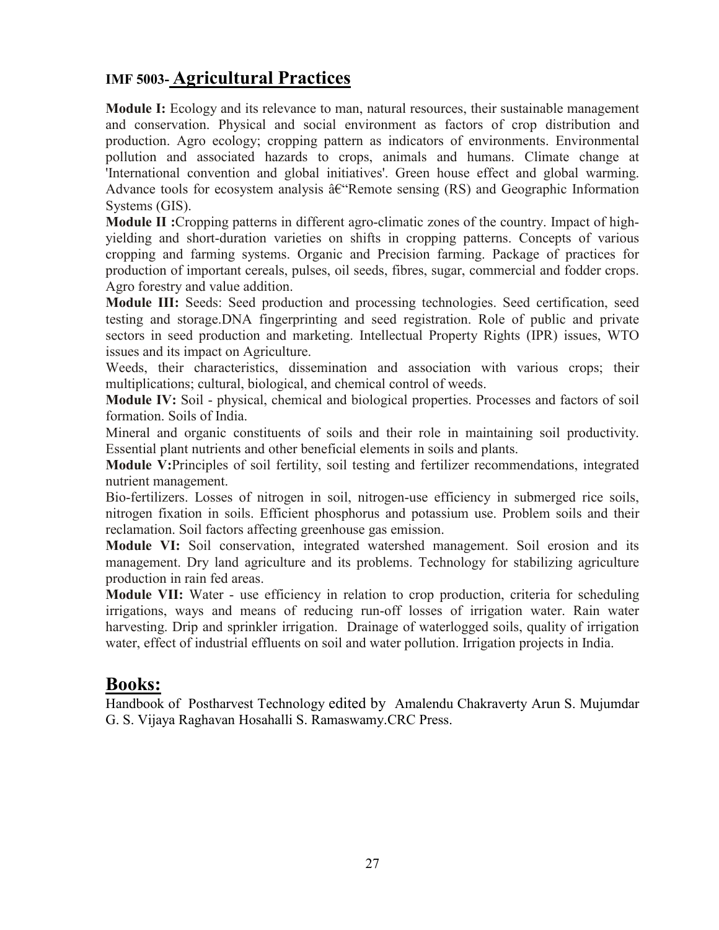# **IMF 5003- Agricultural Practices**

**Module I:** Ecology and its relevance to man, natural resources, their sustainable management and conservation. Physical and social environment as factors of crop distribution and production. Agro ecology; cropping pattern as indicators of environments. Environmental pollution and associated hazards to crops, animals and humans. Climate change at 'International convention and global initiatives'. Green house effect and global warming. Advance tools for ecosystem analysis  $\hat{a} \hat{\epsilon}$  Remote sensing (RS) and Geographic Information Systems (GIS).

**Module II :**Cropping patterns in different agro-climatic zones of the country. Impact of highyielding and short-duration varieties on shifts in cropping patterns. Concepts of various cropping and farming systems. Organic and Precision farming. Package of practices for production of important cereals, pulses, oil seeds, fibres, sugar, commercial and fodder crops. Agro forestry and value addition.

**Module III:** Seeds: Seed production and processing technologies. Seed certification, seed testing and storage.DNA fingerprinting and seed registration. Role of public and private sectors in seed production and marketing. Intellectual Property Rights (IPR) issues, WTO issues and its impact on Agriculture.

Weeds, their characteristics, dissemination and association with various crops; their multiplications; cultural, biological, and chemical control of weeds.

**Module IV:** Soil - physical, chemical and biological properties. Processes and factors of soil formation. Soils of India.

Mineral and organic constituents of soils and their role in maintaining soil productivity. Essential plant nutrients and other beneficial elements in soils and plants.

**Module V:**Principles of soil fertility, soil testing and fertilizer recommendations, integrated nutrient management.

Bio-fertilizers. Losses of nitrogen in soil, nitrogen-use efficiency in submerged rice soils, nitrogen fixation in soils. Efficient phosphorus and potassium use. Problem soils and their reclamation. Soil factors affecting greenhouse gas emission.

**Module VI:** Soil conservation, integrated watershed management. Soil erosion and its management. Dry land agriculture and its problems. Technology for stabilizing agriculture production in rain fed areas.

**Module VII:** Water - use efficiency in relation to crop production, criteria for scheduling irrigations, ways and means of reducing run-off losses of irrigation water. Rain water harvesting. Drip and sprinkler irrigation. Drainage of waterlogged soils, quality of irrigation water, effect of industrial effluents on soil and water pollution. Irrigation projects in India.

# **Books:**

Handbook of Postharvest Technology edited by Amalendu Chakraverty Arun S. Mujumdar G. S. Vijaya Raghavan Hosahalli S. Ramaswamy.CRC Press.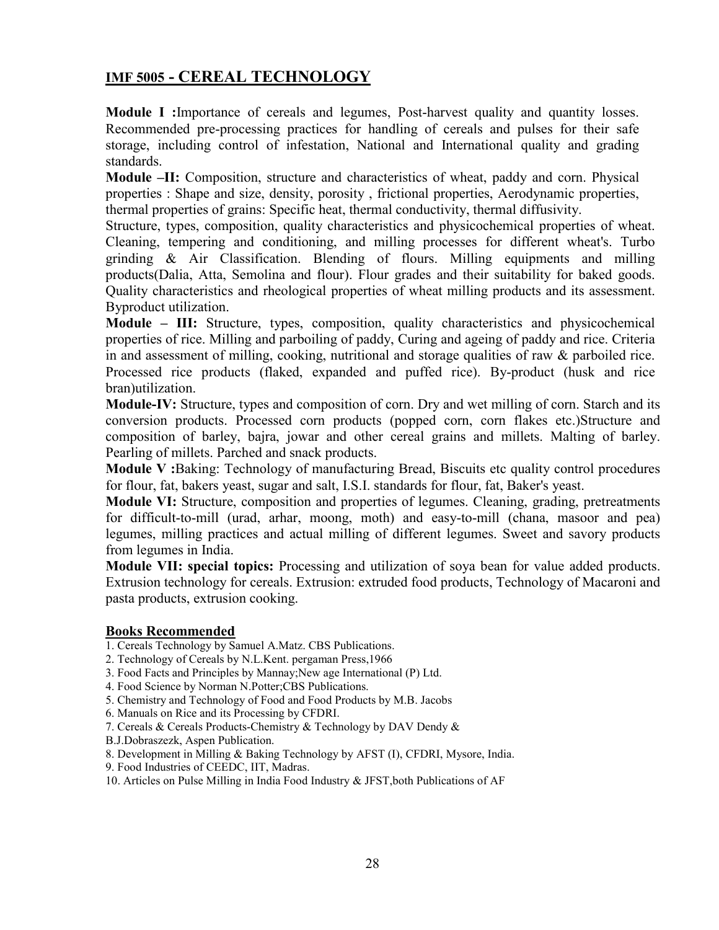# **IMF 5005 - CEREAL TECHNOLOGY**

**Module I :**Importance of cereals and legumes, Post-harvest quality and quantity losses. Recommended pre-processing practices for handling of cereals and pulses for their safe storage, including control of infestation, National and International quality and grading standards.

**Module –II:** Composition, structure and characteristics of wheat, paddy and corn. Physical properties : Shape and size, density, porosity , frictional properties, Aerodynamic properties, thermal properties of grains: Specific heat, thermal conductivity, thermal diffusivity.

Structure, types, composition, quality characteristics and physicochemical properties of wheat. Cleaning, tempering and conditioning, and milling processes for different wheat's. Turbo grinding & Air Classification. Blending of flours. Milling equipments and milling products(Dalia, Atta, Semolina and flour). Flour grades and their suitability for baked goods. Quality characteristics and rheological properties of wheat milling products and its assessment. Byproduct utilization.

**Module – III:** Structure, types, composition, quality characteristics and physicochemical properties of rice. Milling and parboiling of paddy, Curing and ageing of paddy and rice. Criteria in and assessment of milling, cooking, nutritional and storage qualities of raw & parboiled rice. Processed rice products (flaked, expanded and puffed rice). By-product (husk and rice bran)utilization.

**Module-IV:** Structure, types and composition of corn. Dry and wet milling of corn. Starch and its conversion products. Processed corn products (popped corn, corn flakes etc.)Structure and composition of barley, bajra, jowar and other cereal grains and millets. Malting of barley. Pearling of millets. Parched and snack products.

**Module V :**Baking: Technology of manufacturing Bread, Biscuits etc quality control procedures for flour, fat, bakers yeast, sugar and salt, I.S.I. standards for flour, fat, Baker's yeast.

**Module VI:** Structure, composition and properties of legumes. Cleaning, grading, pretreatments for difficult-to-mill (urad, arhar, moong, moth) and easy-to-mill (chana, masoor and pea) legumes, milling practices and actual milling of different legumes. Sweet and savory products from legumes in India.

**Module VII: special topics:** Processing and utilization of soya bean for value added products. Extrusion technology for cereals. Extrusion: extruded food products, Technology of Macaroni and pasta products, extrusion cooking.

### **Books Recommended**

- 1. Cereals Technology by Samuel A.Matz. CBS Publications.
- 2. Technology of Cereals by N.L.Kent. pergaman Press,1966
- 3. Food Facts and Principles by Mannay;New age International (P) Ltd.
- 4. Food Science by Norman N.Potter;CBS Publications.
- 5. Chemistry and Technology of Food and Food Products by M.B. Jacobs
- 6. Manuals on Rice and its Processing by CFDRI.
- 7. Cereals & Cereals Products-Chemistry & Technology by DAV Dendy &
- B.J.Dobraszezk, Aspen Publication.
- 8. Development in Milling & Baking Technology by AFST (I), CFDRI, Mysore, India.
- 9. Food Industries of CEEDC, IIT, Madras.
- 10. Articles on Pulse Milling in India Food Industry & JFST,both Publications of AF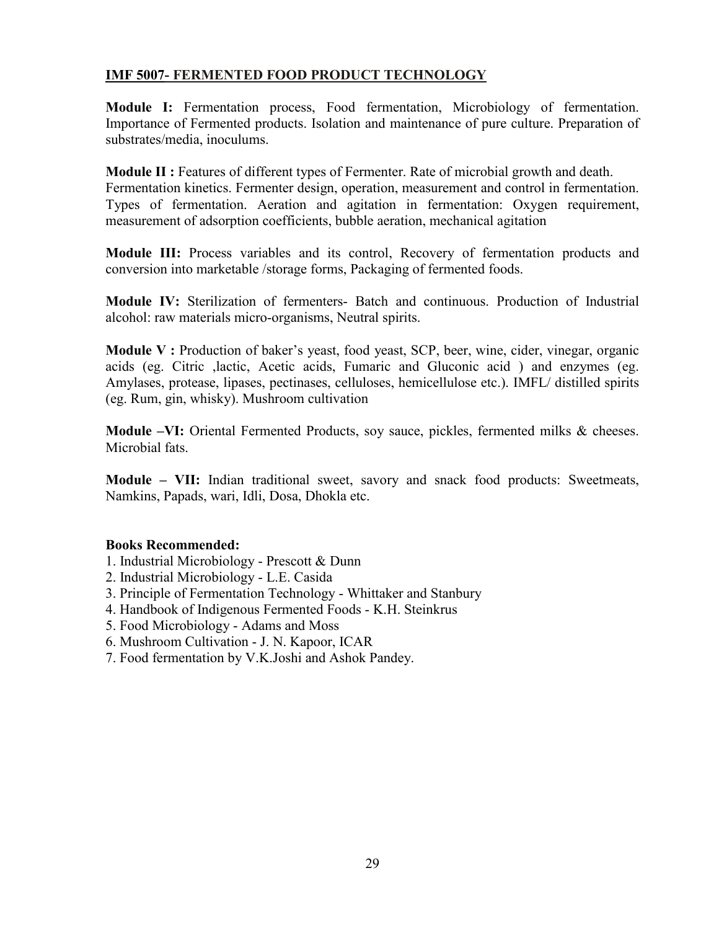### **IMF 5007- FERMENTED FOOD PRODUCT TECHNOLOGY**

**Module I:** Fermentation process, Food fermentation, Microbiology of fermentation. Importance of Fermented products. Isolation and maintenance of pure culture. Preparation of substrates/media, inoculums.

**Module II :** Features of different types of Fermenter. Rate of microbial growth and death. Fermentation kinetics. Fermenter design, operation, measurement and control in fermentation. Types of fermentation. Aeration and agitation in fermentation: Oxygen requirement, measurement of adsorption coefficients, bubble aeration, mechanical agitation

**Module III:** Process variables and its control, Recovery of fermentation products and conversion into marketable /storage forms, Packaging of fermented foods.

**Module IV:** Sterilization of fermenters- Batch and continuous. Production of Industrial alcohol: raw materials micro-organisms, Neutral spirits.

**Module V :** Production of baker's yeast, food yeast, SCP, beer, wine, cider, vinegar, organic acids (eg. Citric ,lactic, Acetic acids, Fumaric and Gluconic acid ) and enzymes (eg. Amylases, protease, lipases, pectinases, celluloses, hemicellulose etc.). IMFL/ distilled spirits (eg. Rum, gin, whisky). Mushroom cultivation

**Module –VI:** Oriental Fermented Products, soy sauce, pickles, fermented milks & cheeses. Microbial fats.

**Module – VII:** Indian traditional sweet, savory and snack food products: Sweetmeats, Namkins, Papads, wari, Idli, Dosa, Dhokla etc.

### **Books Recommended:**

- 1. Industrial Microbiology Prescott & Dunn
- 2. Industrial Microbiology L.E. Casida
- 3. Principle of Fermentation Technology Whittaker and Stanbury
- 4. Handbook of Indigenous Fermented Foods K.H. Steinkrus
- 5. Food Microbiology Adams and Moss
- 6. Mushroom Cultivation J. N. Kapoor, ICAR
- 7. Food fermentation by V.K.Joshi and Ashok Pandey.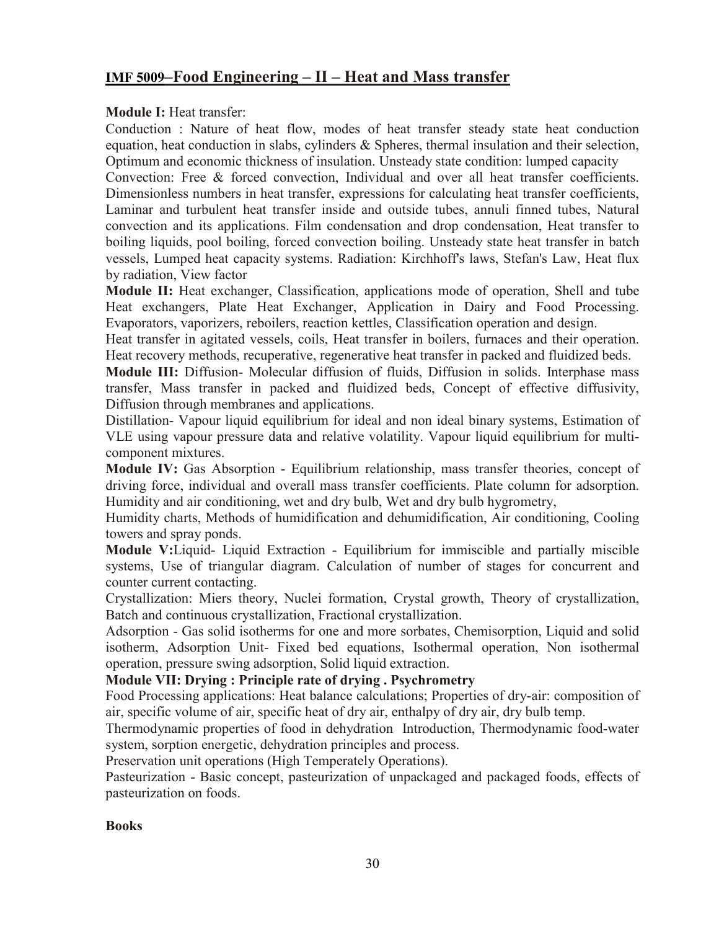# **IMF 5009–Food Engineering – II – Heat and Mass transfer**

### **Module I:** Heat transfer:

Conduction : Nature of heat flow, modes of heat transfer steady state heat conduction equation, heat conduction in slabs, cylinders & Spheres, thermal insulation and their selection, Optimum and economic thickness of insulation. Unsteady state condition: lumped capacity

Convection: Free & forced convection, Individual and over all heat transfer coefficients. Dimensionless numbers in heat transfer, expressions for calculating heat transfer coefficients, Laminar and turbulent heat transfer inside and outside tubes, annuli finned tubes, Natural convection and its applications. Film condensation and drop condensation, Heat transfer to boiling liquids, pool boiling, forced convection boiling. Unsteady state heat transfer in batch vessels, Lumped heat capacity systems. Radiation: Kirchhoff's laws, Stefan's Law, Heat flux by radiation, View factor

**Module II:** Heat exchanger, Classification, applications mode of operation, Shell and tube Heat exchangers, Plate Heat Exchanger, Application in Dairy and Food Processing. Evaporators, vaporizers, reboilers, reaction kettles, Classification operation and design.

Heat transfer in agitated vessels, coils, Heat transfer in boilers, furnaces and their operation. Heat recovery methods, recuperative, regenerative heat transfer in packed and fluidized beds.

**Module III:** Diffusion- Molecular diffusion of fluids, Diffusion in solids. Interphase mass transfer, Mass transfer in packed and fluidized beds, Concept of effective diffusivity, Diffusion through membranes and applications.

Distillation- Vapour liquid equilibrium for ideal and non ideal binary systems, Estimation of VLE using vapour pressure data and relative volatility. Vapour liquid equilibrium for multicomponent mixtures.

**Module IV:** Gas Absorption - Equilibrium relationship, mass transfer theories, concept of driving force, individual and overall mass transfer coefficients. Plate column for adsorption. Humidity and air conditioning, wet and dry bulb, Wet and dry bulb hygrometry,

Humidity charts, Methods of humidification and dehumidification, Air conditioning, Cooling towers and spray ponds.

**Module V:**Liquid- Liquid Extraction - Equilibrium for immiscible and partially miscible systems, Use of triangular diagram. Calculation of number of stages for concurrent and counter current contacting.

Crystallization: Miers theory, Nuclei formation, Crystal growth, Theory of crystallization, Batch and continuous crystallization, Fractional crystallization.

Adsorption - Gas solid isotherms for one and more sorbates, Chemisorption, Liquid and solid isotherm, Adsorption Unit- Fixed bed equations, Isothermal operation, Non isothermal operation, pressure swing adsorption, Solid liquid extraction.

### **Module VII: Drying : Principle rate of drying . Psychrometry**

Food Processing applications: Heat balance calculations; Properties of dry-air: composition of air, specific volume of air, specific heat of dry air, enthalpy of dry air, dry bulb temp.

Thermodynamic properties of food in dehydration Introduction, Thermodynamic food-water system, sorption energetic, dehydration principles and process.

Preservation unit operations (High Temperately Operations).

Pasteurization - Basic concept, pasteurization of unpackaged and packaged foods, effects of pasteurization on foods.

### **Books**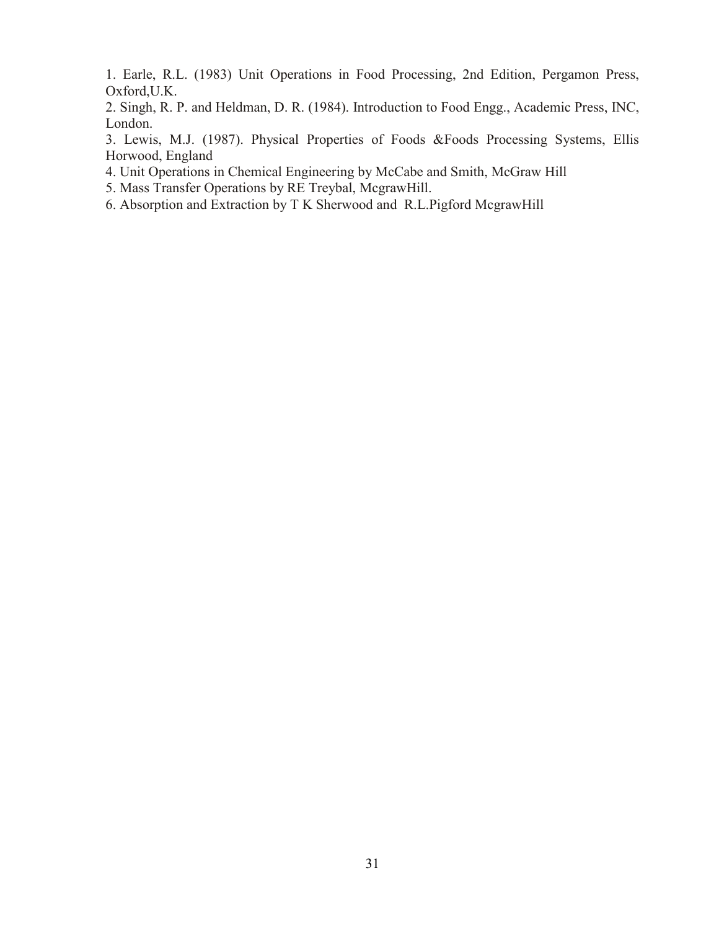1. Earle, R.L. (1983) Unit Operations in Food Processing, 2nd Edition, Pergamon Press, Oxford,U.K.

2. Singh, R. P. and Heldman, D. R. (1984). Introduction to Food Engg., Academic Press, INC, London.

3. Lewis, M.J. (1987). Physical Properties of Foods &Foods Processing Systems, Ellis Horwood, England

4. Unit Operations in Chemical Engineering by McCabe and Smith, McGraw Hill

5. Mass Transfer Operations by RE Treybal, McgrawHill.

6. Absorption and Extraction by T K Sherwood and R.L.Pigford McgrawHill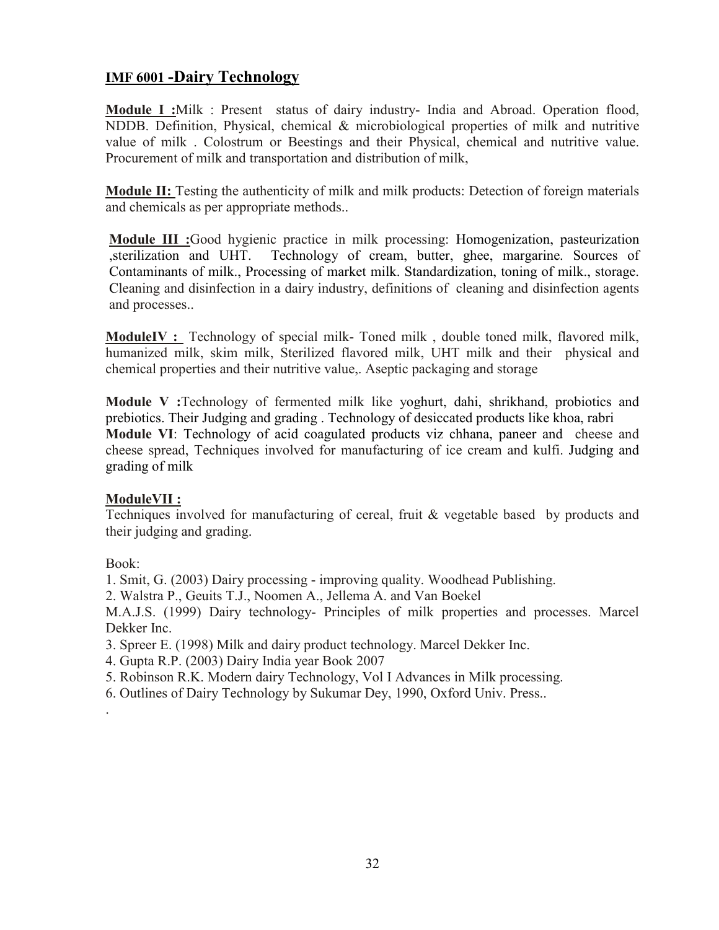# **IMF 6001 -Dairy Technology**

**Module I :**Milk : Present status of dairy industry- India and Abroad. Operation flood, NDDB. Definition, Physical, chemical & microbiological properties of milk and nutritive value of milk . Colostrum or Beestings and their Physical, chemical and nutritive value. Procurement of milk and transportation and distribution of milk,

**Module II:** Testing the authenticity of milk and milk products: Detection of foreign materials and chemicals as per appropriate methods..

**Module III :**Good hygienic practice in milk processing: Homogenization, pasteurization ,sterilization and UHT. Technology of cream, butter, ghee, margarine. Sources of Contaminants of milk., Processing of market milk. Standardization, toning of milk., storage. Cleaning and disinfection in a dairy industry, definitions of cleaning and disinfection agents and processes..

**ModuleIV :** Technology of special milk- Toned milk , double toned milk, flavored milk, humanized milk, skim milk, Sterilized flavored milk, UHT milk and their physical and chemical properties and their nutritive value,. Aseptic packaging and storage

**Module V :**Technology of fermented milk like yoghurt, dahi, shrikhand, probiotics and prebiotics. Their Judging and grading . Technology of desiccated products like khoa, rabri **Module VI**: Technology of acid coagulated products viz chhana, paneer and cheese and cheese spread, Techniques involved for manufacturing of ice cream and kulfi. Judging and grading of milk

### **ModuleVII :**

Techniques involved for manufacturing of cereal, fruit & vegetable based by products and their judging and grading.

Book:

.

1. Smit, G. (2003) Dairy processing - improving quality. Woodhead Publishing.

2. Walstra P., Geuits T.J., Noomen A., Jellema A. and Van Boekel

M.A.J.S. (1999) Dairy technology- Principles of milk properties and processes. Marcel Dekker Inc.

3. Spreer E. (1998) Milk and dairy product technology. Marcel Dekker Inc.

4. Gupta R.P. (2003) Dairy India year Book 2007

- 5. Robinson R.K. Modern dairy Technology, Vol I Advances in Milk processing.
- 6. Outlines of Dairy Technology by Sukumar Dey, 1990, Oxford Univ. Press..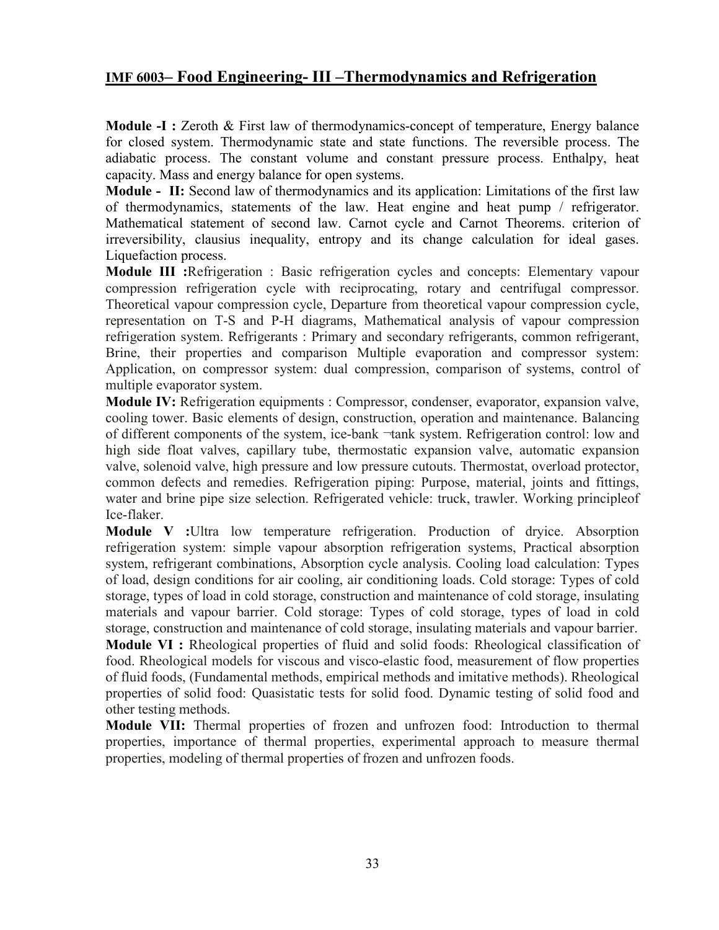## **IMF 6003– Food Engineering- III –Thermodynamics and Refrigeration**

**Module -I :** Zeroth & First law of thermodynamics-concept of temperature, Energy balance for closed system. Thermodynamic state and state functions. The reversible process. The adiabatic process. The constant volume and constant pressure process. Enthalpy, heat capacity. Mass and energy balance for open systems.

**Module - II:** Second law of thermodynamics and its application: Limitations of the first law of thermodynamics, statements of the law. Heat engine and heat pump / refrigerator. Mathematical statement of second law. Carnot cycle and Carnot Theorems. criterion of irreversibility, clausius inequality, entropy and its change calculation for ideal gases. Liquefaction process.

**Module III :**Refrigeration : Basic refrigeration cycles and concepts: Elementary vapour compression refrigeration cycle with reciprocating, rotary and centrifugal compressor. Theoretical vapour compression cycle, Departure from theoretical vapour compression cycle, representation on T-S and P-H diagrams, Mathematical analysis of vapour compression refrigeration system. Refrigerants : Primary and secondary refrigerants, common refrigerant, Brine, their properties and comparison Multiple evaporation and compressor system: Application, on compressor system: dual compression, comparison of systems, control of multiple evaporator system.

**Module IV:** Refrigeration equipments : Compressor, condenser, evaporator, expansion valve, cooling tower. Basic elements of design, construction, operation and maintenance. Balancing of different components of the system, ice-bank ¬tank system. Refrigeration control: low and high side float valves, capillary tube, thermostatic expansion valve, automatic expansion valve, solenoid valve, high pressure and low pressure cutouts. Thermostat, overload protector, common defects and remedies. Refrigeration piping: Purpose, material, joints and fittings, water and brine pipe size selection. Refrigerated vehicle: truck, trawler. Working principleof Ice-flaker.

**Module V :**Ultra low temperature refrigeration. Production of dryice. Absorption refrigeration system: simple vapour absorption refrigeration systems, Practical absorption system, refrigerant combinations, Absorption cycle analysis. Cooling load calculation: Types of load, design conditions for air cooling, air conditioning loads. Cold storage: Types of cold storage, types of load in cold storage, construction and maintenance of cold storage, insulating materials and vapour barrier. Cold storage: Types of cold storage, types of load in cold storage, construction and maintenance of cold storage, insulating materials and vapour barrier. **Module VI :** Rheological properties of fluid and solid foods: Rheological classification of food. Rheological models for viscous and visco-elastic food, measurement of flow properties of fluid foods, (Fundamental methods, empirical methods and imitative methods). Rheological properties of solid food: Quasistatic tests for solid food. Dynamic testing of solid food and other testing methods.

**Module VII:** Thermal properties of frozen and unfrozen food: Introduction to thermal properties, importance of thermal properties, experimental approach to measure thermal properties, modeling of thermal properties of frozen and unfrozen foods.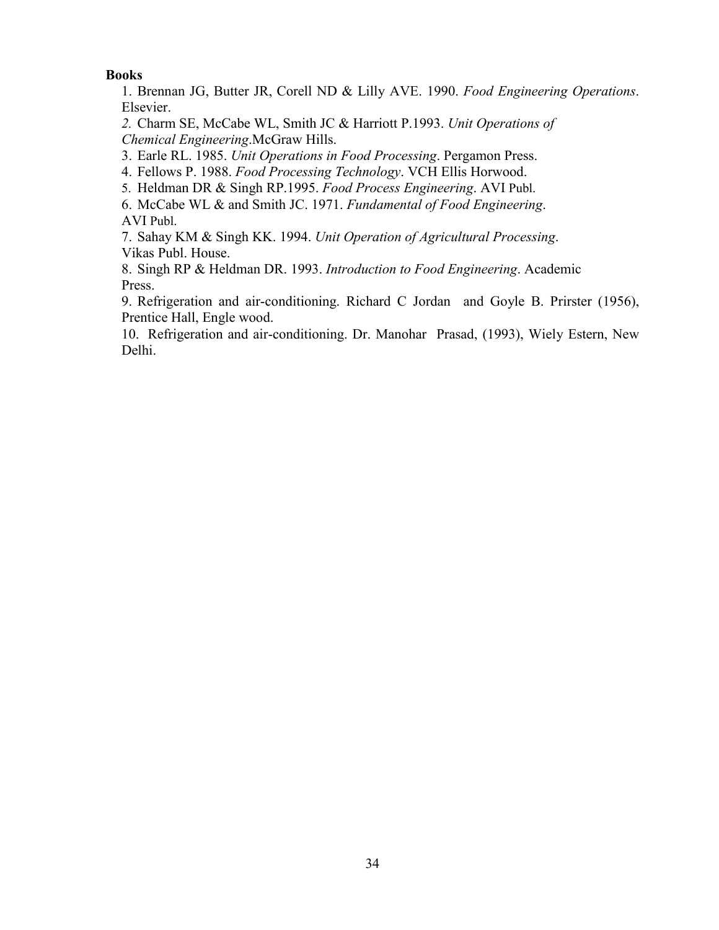### **Books**

1. Brennan JG, Butter JR, Corell ND & Lilly AVE. 1990. *Food Engineering Operations*. Elsevier.

*2.* Charm SE, McCabe WL, Smith JC & Harriott P.1993. *Unit Operations of Chemical Engineering*.McGraw Hills.

3. Earle RL. 1985. *Unit Operations in Food Processing*. Pergamon Press.

4. Fellows P. 1988. *Food Processing Technology*. VCH Ellis Horwood.

5. Heldman DR & Singh RP.1995. *Food Process Engineering*. AVI Publ.

6. McCabe WL & and Smith JC. 1971. *Fundamental of Food Engineering*. AVI Publ.

7. Sahay KM & Singh KK. 1994. *Unit Operation of Agricultural Processing*. Vikas Publ. House.

8. Singh RP & Heldman DR. 1993. *Introduction to Food Engineering*. Academic Press.

9. Refrigeration and air-conditioning. Richard C Jordan and Goyle B. Prirster (1956), Prentice Hall, Engle wood.

10. Refrigeration and air-conditioning. Dr. Manohar Prasad, (1993), Wiely Estern, New Delhi.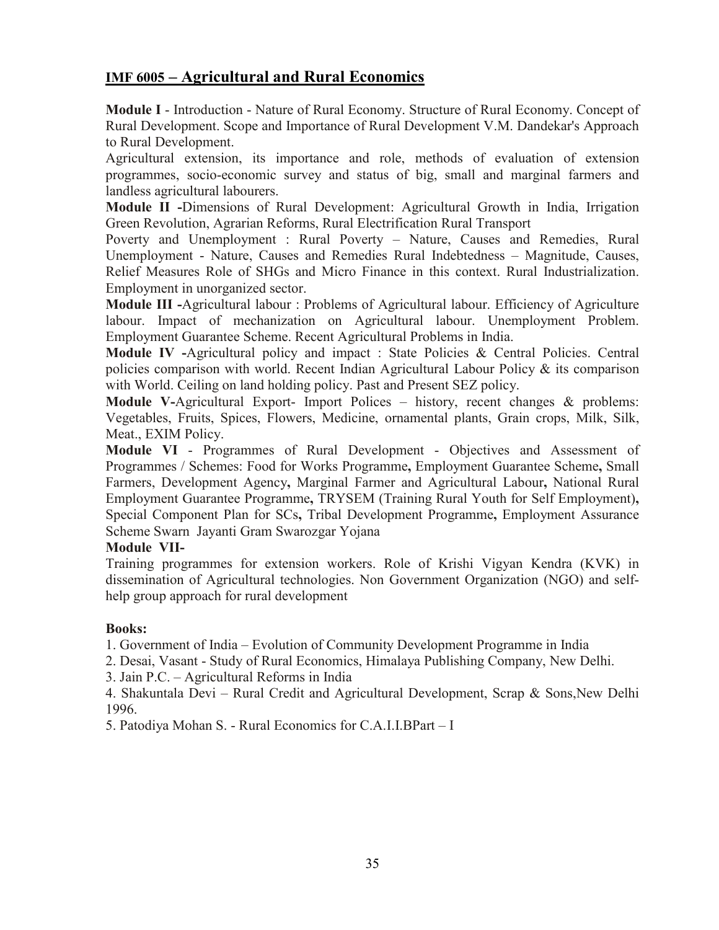# **IMF 6005 – Agricultural and Rural Economics**

**Module I** - Introduction - Nature of Rural Economy. Structure of Rural Economy. Concept of Rural Development. Scope and Importance of Rural Development V.M. Dandekar's Approach to Rural Development.

Agricultural extension, its importance and role, methods of evaluation of extension programmes, socio-economic survey and status of big, small and marginal farmers and landless agricultural labourers.

**Module II -**Dimensions of Rural Development: Agricultural Growth in India, Irrigation Green Revolution, Agrarian Reforms, Rural Electrification Rural Transport

Poverty and Unemployment : Rural Poverty – Nature, Causes and Remedies, Rural Unemployment - Nature, Causes and Remedies Rural Indebtedness – Magnitude, Causes, Relief Measures Role of SHGs and Micro Finance in this context. Rural Industrialization. Employment in unorganized sector.

**Module III -**Agricultural labour : Problems of Agricultural labour. Efficiency of Agriculture labour. Impact of mechanization on Agricultural labour. Unemployment Problem. Employment Guarantee Scheme. Recent Agricultural Problems in India.

**Module IV -**Agricultural policy and impact : State Policies & Central Policies. Central policies comparison with world. Recent Indian Agricultural Labour Policy  $\&$  its comparison with World. Ceiling on land holding policy. Past and Present SEZ policy.

**Module V-**Agricultural Export- Import Polices – history, recent changes & problems: Vegetables, Fruits, Spices, Flowers, Medicine, ornamental plants, Grain crops, Milk, Silk, Meat., EXIM Policy.

**Module VI** - Programmes of Rural Development - Objectives and Assessment of Programmes / Schemes: Food for Works Programme**,** Employment Guarantee Scheme**,** Small Farmers, Development Agency**,** Marginal Farmer and Agricultural Labour**,** National Rural Employment Guarantee Programme**,** TRYSEM (Training Rural Youth for Self Employment)**,**  Special Component Plan for SCs**,** Tribal Development Programme**,** Employment Assurance Scheme Swarn Jayanti Gram Swarozgar Yojana

### **Module VII-**

Training programmes for extension workers. Role of Krishi Vigyan Kendra (KVK) in dissemination of Agricultural technologies. Non Government Organization (NGO) and selfhelp group approach for rural development

### **Books:**

1. Government of India – Evolution of Community Development Programme in India

2. Desai, Vasant - Study of Rural Economics, Himalaya Publishing Company, New Delhi.

3. Jain P.C. – Agricultural Reforms in India

4. Shakuntala Devi – Rural Credit and Agricultural Development, Scrap & Sons, New Delhi 1996.

5. Patodiya Mohan S. - Rural Economics for C.A.I.I.BPart – I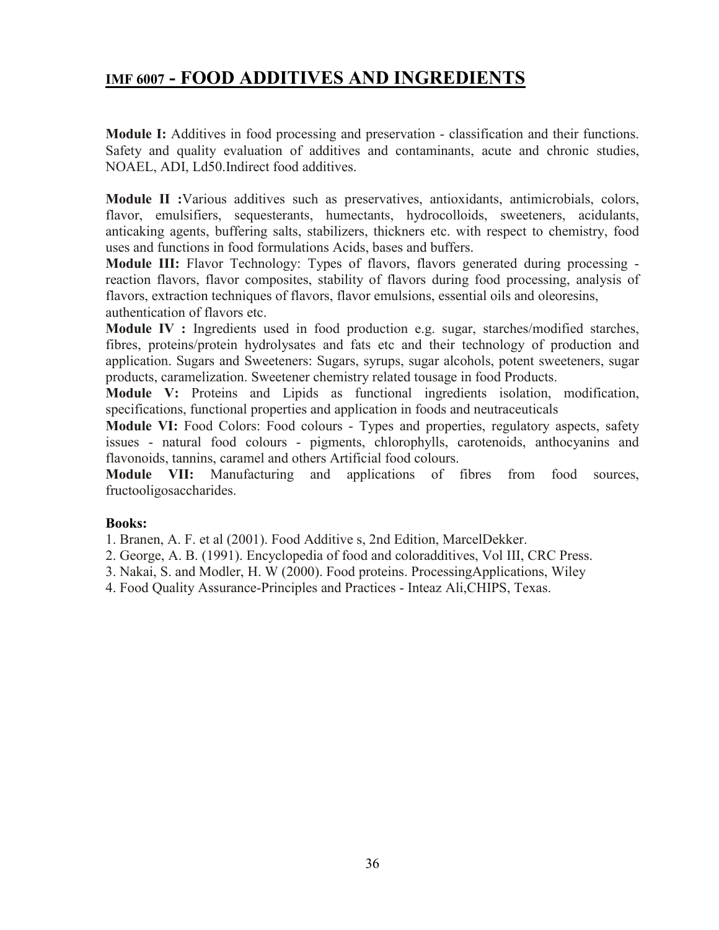# **IMF 6007 - FOOD ADDITIVES AND INGREDIENTS**

**Module I:** Additives in food processing and preservation - classification and their functions. Safety and quality evaluation of additives and contaminants, acute and chronic studies, NOAEL, ADI, Ld50.Indirect food additives.

**Module II :**Various additives such as preservatives, antioxidants, antimicrobials, colors, flavor, emulsifiers, sequesterants, humectants, hydrocolloids, sweeteners, acidulants, anticaking agents, buffering salts, stabilizers, thickners etc. with respect to chemistry, food uses and functions in food formulations Acids, bases and buffers.

**Module III:** Flavor Technology: Types of flavors, flavors generated during processing reaction flavors, flavor composites, stability of flavors during food processing, analysis of flavors, extraction techniques of flavors, flavor emulsions, essential oils and oleoresins, authentication of flavors etc.

**Module IV :** Ingredients used in food production e.g. sugar, starches/modified starches, fibres, proteins/protein hydrolysates and fats etc and their technology of production and application. Sugars and Sweeteners: Sugars, syrups, sugar alcohols, potent sweeteners, sugar products, caramelization. Sweetener chemistry related tousage in food Products.

**Module V:** Proteins and Lipids as functional ingredients isolation, modification, specifications, functional properties and application in foods and neutraceuticals

**Module VI:** Food Colors: Food colours - Types and properties, regulatory aspects, safety issues - natural food colours - pigments, chlorophylls, carotenoids, anthocyanins and flavonoids, tannins, caramel and others Artificial food colours.

**Module VII:** Manufacturing and applications of fibres from food sources, fructooligosaccharides.

### **Books:**

1. Branen, A. F. et al (2001). Food Additive s, 2nd Edition, MarcelDekker.

2. George, A. B. (1991). Encyclopedia of food and coloradditives, Vol III, CRC Press.

3. Nakai, S. and Modler, H. W (2000). Food proteins. ProcessingApplications, Wiley

4. Food Quality Assurance-Principles and Practices - Inteaz Ali,CHIPS, Texas.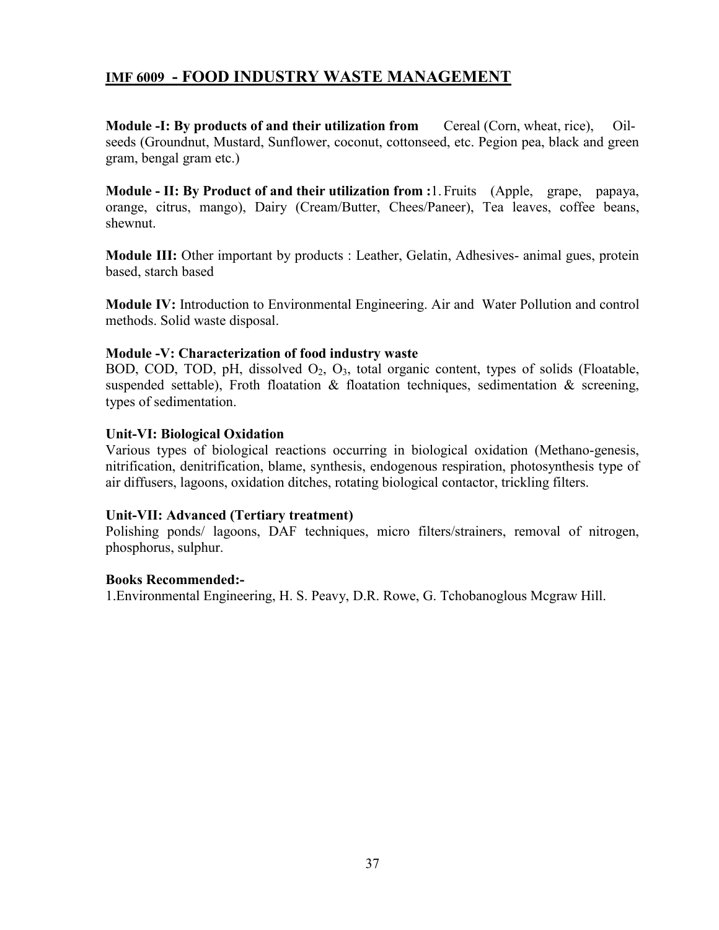### **IMF 6009 - FOOD INDUSTRY WASTE MANAGEMENT**

**Module -I: By products of and their utilization from** Cereal (Corn, wheat, rice), Oilseeds (Groundnut, Mustard, Sunflower, coconut, cottonseed, etc. Pegion pea, black and green gram, bengal gram etc.)

**Module - II: By Product of and their utilization from :**1. Fruits (Apple, grape, papaya, orange, citrus, mango), Dairy (Cream/Butter, Chees/Paneer), Tea leaves, coffee beans, shewnut.

**Module III:** Other important by products : Leather, Gelatin, Adhesives- animal gues, protein based, starch based

**Module IV:** Introduction to Environmental Engineering. Air and Water Pollution and control methods. Solid waste disposal.

#### **Module -V: Characterization of food industry waste**

BOD, COD, TOD, pH, dissolved  $O_2$ ,  $O_3$ , total organic content, types of solids (Floatable, suspended settable), Froth floatation  $\&$  floatation techniques, sedimentation  $\&$  screening, types of sedimentation.

#### **Unit-VI: Biological Oxidation**

Various types of biological reactions occurring in biological oxidation (Methano-genesis, nitrification, denitrification, blame, synthesis, endogenous respiration, photosynthesis type of air diffusers, lagoons, oxidation ditches, rotating biological contactor, trickling filters.

#### **Unit-VII: Advanced (Tertiary treatment)**

Polishing ponds/ lagoons, DAF techniques, micro filters/strainers, removal of nitrogen, phosphorus, sulphur.

#### **Books Recommended:-**

1.Environmental Engineering, H. S. Peavy, D.R. Rowe, G. Tchobanoglous Mcgraw Hill.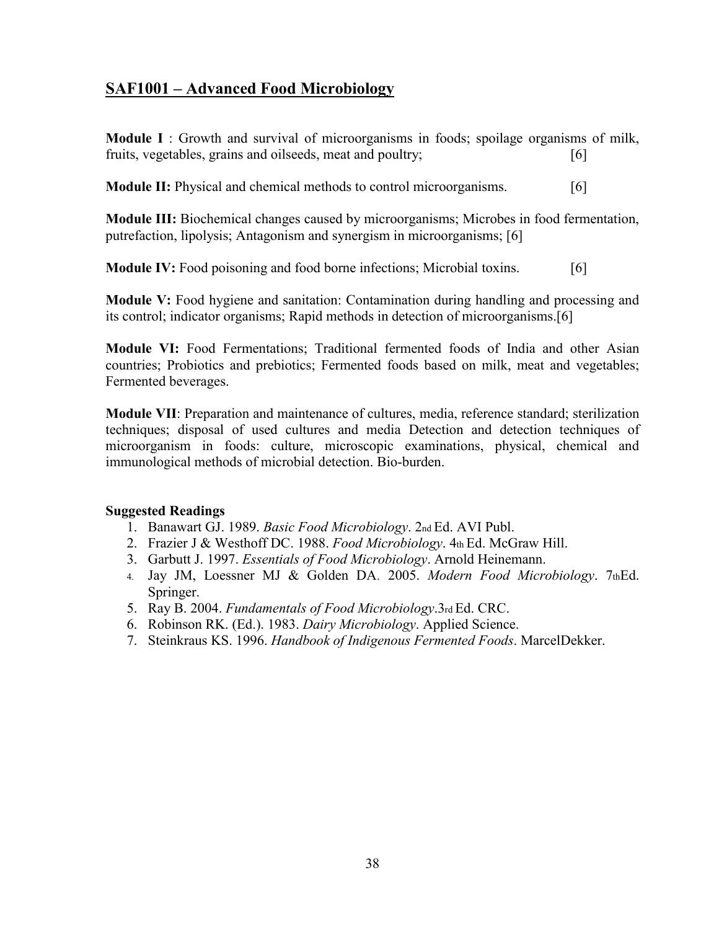## **SAF1001 – Advanced Food Microbiology**

**Module I** : Growth and survival of microorganisms in foods; spoilage organisms of milk, fruits, vegetables, grains and oilseeds, meat and poultry; [6]

**Module II:** Physical and chemical methods to control microorganisms. [6]

**Module III:** Biochemical changes caused by microorganisms; Microbes in food fermentation, putrefaction, lipolysis; Antagonism and synergism in microorganisms; [6]

**Module IV:** Food poisoning and food borne infections; Microbial toxins. [6]

**Module V:** Food hygiene and sanitation: Contamination during handling and processing and its control; indicator organisms; Rapid methods in detection of microorganisms.[6]

**Module VI:** Food Fermentations; Traditional fermented foods of India and other Asian countries; Probiotics and prebiotics; Fermented foods based on milk, meat and vegetables; Fermented beverages.

**Module VII**: Preparation and maintenance of cultures, media, reference standard; sterilization techniques; disposal of used cultures and media Detection and detection techniques of microorganism in foods: culture, microscopic examinations, physical, chemical and immunological methods of microbial detection. Bio-burden.

### **Suggested Readings**

- 1. Banawart GJ. 1989. *Basic Food Microbiology*. 2nd Ed. AVI Publ.
- 2. Frazier J & Westhoff DC. 1988. *Food Microbiology*. 4th Ed. McGraw Hill.
- 3. Garbutt J. 1997. *Essentials of Food Microbiology*. Arnold Heinemann.
- 4. Jay JM, Loessner MJ & Golden DA. 2005. *Modern Food Microbiology*. 7thEd. Springer.
- 5. Ray B. 2004. *Fundamentals of Food Microbiology*.3rd Ed. CRC.
- 6. Robinson RK. (Ed.). 1983. *Dairy Microbiology*. Applied Science.
- 7. Steinkraus KS. 1996. *Handbook of Indigenous Fermented Foods*. MarcelDekker.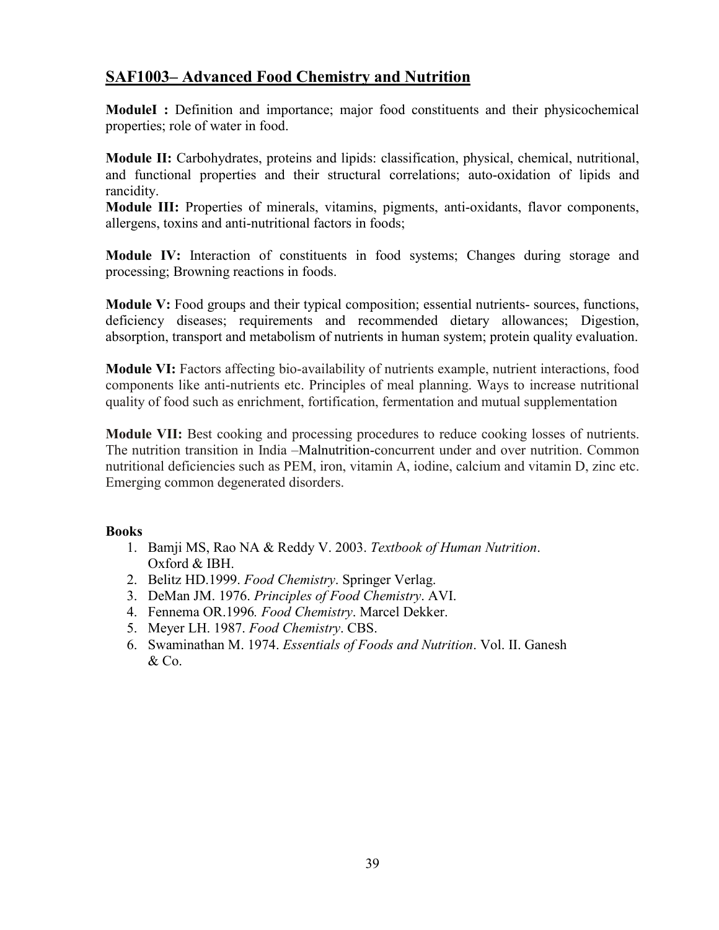## **SAF1003– Advanced Food Chemistry and Nutrition**

**ModuleI :** Definition and importance; major food constituents and their physicochemical properties; role of water in food.

**Module II:** Carbohydrates, proteins and lipids: classification, physical, chemical, nutritional, and functional properties and their structural correlations; auto-oxidation of lipids and rancidity.

**Module III:** Properties of minerals, vitamins, pigments, anti-oxidants, flavor components, allergens, toxins and anti-nutritional factors in foods;

**Module IV:** Interaction of constituents in food systems; Changes during storage and processing; Browning reactions in foods.

**Module V:** Food groups and their typical composition; essential nutrients- sources, functions, deficiency diseases; requirements and recommended dietary allowances; Digestion, absorption, transport and metabolism of nutrients in human system; protein quality evaluation.

**Module VI:** Factors affecting bio-availability of nutrients example, nutrient interactions, food components like anti-nutrients etc. Principles of meal planning. Ways to increase nutritional quality of food such as enrichment, fortification, fermentation and mutual supplementation

**Module VII:** Best cooking and processing procedures to reduce cooking losses of nutrients. The nutrition transition in India –Malnutrition-concurrent under and over nutrition. Common nutritional deficiencies such as PEM, iron, vitamin A, iodine, calcium and vitamin D, zinc etc. Emerging common degenerated disorders.

- 1. Bamji MS, Rao NA & Reddy V. 2003. *Textbook of Human Nutrition*. Oxford & IBH.
- 2. Belitz HD.1999. *Food Chemistry*. Springer Verlag.
- 3. DeMan JM. 1976. *Principles of Food Chemistry*. AVI.
- 4. Fennema OR.1996*. Food Chemistry*. Marcel Dekker.
- 5. Meyer LH. 1987. *Food Chemistry*. CBS.
- 6. Swaminathan M. 1974. *Essentials of Foods and Nutrition*. Vol. II. Ganesh & Co.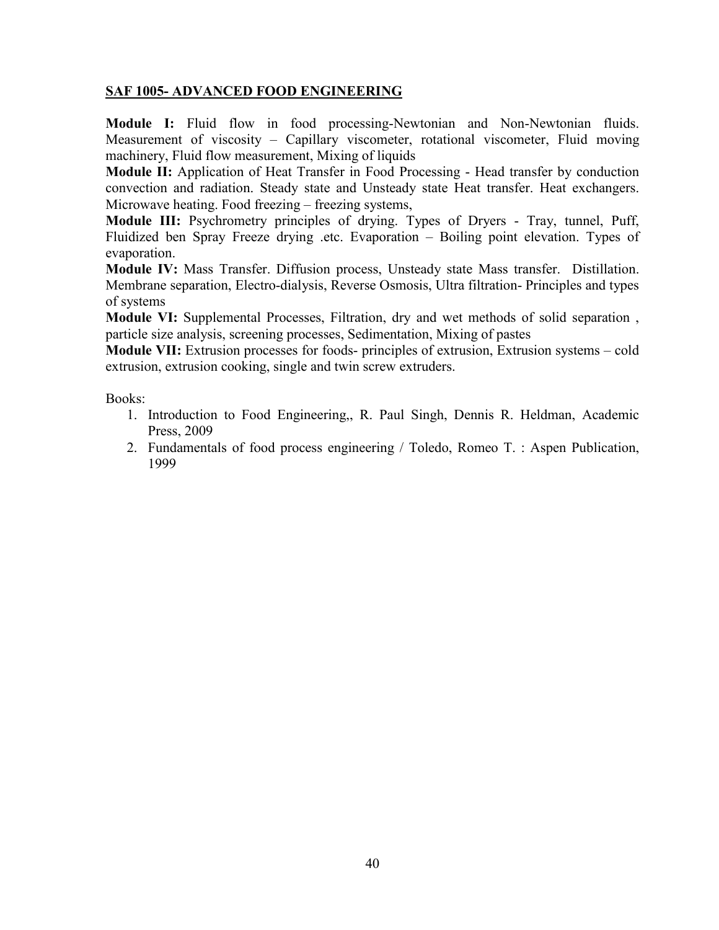### **SAF 1005- ADVANCED FOOD ENGINEERING**

**Module I:** Fluid flow in food processing-Newtonian and Non-Newtonian fluids. Measurement of viscosity – Capillary viscometer, rotational viscometer, Fluid moving machinery, Fluid flow measurement, Mixing of liquids

**Module II:** Application of Heat Transfer in Food Processing - Head transfer by conduction convection and radiation. Steady state and Unsteady state Heat transfer. Heat exchangers. Microwave heating. Food freezing – freezing systems,

**Module III:** Psychrometry principles of drying. Types of Dryers - Tray, tunnel, Puff, Fluidized ben Spray Freeze drying .etc. Evaporation – Boiling point elevation. Types of evaporation.

**Module IV:** Mass Transfer. Diffusion process, Unsteady state Mass transfer. Distillation. Membrane separation, Electro-dialysis, Reverse Osmosis, Ultra filtration- Principles and types of systems

**Module VI:** Supplemental Processes, Filtration, dry and wet methods of solid separation , particle size analysis, screening processes, Sedimentation, Mixing of pastes

**Module VII:** Extrusion processes for foods- principles of extrusion, Extrusion systems – cold extrusion, extrusion cooking, single and twin screw extruders.

- 1. Introduction to Food Engineering,, R. Paul Singh, Dennis R. Heldman, Academic Press, 2009
- 2. Fundamentals of food process engineering / Toledo, Romeo T. : Aspen Publication, 1999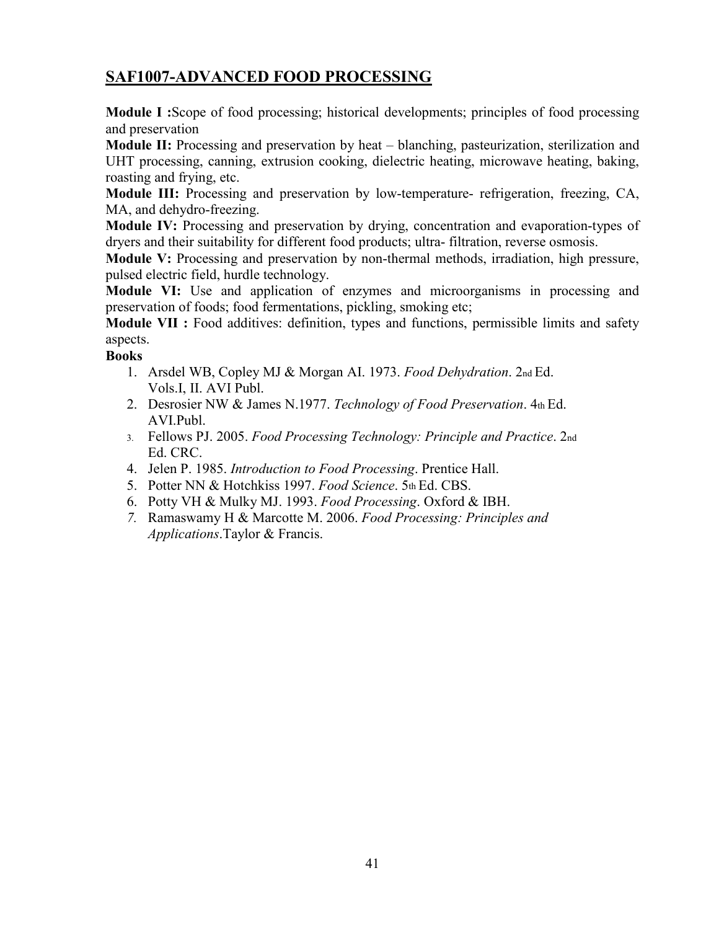# **SAF1007-ADVANCED FOOD PROCESSING**

**Module I :**Scope of food processing; historical developments; principles of food processing and preservation

**Module II:** Processing and preservation by heat – blanching, pasteurization, sterilization and UHT processing, canning, extrusion cooking, dielectric heating, microwave heating, baking, roasting and frying, etc.

**Module III:** Processing and preservation by low-temperature- refrigeration, freezing, CA, MA, and dehydro-freezing.

**Module IV:** Processing and preservation by drying, concentration and evaporation-types of dryers and their suitability for different food products; ultra- filtration, reverse osmosis.

**Module V:** Processing and preservation by non-thermal methods, irradiation, high pressure, pulsed electric field, hurdle technology.

**Module VI:** Use and application of enzymes and microorganisms in processing and preservation of foods; food fermentations, pickling, smoking etc;

**Module VII :** Food additives: definition, types and functions, permissible limits and safety aspects.

- 1. Arsdel WB, Copley MJ & Morgan AI. 1973. *Food Dehydration*. 2nd Ed. Vols.I, II. AVI Publ.
- 2. Desrosier NW & James N.1977. *Technology of Food Preservation*. 4th Ed. AVI.Publ.
- 3. Fellows PJ. 2005. *Food Processing Technology: Principle and Practice*. 2nd Ed. CRC.
- 4. Jelen P. 1985. *Introduction to Food Processing*. Prentice Hall.
- 5. Potter NN & Hotchkiss 1997. *Food Science*. 5th Ed. CBS.
- 6. Potty VH & Mulky MJ. 1993. *Food Processing*. Oxford & IBH.
- *7.* Ramaswamy H & Marcotte M. 2006. *Food Processing: Principles and Applications*.Taylor & Francis.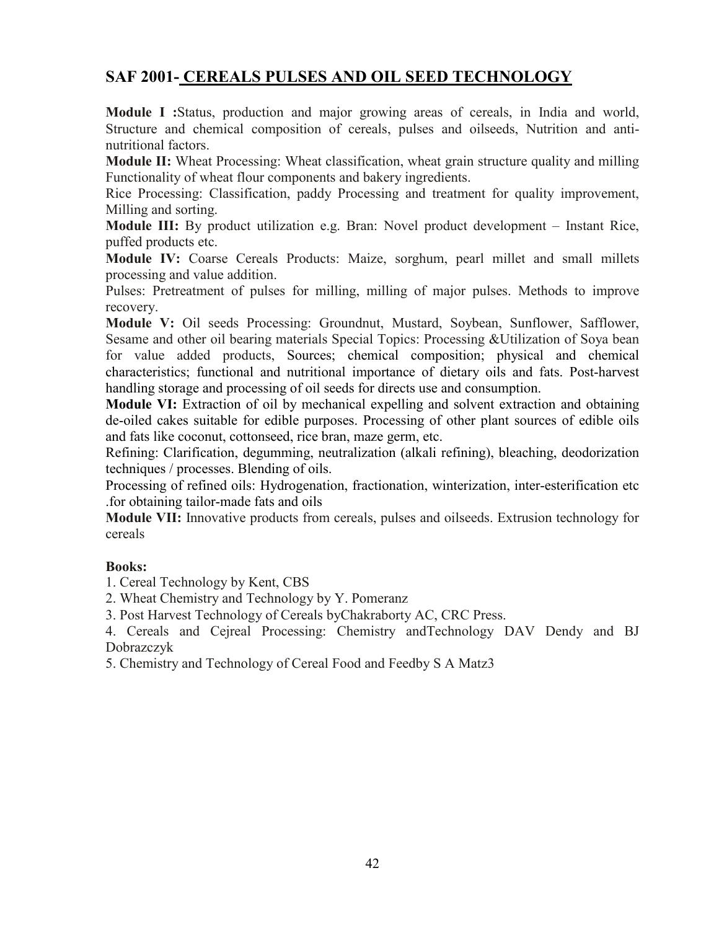## **SAF 2001- CEREALS PULSES AND OIL SEED TECHNOLOGY**

**Module I :**Status, production and major growing areas of cereals, in India and world, Structure and chemical composition of cereals, pulses and oilseeds, Nutrition and antinutritional factors.

**Module II:** Wheat Processing: Wheat classification, wheat grain structure quality and milling Functionality of wheat flour components and bakery ingredients.

Rice Processing: Classification, paddy Processing and treatment for quality improvement, Milling and sorting.

**Module III:** By product utilization e.g. Bran: Novel product development – Instant Rice, puffed products etc.

**Module IV:** Coarse Cereals Products: Maize, sorghum, pearl millet and small millets processing and value addition.

Pulses: Pretreatment of pulses for milling, milling of major pulses. Methods to improve recovery.

**Module V:** Oil seeds Processing: Groundnut, Mustard, Soybean, Sunflower, Safflower, Sesame and other oil bearing materials Special Topics: Processing &Utilization of Soya bean for value added products, Sources; chemical composition; physical and chemical characteristics; functional and nutritional importance of dietary oils and fats. Post-harvest handling storage and processing of oil seeds for directs use and consumption.

**Module VI:** Extraction of oil by mechanical expelling and solvent extraction and obtaining de-oiled cakes suitable for edible purposes. Processing of other plant sources of edible oils and fats like coconut, cottonseed, rice bran, maze germ, etc.

Refining: Clarification, degumming, neutralization (alkali refining), bleaching, deodorization techniques / processes. Blending of oils.

Processing of refined oils: Hydrogenation, fractionation, winterization, inter-esterification etc .for obtaining tailor-made fats and oils

**Module VII:** Innovative products from cereals, pulses and oilseeds. Extrusion technology for cereals

### **Books:**

1. Cereal Technology by Kent, CBS

2. Wheat Chemistry and Technology by Y. Pomeranz

3. Post Harvest Technology of Cereals byChakraborty AC, CRC Press.

4. Cereals and Cejreal Processing: Chemistry andTechnology DAV Dendy and BJ Dobrazczyk

5. Chemistry and Technology of Cereal Food and Feedby S A Matz3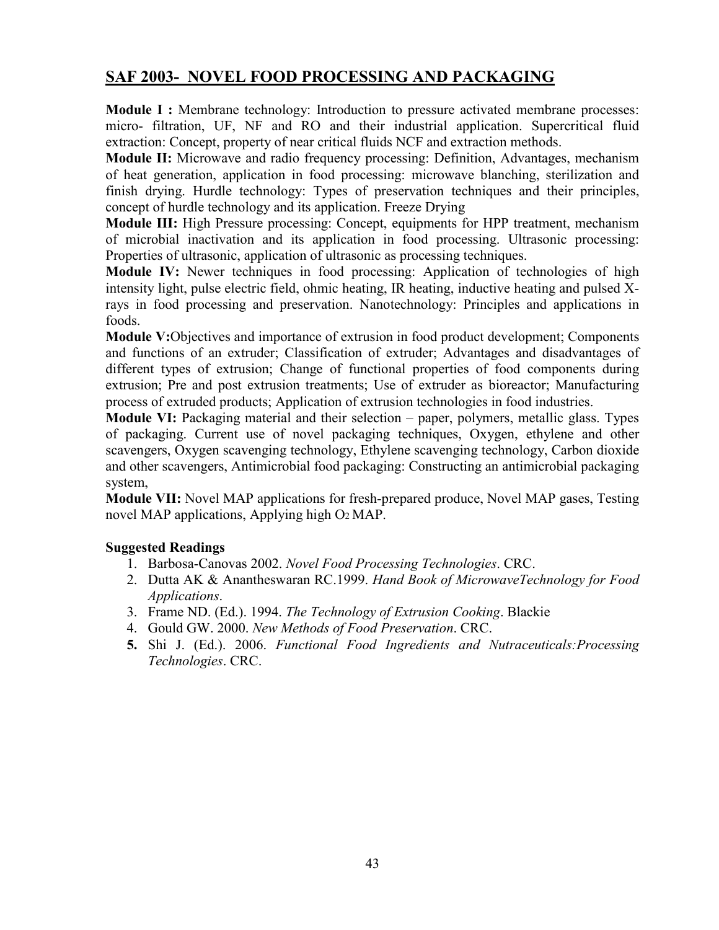## **SAF 2003- NOVEL FOOD PROCESSING AND PACKAGING**

**Module I :** Membrane technology: Introduction to pressure activated membrane processes: micro- filtration, UF, NF and RO and their industrial application. Supercritical fluid extraction: Concept, property of near critical fluids NCF and extraction methods.

**Module II:** Microwave and radio frequency processing: Definition, Advantages, mechanism of heat generation, application in food processing: microwave blanching, sterilization and finish drying. Hurdle technology: Types of preservation techniques and their principles, concept of hurdle technology and its application. Freeze Drying

**Module III:** High Pressure processing: Concept, equipments for HPP treatment, mechanism of microbial inactivation and its application in food processing. Ultrasonic processing: Properties of ultrasonic, application of ultrasonic as processing techniques.

**Module IV:** Newer techniques in food processing: Application of technologies of high intensity light, pulse electric field, ohmic heating, IR heating, inductive heating and pulsed Xrays in food processing and preservation. Nanotechnology: Principles and applications in foods.

**Module V:**Objectives and importance of extrusion in food product development; Components and functions of an extruder; Classification of extruder; Advantages and disadvantages of different types of extrusion; Change of functional properties of food components during extrusion; Pre and post extrusion treatments; Use of extruder as bioreactor; Manufacturing process of extruded products; Application of extrusion technologies in food industries.

**Module VI:** Packaging material and their selection – paper, polymers, metallic glass. Types of packaging. Current use of novel packaging techniques, Oxygen, ethylene and other scavengers, Oxygen scavenging technology, Ethylene scavenging technology, Carbon dioxide and other scavengers, Antimicrobial food packaging: Constructing an antimicrobial packaging system,

**Module VII:** Novel MAP applications for fresh-prepared produce, Novel MAP gases, Testing novel MAP applications, Applying high O2 MAP.

### **Suggested Readings**

- 1. Barbosa-Canovas 2002. *Novel Food Processing Technologies*. CRC.
- 2. Dutta AK & Anantheswaran RC.1999. *Hand Book of MicrowaveTechnology for Food Applications*.
- 3. Frame ND. (Ed.). 1994. *The Technology of Extrusion Cooking*. Blackie
- 4. Gould GW. 2000. *New Methods of Food Preservation*. CRC.
- **5.** Shi J. (Ed.). 2006. *Functional Food Ingredients and Nutraceuticals:Processing Technologies*. CRC.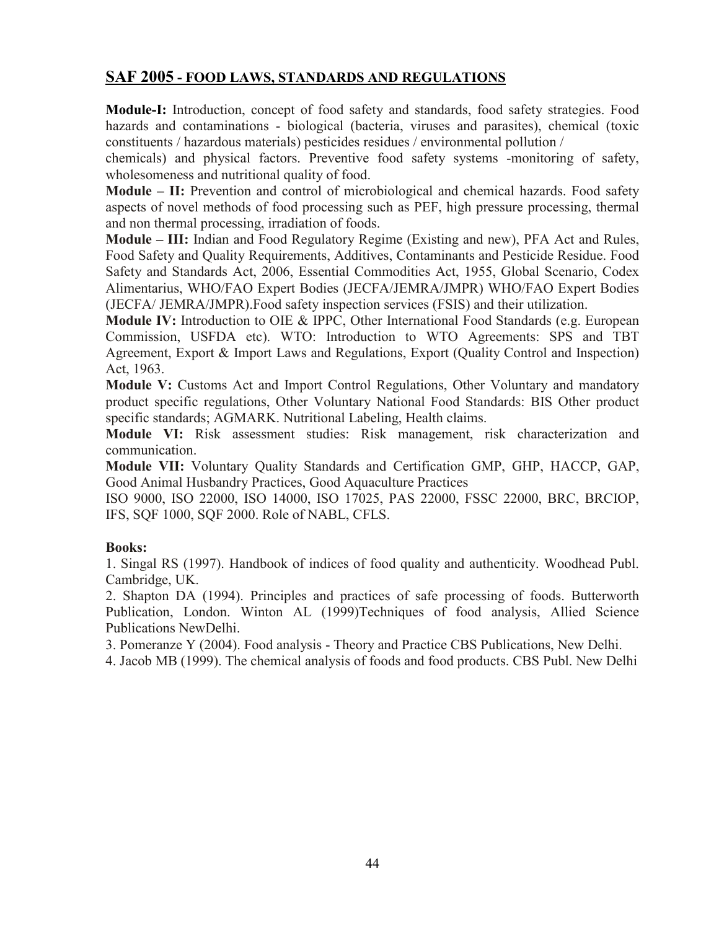### **SAF 2005 - FOOD LAWS, STANDARDS AND REGULATIONS**

**Module-I:** Introduction, concept of food safety and standards, food safety strategies. Food hazards and contaminations - biological (bacteria, viruses and parasites), chemical (toxic constituents / hazardous materials) pesticides residues / environmental pollution /

chemicals) and physical factors. Preventive food safety systems -monitoring of safety, wholesomeness and nutritional quality of food.

**Module – II:** Prevention and control of microbiological and chemical hazards. Food safety aspects of novel methods of food processing such as PEF, high pressure processing, thermal and non thermal processing, irradiation of foods.

**Module – III:** Indian and Food Regulatory Regime (Existing and new), PFA Act and Rules, Food Safety and Quality Requirements, Additives, Contaminants and Pesticide Residue. Food Safety and Standards Act, 2006, Essential Commodities Act, 1955, Global Scenario, Codex Alimentarius, WHO/FAO Expert Bodies (JECFA/JEMRA/JMPR) WHO/FAO Expert Bodies (JECFA/ JEMRA/JMPR).Food safety inspection services (FSIS) and their utilization.

**Module IV:** Introduction to OIE & IPPC, Other International Food Standards (e.g. European Commission, USFDA etc). WTO: Introduction to WTO Agreements: SPS and TBT Agreement, Export & Import Laws and Regulations, Export (Quality Control and Inspection) Act, 1963.

**Module V:** Customs Act and Import Control Regulations, Other Voluntary and mandatory product specific regulations, Other Voluntary National Food Standards: BIS Other product specific standards; AGMARK. Nutritional Labeling, Health claims.

**Module VI:** Risk assessment studies: Risk management, risk characterization and communication.

**Module VII:** Voluntary Quality Standards and Certification GMP, GHP, HACCP, GAP, Good Animal Husbandry Practices, Good Aquaculture Practices

ISO 9000, ISO 22000, ISO 14000, ISO 17025, PAS 22000, FSSC 22000, BRC, BRCIOP, IFS, SQF 1000, SQF 2000. Role of NABL, CFLS.

### **Books:**

1. Singal RS (1997). Handbook of indices of food quality and authenticity. Woodhead Publ. Cambridge, UK.

2. Shapton DA (1994). Principles and practices of safe processing of foods. Butterworth Publication, London. Winton AL (1999)Techniques of food analysis, Allied Science Publications NewDelhi.

3. Pomeranze Y (2004). Food analysis - Theory and Practice CBS Publications, New Delhi.

4. Jacob MB (1999). The chemical analysis of foods and food products. CBS Publ. New Delhi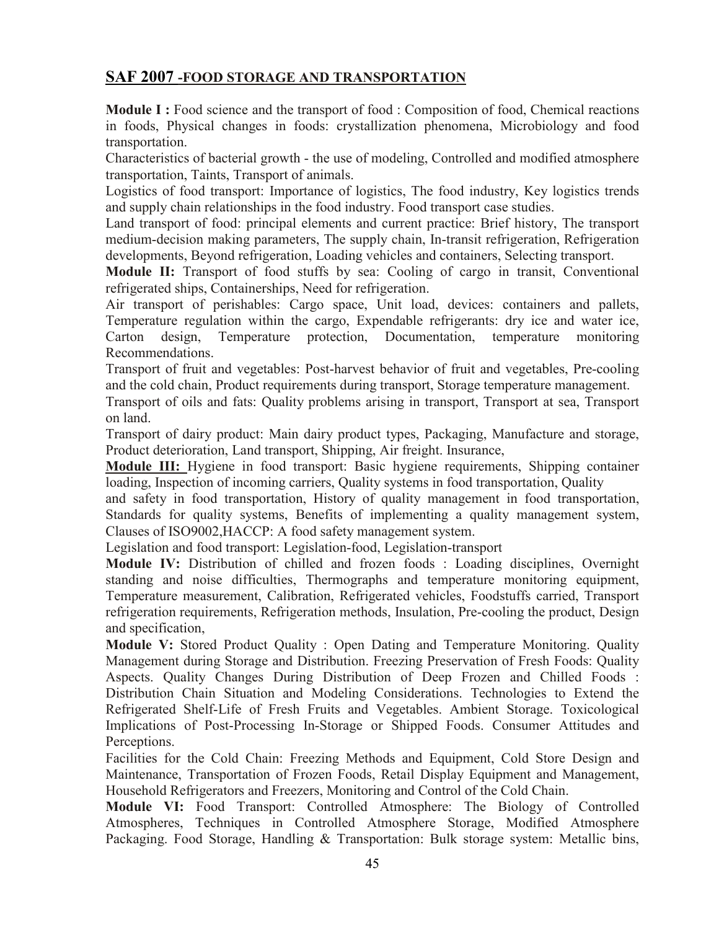## **SAF 2007 -FOOD STORAGE AND TRANSPORTATION**

**Module I :** Food science and the transport of food : Composition of food, Chemical reactions in foods, Physical changes in foods: crystallization phenomena, Microbiology and food transportation.

Characteristics of bacterial growth - the use of modeling, Controlled and modified atmosphere transportation, Taints, Transport of animals.

Logistics of food transport: Importance of logistics, The food industry, Key logistics trends and supply chain relationships in the food industry. Food transport case studies.

Land transport of food: principal elements and current practice: Brief history, The transport medium-decision making parameters, The supply chain, In-transit refrigeration, Refrigeration developments, Beyond refrigeration, Loading vehicles and containers, Selecting transport.

**Module II:** Transport of food stuffs by sea: Cooling of cargo in transit, Conventional refrigerated ships, Containerships, Need for refrigeration.

Air transport of perishables: Cargo space, Unit load, devices: containers and pallets, Temperature regulation within the cargo, Expendable refrigerants: dry ice and water ice, Carton design, Temperature protection, Documentation, temperature monitoring Recommendations.

Transport of fruit and vegetables: Post-harvest behavior of fruit and vegetables, Pre-cooling and the cold chain, Product requirements during transport, Storage temperature management.

Transport of oils and fats: Quality problems arising in transport, Transport at sea, Transport on land.

Transport of dairy product: Main dairy product types, Packaging, Manufacture and storage, Product deterioration, Land transport, Shipping, Air freight. Insurance,

**Module III:** Hygiene in food transport: Basic hygiene requirements, Shipping container loading, Inspection of incoming carriers, Quality systems in food transportation, Quality

and safety in food transportation, History of quality management in food transportation, Standards for quality systems, Benefits of implementing a quality management system, Clauses of ISO9002,HACCP: A food safety management system.

Legislation and food transport: Legislation-food, Legislation-transport

**Module IV:** Distribution of chilled and frozen foods : Loading disciplines, Overnight standing and noise difficulties, Thermographs and temperature monitoring equipment, Temperature measurement, Calibration, Refrigerated vehicles, Foodstuffs carried, Transport refrigeration requirements, Refrigeration methods, Insulation, Pre-cooling the product, Design and specification,

**Module V:** Stored Product Quality : Open Dating and Temperature Monitoring. Quality Management during Storage and Distribution. Freezing Preservation of Fresh Foods: Quality Aspects. Quality Changes During Distribution of Deep Frozen and Chilled Foods : Distribution Chain Situation and Modeling Considerations. Technologies to Extend the Refrigerated Shelf-Life of Fresh Fruits and Vegetables. Ambient Storage. Toxicological Implications of Post-Processing In-Storage or Shipped Foods. Consumer Attitudes and Perceptions.

Facilities for the Cold Chain: Freezing Methods and Equipment, Cold Store Design and Maintenance, Transportation of Frozen Foods, Retail Display Equipment and Management, Household Refrigerators and Freezers, Monitoring and Control of the Cold Chain.

**Module VI:** Food Transport: Controlled Atmosphere: The Biology of Controlled Atmospheres, Techniques in Controlled Atmosphere Storage, Modified Atmosphere Packaging. Food Storage, Handling & Transportation: Bulk storage system: Metallic bins,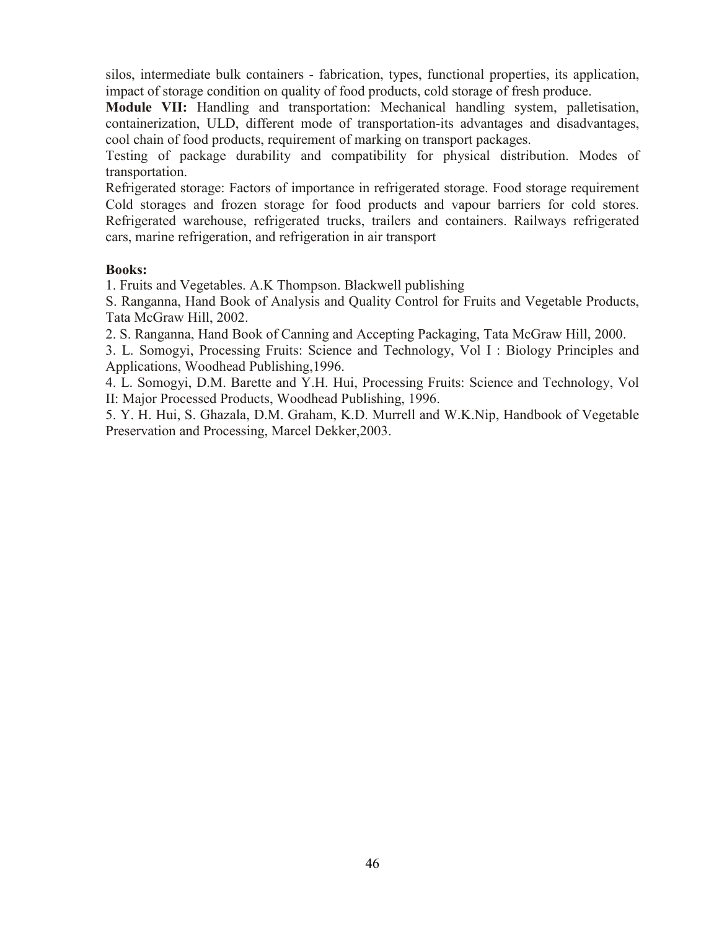silos, intermediate bulk containers - fabrication, types, functional properties, its application, impact of storage condition on quality of food products, cold storage of fresh produce.

**Module VII:** Handling and transportation: Mechanical handling system, palletisation, containerization, ULD, different mode of transportation-its advantages and disadvantages, cool chain of food products, requirement of marking on transport packages.

Testing of package durability and compatibility for physical distribution. Modes of transportation.

Refrigerated storage: Factors of importance in refrigerated storage. Food storage requirement Cold storages and frozen storage for food products and vapour barriers for cold stores. Refrigerated warehouse, refrigerated trucks, trailers and containers. Railways refrigerated cars, marine refrigeration, and refrigeration in air transport

### **Books:**

1. Fruits and Vegetables. A.K Thompson. Blackwell publishing

S. Ranganna, Hand Book of Analysis and Quality Control for Fruits and Vegetable Products, Tata McGraw Hill, 2002.

2. S. Ranganna, Hand Book of Canning and Accepting Packaging, Tata McGraw Hill, 2000.

3. L. Somogyi, Processing Fruits: Science and Technology, Vol I : Biology Principles and Applications, Woodhead Publishing,1996.

4. L. Somogyi, D.M. Barette and Y.H. Hui, Processing Fruits: Science and Technology, Vol II: Major Processed Products, Woodhead Publishing, 1996.

5. Y. H. Hui, S. Ghazala, D.M. Graham, K.D. Murrell and W.K.Nip, Handbook of Vegetable Preservation and Processing, Marcel Dekker,2003.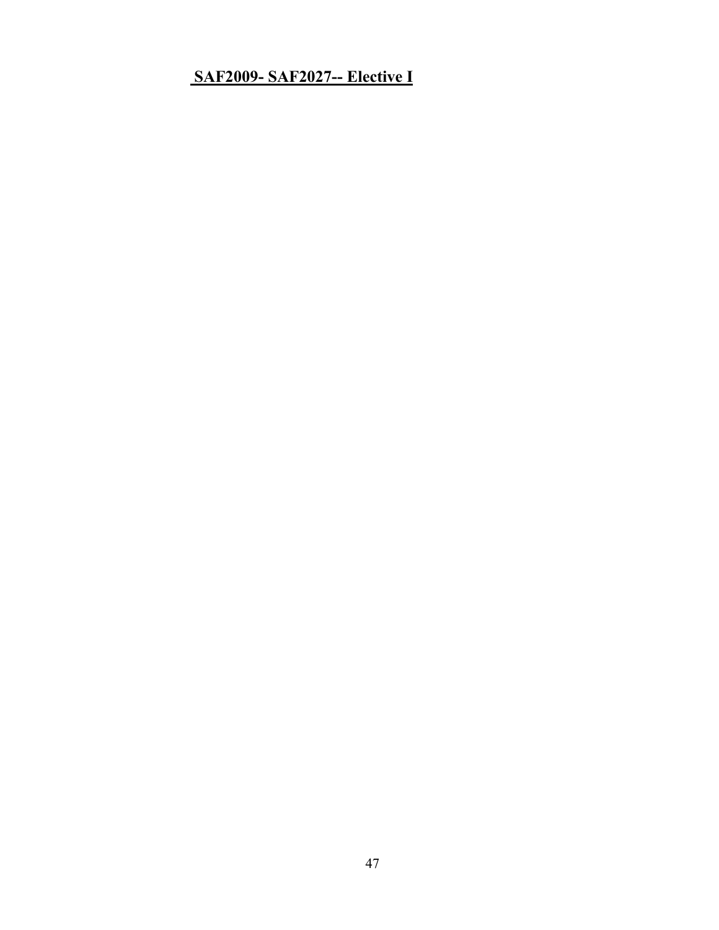# **SAF2009- SAF2027-- Elective I**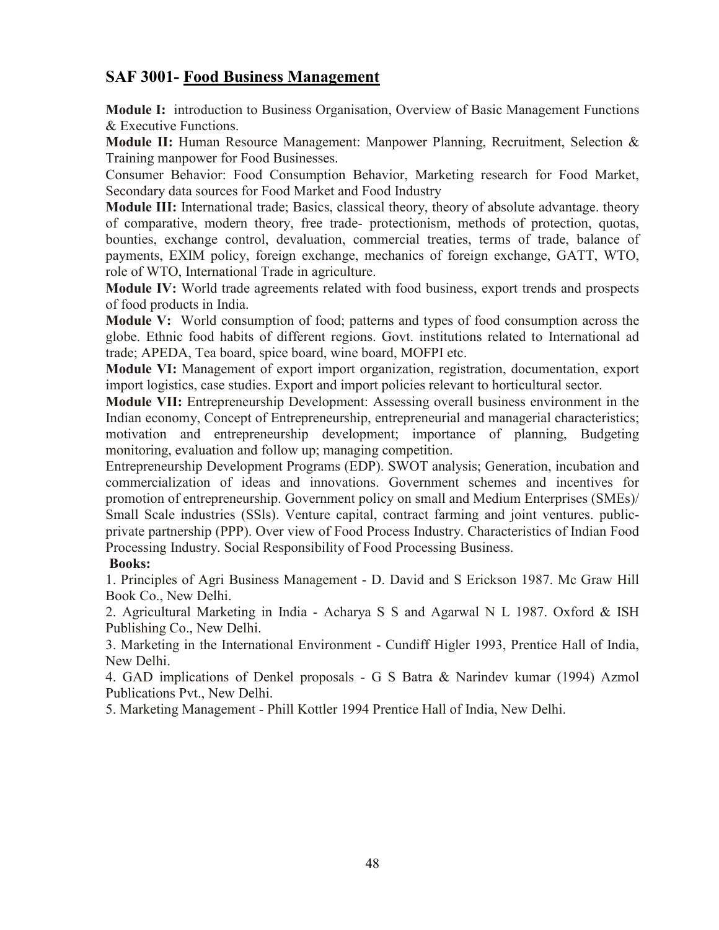## **SAF 3001- Food Business Management**

**Module I:** introduction to Business Organisation, Overview of Basic Management Functions & Executive Functions.

**Module II:** Human Resource Management: Manpower Planning, Recruitment, Selection & Training manpower for Food Businesses.

Consumer Behavior: Food Consumption Behavior, Marketing research for Food Market, Secondary data sources for Food Market and Food Industry

**Module III:** International trade; Basics, classical theory, theory of absolute advantage. theory of comparative, modern theory, free trade- protectionism, methods of protection, quotas, bounties, exchange control, devaluation, commercial treaties, terms of trade, balance of payments, EXIM policy, foreign exchange, mechanics of foreign exchange, GATT, WTO, role of WTO, International Trade in agriculture.

**Module IV:** World trade agreements related with food business, export trends and prospects of food products in India.

**Module V:** World consumption of food; patterns and types of food consumption across the globe. Ethnic food habits of different regions. Govt. institutions related to International ad trade; APEDA, Tea board, spice board, wine board, MOFPI etc.

**Module VI:** Management of export import organization, registration, documentation, export import logistics, case studies. Export and import policies relevant to horticultural sector.

**Module VII:** Entrepreneurship Development: Assessing overall business environment in the Indian economy, Concept of Entrepreneurship, entrepreneurial and managerial characteristics; motivation and entrepreneurship development; importance of planning, Budgeting monitoring, evaluation and follow up; managing competition.

Entrepreneurship Development Programs (EDP). SWOT analysis; Generation, incubation and commercialization of ideas and innovations. Government schemes and incentives for promotion of entrepreneurship. Government policy on small and Medium Enterprises (SMEs)/ Small Scale industries (SSls). Venture capital, contract farming and joint ventures. publicprivate partnership (PPP). Over view of Food Process Industry. Characteristics of Indian Food Processing Industry. Social Responsibility of Food Processing Business.

### **Books:**

1. Principles of Agri Business Management - D. David and S Erickson 1987. Mc Graw Hill Book Co., New Delhi.

2. Agricultural Marketing in India - Acharya S S and Agarwal N L 1987. Oxford & ISH Publishing Co., New Delhi.

3. Marketing in the International Environment - Cundiff Higler 1993, Prentice Hall of India, New Delhi.

4. GAD implications of Denkel proposals - G S Batra & Narindev kumar (1994) Azmol Publications Pvt., New Delhi.

5. Marketing Management - Phill Kottler 1994 Prentice Hall of India, New Delhi.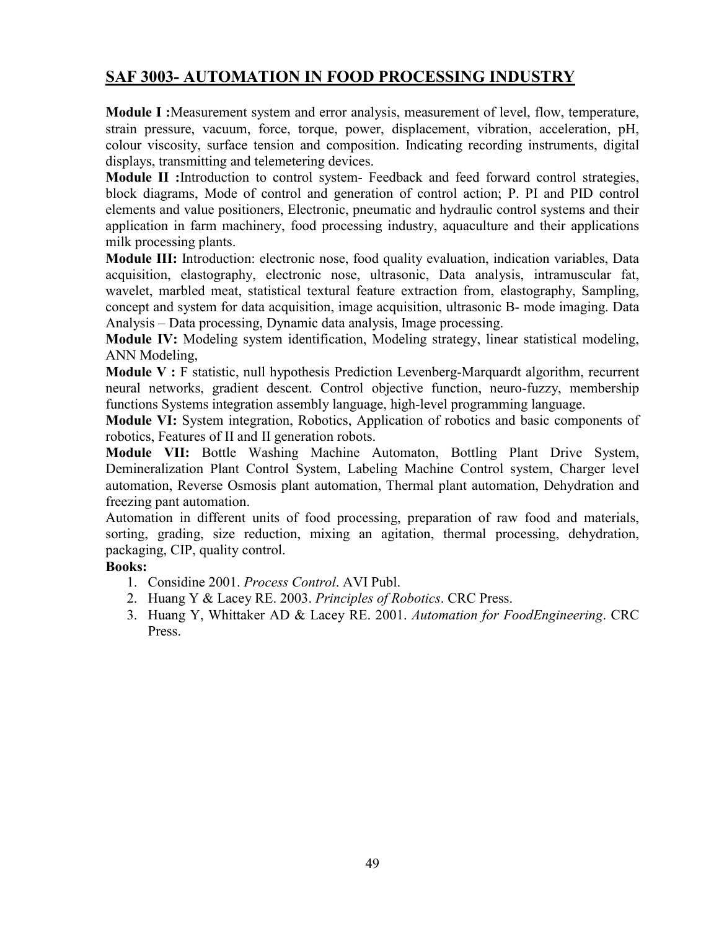## **SAF 3003- AUTOMATION IN FOOD PROCESSING INDUSTRY**

**Module I :**Measurement system and error analysis, measurement of level, flow, temperature, strain pressure, vacuum, force, torque, power, displacement, vibration, acceleration, pH, colour viscosity, surface tension and composition. Indicating recording instruments, digital displays, transmitting and telemetering devices.

**Module II :**Introduction to control system- Feedback and feed forward control strategies, block diagrams, Mode of control and generation of control action; P. PI and PID control elements and value positioners, Electronic, pneumatic and hydraulic control systems and their application in farm machinery, food processing industry, aquaculture and their applications milk processing plants.

**Module III:** Introduction: electronic nose, food quality evaluation, indication variables, Data acquisition, elastography, electronic nose, ultrasonic, Data analysis, intramuscular fat, wavelet, marbled meat, statistical textural feature extraction from, elastography, Sampling, concept and system for data acquisition, image acquisition, ultrasonic B- mode imaging. Data Analysis – Data processing, Dynamic data analysis, Image processing.

**Module IV:** Modeling system identification, Modeling strategy, linear statistical modeling, ANN Modeling,

**Module V :** F statistic, null hypothesis Prediction Levenberg-Marquardt algorithm, recurrent neural networks, gradient descent. Control objective function, neuro-fuzzy, membership functions Systems integration assembly language, high-level programming language.

**Module VI:** System integration, Robotics, Application of robotics and basic components of robotics, Features of II and II generation robots.

**Module VII:** Bottle Washing Machine Automaton, Bottling Plant Drive System, Demineralization Plant Control System, Labeling Machine Control system, Charger level automation, Reverse Osmosis plant automation, Thermal plant automation, Dehydration and freezing pant automation.

Automation in different units of food processing, preparation of raw food and materials, sorting, grading, size reduction, mixing an agitation, thermal processing, dehydration, packaging, CIP, quality control.

- 1. Considine 2001. *Process Control*. AVI Publ.
- 2. Huang Y & Lacey RE. 2003. *Principles of Robotics*. CRC Press.
- 3. Huang Y, Whittaker AD & Lacey RE. 2001. *Automation for FoodEngineering*. CRC Press.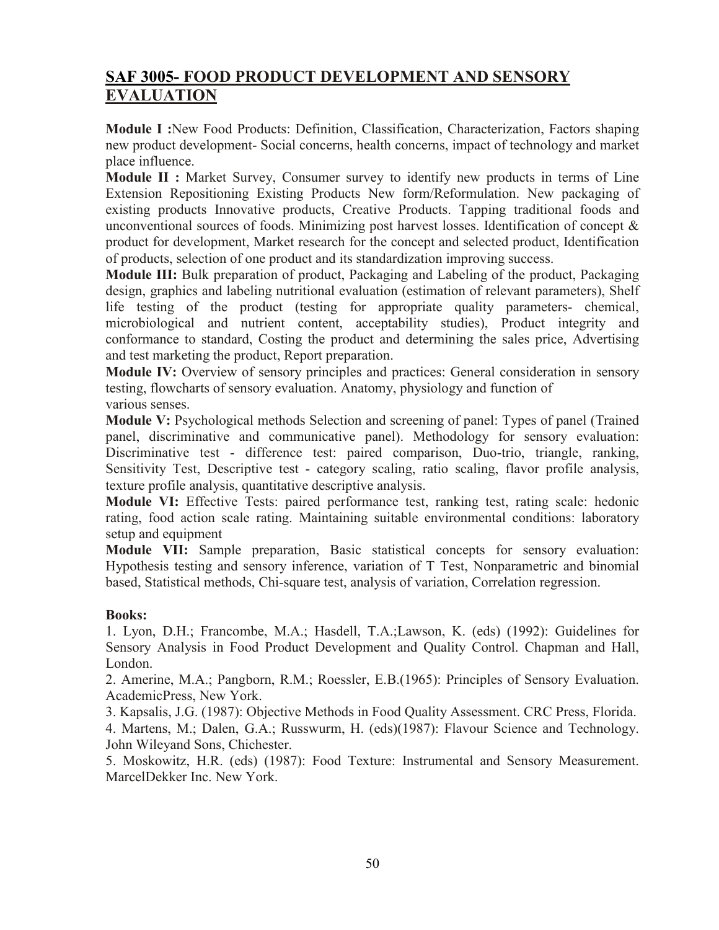# **SAF 3005- FOOD PRODUCT DEVELOPMENT AND SENSORY EVALUATION**

**Module I :**New Food Products: Definition, Classification, Characterization, Factors shaping new product development- Social concerns, health concerns, impact of technology and market place influence.

**Module II :** Market Survey, Consumer survey to identify new products in terms of Line Extension Repositioning Existing Products New form/Reformulation. New packaging of existing products Innovative products, Creative Products. Tapping traditional foods and unconventional sources of foods. Minimizing post harvest losses. Identification of concept  $\&$ product for development, Market research for the concept and selected product, Identification of products, selection of one product and its standardization improving success.

**Module III:** Bulk preparation of product, Packaging and Labeling of the product, Packaging design, graphics and labeling nutritional evaluation (estimation of relevant parameters), Shelf life testing of the product (testing for appropriate quality parameters- chemical, microbiological and nutrient content, acceptability studies), Product integrity and conformance to standard, Costing the product and determining the sales price, Advertising and test marketing the product, Report preparation.

**Module IV:** Overview of sensory principles and practices: General consideration in sensory testing, flowcharts of sensory evaluation. Anatomy, physiology and function of various senses.

**Module V:** Psychological methods Selection and screening of panel: Types of panel (Trained panel, discriminative and communicative panel). Methodology for sensory evaluation: Discriminative test - difference test: paired comparison, Duo-trio, triangle, ranking, Sensitivity Test, Descriptive test - category scaling, ratio scaling, flavor profile analysis, texture profile analysis, quantitative descriptive analysis.

**Module VI:** Effective Tests: paired performance test, ranking test, rating scale: hedonic rating, food action scale rating. Maintaining suitable environmental conditions: laboratory setup and equipment

**Module VII:** Sample preparation, Basic statistical concepts for sensory evaluation: Hypothesis testing and sensory inference, variation of T Test, Nonparametric and binomial based, Statistical methods, Chi-square test, analysis of variation, Correlation regression.

### **Books:**

1. Lyon, D.H.; Francombe, M.A.; Hasdell, T.A.;Lawson, K. (eds) (1992): Guidelines for Sensory Analysis in Food Product Development and Quality Control. Chapman and Hall, London.

2. Amerine, M.A.; Pangborn, R.M.; Roessler, E.B.(1965): Principles of Sensory Evaluation. AcademicPress, New York.

3. Kapsalis, J.G. (1987): Objective Methods in Food Quality Assessment. CRC Press, Florida. 4. Martens, M.; Dalen, G.A.; Russwurm, H. (eds)(1987): Flavour Science and Technology. John Wileyand Sons, Chichester.

5. Moskowitz, H.R. (eds) (1987): Food Texture: Instrumental and Sensory Measurement. MarcelDekker Inc. New York.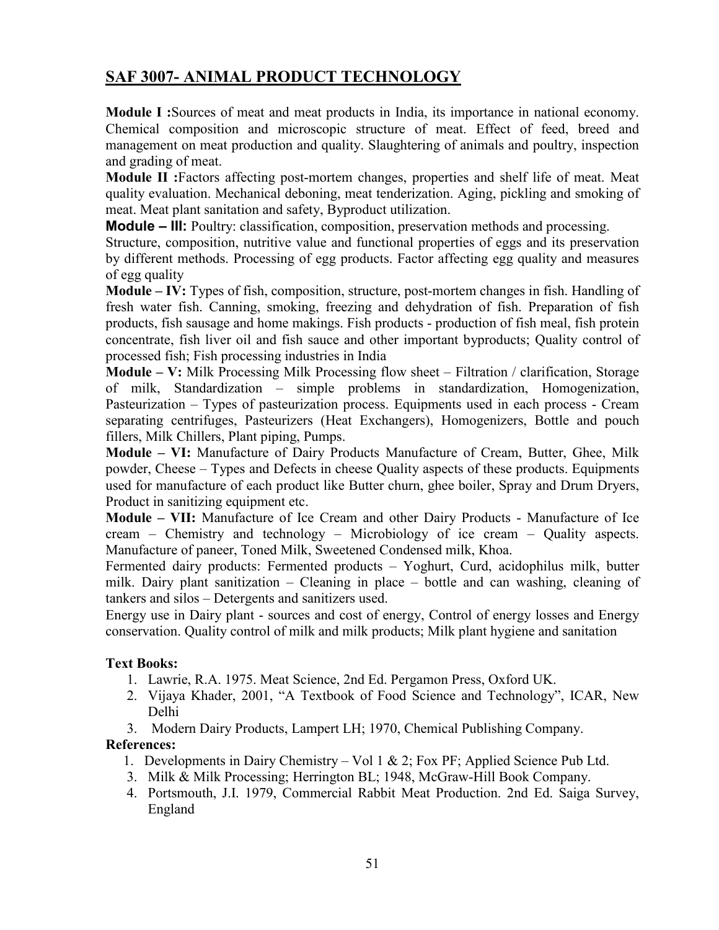# **SAF 3007- ANIMAL PRODUCT TECHNOLOGY**

**Module I :**Sources of meat and meat products in India, its importance in national economy. Chemical composition and microscopic structure of meat. Effect of feed, breed and management on meat production and quality. Slaughtering of animals and poultry, inspection and grading of meat.

**Module II :**Factors affecting post-mortem changes, properties and shelf life of meat. Meat quality evaluation. Mechanical deboning, meat tenderization. Aging, pickling and smoking of meat. Meat plant sanitation and safety, Byproduct utilization.

**Module – III:** Poultry: classification, composition, preservation methods and processing.

Structure, composition, nutritive value and functional properties of eggs and its preservation by different methods. Processing of egg products. Factor affecting egg quality and measures of egg quality

**Module – IV:** Types of fish, composition, structure, post-mortem changes in fish. Handling of fresh water fish. Canning, smoking, freezing and dehydration of fish. Preparation of fish products, fish sausage and home makings. Fish products - production of fish meal, fish protein concentrate, fish liver oil and fish sauce and other important byproducts; Quality control of processed fish; Fish processing industries in India

**Module – V:** Milk Processing Milk Processing flow sheet – Filtration / clarification, Storage of milk, Standardization – simple problems in standardization, Homogenization, Pasteurization – Types of pasteurization process. Equipments used in each process - Cream separating centrifuges, Pasteurizers (Heat Exchangers), Homogenizers, Bottle and pouch fillers, Milk Chillers, Plant piping, Pumps.

**Module – VI:** Manufacture of Dairy Products Manufacture of Cream, Butter, Ghee, Milk powder, Cheese – Types and Defects in cheese Quality aspects of these products. Equipments used for manufacture of each product like Butter churn, ghee boiler, Spray and Drum Dryers, Product in sanitizing equipment etc.

**Module – VII:** Manufacture of Ice Cream and other Dairy Products - Manufacture of Ice cream – Chemistry and technology – Microbiology of ice cream – Quality aspects. Manufacture of paneer, Toned Milk, Sweetened Condensed milk, Khoa.

Fermented dairy products: Fermented products – Yoghurt, Curd, acidophilus milk, butter milk. Dairy plant sanitization – Cleaning in place – bottle and can washing, cleaning of tankers and silos – Detergents and sanitizers used.

Energy use in Dairy plant - sources and cost of energy, Control of energy losses and Energy conservation. Quality control of milk and milk products; Milk plant hygiene and sanitation

### **Text Books:**

- 1. Lawrie, R.A. 1975. Meat Science, 2nd Ed. Pergamon Press, Oxford UK.
- 2. Vijaya Khader, 2001, "A Textbook of Food Science and Technology", ICAR, New Delhi
- 3. Modern Dairy Products, Lampert LH; 1970, Chemical Publishing Company.

### **References:**

- 1. Developments in Dairy Chemistry Vol 1 & 2; Fox PF; Applied Science Pub Ltd.
- 3. Milk & Milk Processing; Herrington BL; 1948, McGraw-Hill Book Company.
- 4. Portsmouth, J.I. 1979, Commercial Rabbit Meat Production. 2nd Ed. Saiga Survey, England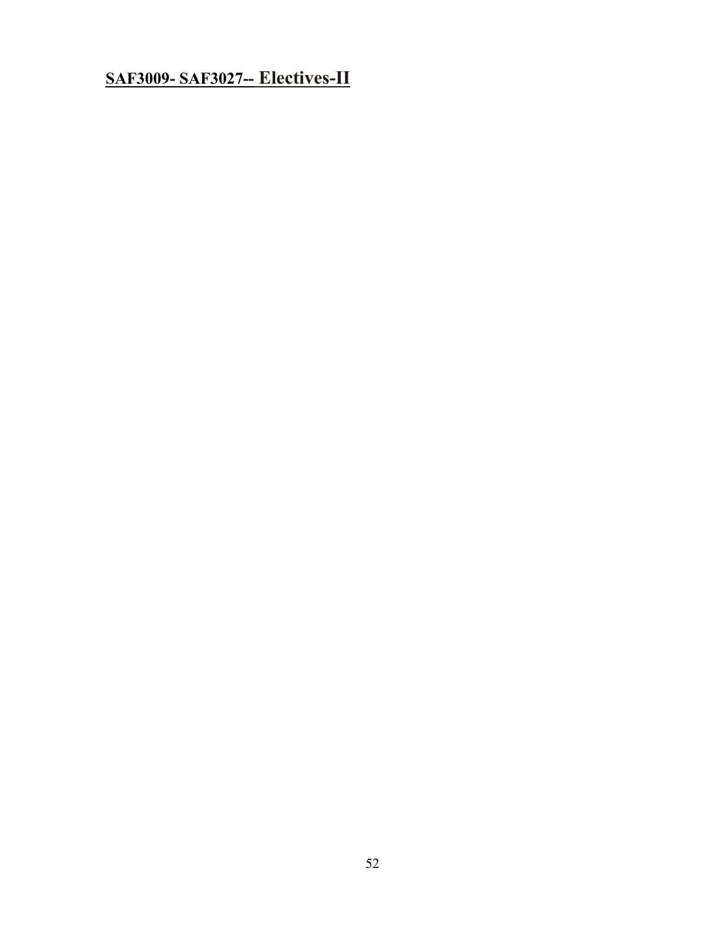# **SAF3009- SAF3027-- Electives-II**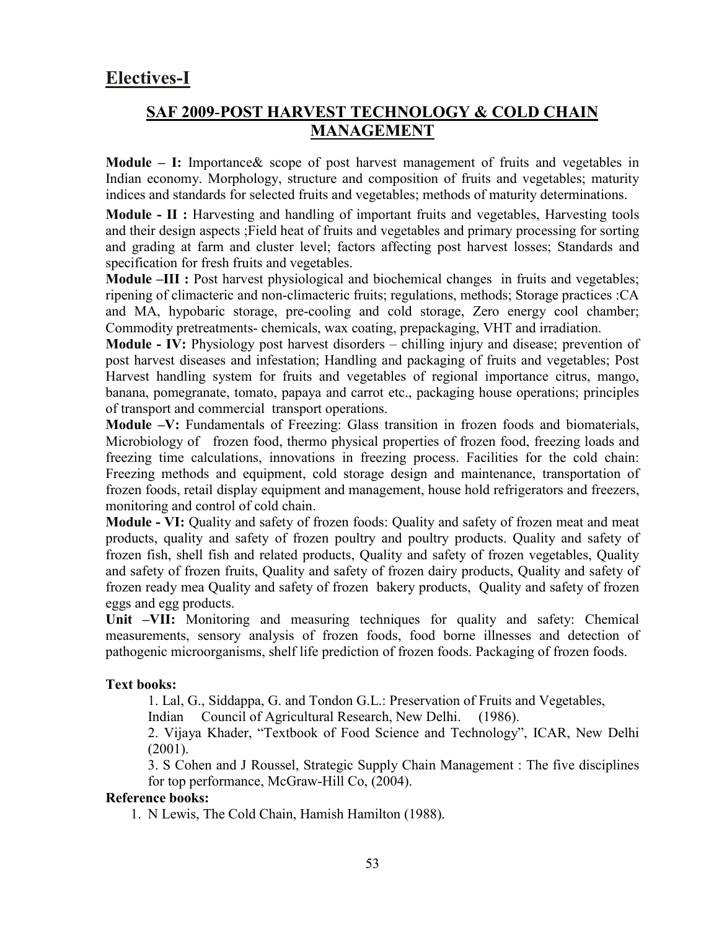# **Electives-I**

## **SAF 2009**-**POST HARVEST TECHNOLOGY & COLD CHAIN MANAGEMENT**

**Module – I:** Importance& scope of post harvest management of fruits and vegetables in Indian economy. Morphology, structure and composition of fruits and vegetables; maturity indices and standards for selected fruits and vegetables; methods of maturity determinations.

**Module - II :** Harvesting and handling of important fruits and vegetables, Harvesting tools and their design aspects ;Field heat of fruits and vegetables and primary processing for sorting and grading at farm and cluster level; factors affecting post harvest losses; Standards and specification for fresh fruits and vegetables.

**Module –III** : Post harvest physiological and biochemical changes in fruits and vegetables; ripening of climacteric and non-climacteric fruits; regulations, methods; Storage practices :CA and MA, hypobaric storage, pre-cooling and cold storage, Zero energy cool chamber; Commodity pretreatments- chemicals, wax coating, prepackaging, VHT and irradiation.

**Module - IV:** Physiology post harvest disorders – chilling injury and disease; prevention of post harvest diseases and infestation; Handling and packaging of fruits and vegetables; Post Harvest handling system for fruits and vegetables of regional importance citrus, mango, banana, pomegranate, tomato, papaya and carrot etc., packaging house operations; principles of transport and commercial transport operations.

**Module –V:** Fundamentals of Freezing: Glass transition in frozen foods and biomaterials, Microbiology of frozen food, thermo physical properties of frozen food, freezing loads and freezing time calculations, innovations in freezing process. Facilities for the cold chain: Freezing methods and equipment, cold storage design and maintenance, transportation of frozen foods, retail display equipment and management, house hold refrigerators and freezers, monitoring and control of cold chain.

**Module - VI:** Quality and safety of frozen foods: Quality and safety of frozen meat and meat products, quality and safety of frozen poultry and poultry products. Quality and safety of frozen fish, shell fish and related products, Quality and safety of frozen vegetables, Quality and safety of frozen fruits, Quality and safety of frozen dairy products, Quality and safety of frozen ready mea Quality and safety of frozen bakery products, Quality and safety of frozen eggs and egg products.

**Unit –VII:** Monitoring and measuring techniques for quality and safety: Chemical measurements, sensory analysis of frozen foods, food borne illnesses and detection of pathogenic microorganisms, shelf life prediction of frozen foods. Packaging of frozen foods.

### **Text books:**

1. Lal, G., Siddappa, G. and Tondon G.L.: Preservation of Fruits and Vegetables,

Indian Council of Agricultural Research, New Delhi. (1986).

2. Vijaya Khader, "Textbook of Food Science and Technology", ICAR, New Delhi (2001).

3. S Cohen and J Roussel, Strategic Supply Chain Management : The five disciplines for top performance, McGraw-Hill Co, (2004).

### **Reference books:**

1. N Lewis, The Cold Chain, Hamish Hamilton (1988).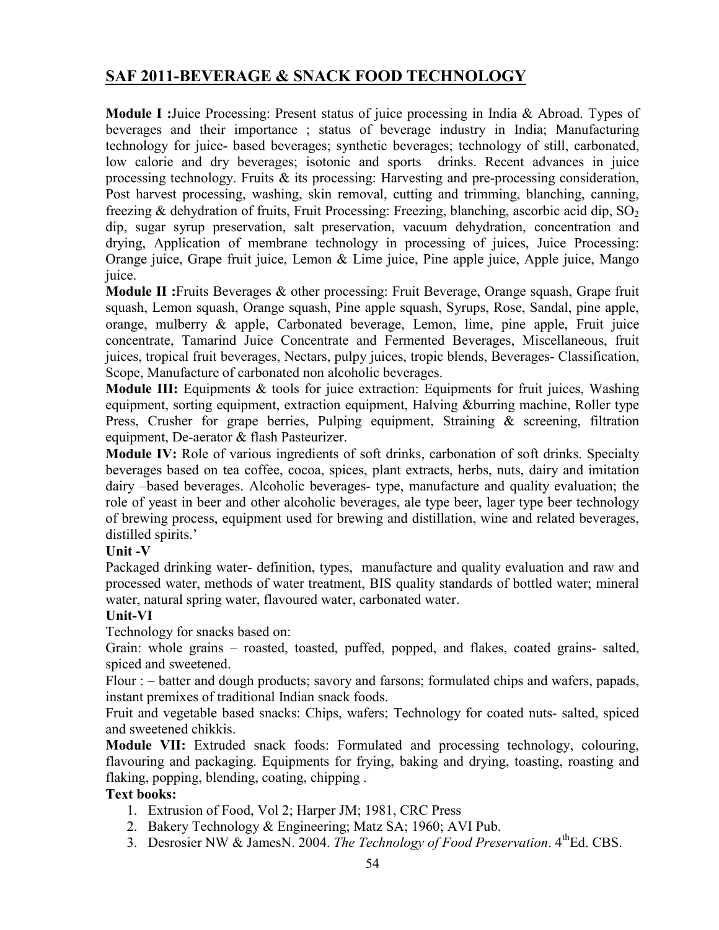## **SAF 2011-BEVERAGE & SNACK FOOD TECHNOLOGY**

**Module I :**Juice Processing: Present status of juice processing in India & Abroad. Types of beverages and their importance ; status of beverage industry in India; Manufacturing technology for juice- based beverages; synthetic beverages; technology of still, carbonated, low calorie and dry beverages; isotonic and sports drinks. Recent advances in juice processing technology. Fruits & its processing: Harvesting and pre-processing consideration, Post harvest processing, washing, skin removal, cutting and trimming, blanching, canning, freezing & dehydration of fruits, Fruit Processing: Freezing, blanching, ascorbic acid dip,  $SO_2$ dip, sugar syrup preservation, salt preservation, vacuum dehydration, concentration and drying, Application of membrane technology in processing of juices, Juice Processing: Orange juice, Grape fruit juice, Lemon & Lime juice, Pine apple juice, Apple juice, Mango juice.

**Module II :**Fruits Beverages & other processing: Fruit Beverage, Orange squash, Grape fruit squash, Lemon squash, Orange squash, Pine apple squash, Syrups, Rose, Sandal, pine apple, orange, mulberry & apple, Carbonated beverage, Lemon, lime, pine apple, Fruit juice concentrate, Tamarind Juice Concentrate and Fermented Beverages, Miscellaneous, fruit juices, tropical fruit beverages, Nectars, pulpy juices, tropic blends, Beverages- Classification, Scope, Manufacture of carbonated non alcoholic beverages.

**Module III:** Equipments & tools for juice extraction: Equipments for fruit juices, Washing equipment, sorting equipment, extraction equipment, Halving &burring machine, Roller type Press, Crusher for grape berries, Pulping equipment, Straining & screening, filtration equipment, De-aerator & flash Pasteurizer.

**Module IV:** Role of various ingredients of soft drinks, carbonation of soft drinks. Specialty beverages based on tea coffee, cocoa, spices, plant extracts, herbs, nuts, dairy and imitation dairy –based beverages. Alcoholic beverages- type, manufacture and quality evaluation; the role of yeast in beer and other alcoholic beverages, ale type beer, lager type beer technology of brewing process, equipment used for brewing and distillation, wine and related beverages, distilled spirits.'

### **Unit -V**

Packaged drinking water- definition, types, manufacture and quality evaluation and raw and processed water, methods of water treatment, BIS quality standards of bottled water; mineral water, natural spring water, flavoured water, carbonated water.

### **Unit-VI**

Technology for snacks based on:

Grain: whole grains – roasted, toasted, puffed, popped, and flakes, coated grains- salted, spiced and sweetened.

Flour : – batter and dough products; savory and farsons; formulated chips and wafers, papads, instant premixes of traditional Indian snack foods.

Fruit and vegetable based snacks: Chips, wafers; Technology for coated nuts- salted, spiced and sweetened chikkis.

**Module VII:** Extruded snack foods: Formulated and processing technology, colouring, flavouring and packaging. Equipments for frying, baking and drying, toasting, roasting and flaking, popping, blending, coating, chipping .

### **Text books:**

- 1. Extrusion of Food, Vol 2; Harper JM; 1981, CRC Press
- 2. Bakery Technology & Engineering; Matz SA; 1960; AVI Pub.
- 3. Desrosier NW & JamesN. 2004. *The Technology of Food Preservation*. 4<sup>th</sup>Ed. CBS.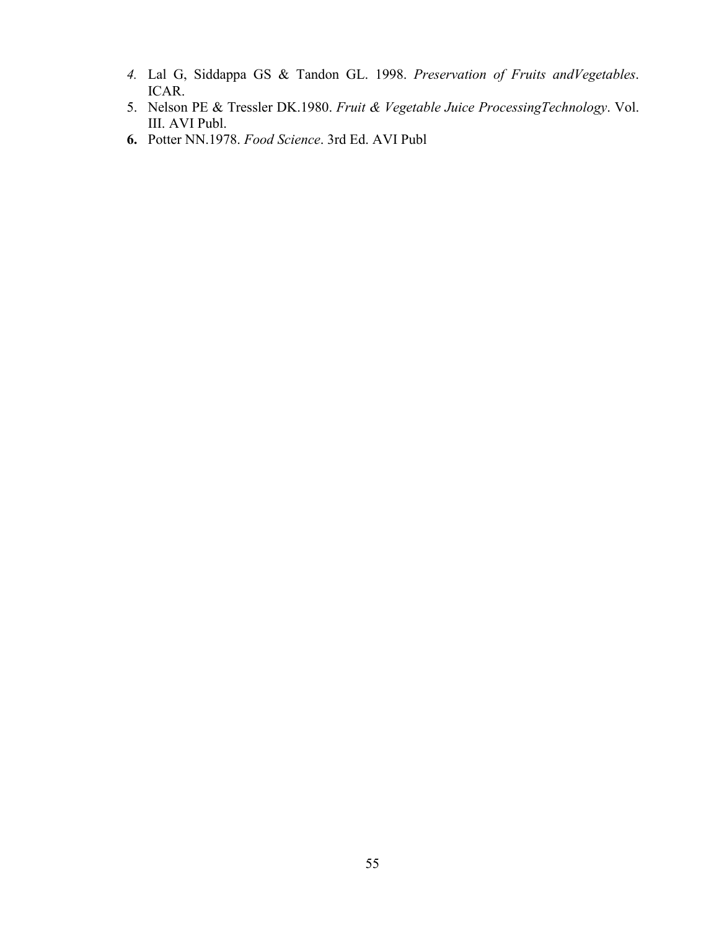- *4.* Lal G, Siddappa GS & Tandon GL. 1998. *Preservation of Fruits andVegetables*. ICAR.
- 5. Nelson PE & Tressler DK.1980. *Fruit & Vegetable Juice ProcessingTechnology*. Vol. III. AVI Publ.
- **6.** Potter NN.1978. *Food Science*. 3rd Ed. AVI Publ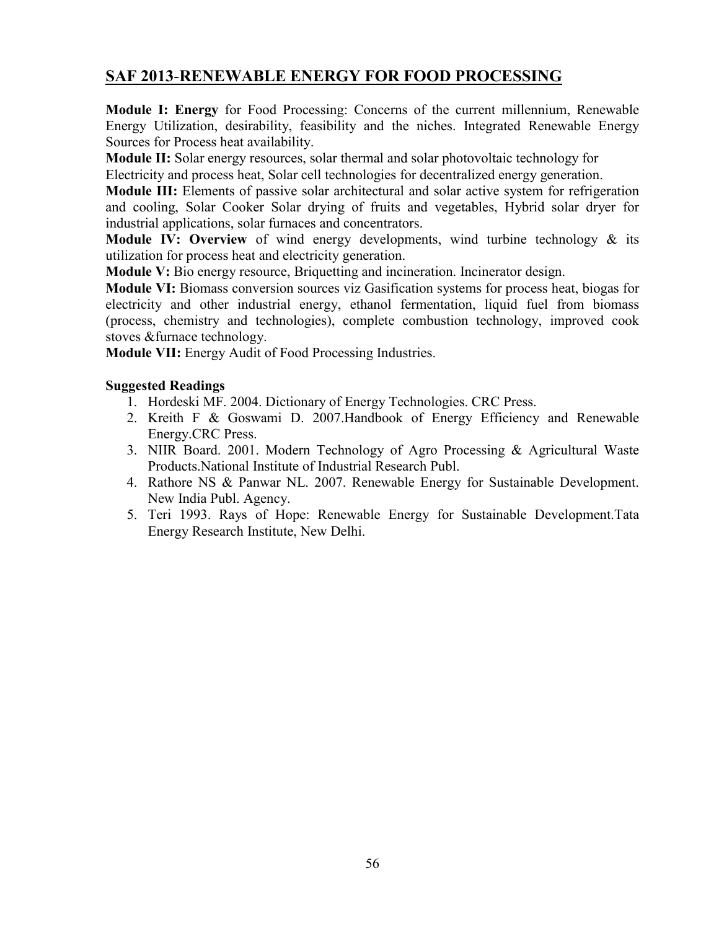## **SAF 2013**-**RENEWABLE ENERGY FOR FOOD PROCESSING**

**Module I: Energy** for Food Processing: Concerns of the current millennium, Renewable Energy Utilization, desirability, feasibility and the niches. Integrated Renewable Energy Sources for Process heat availability.

**Module II:** Solar energy resources, solar thermal and solar photovoltaic technology for

Electricity and process heat, Solar cell technologies for decentralized energy generation.

**Module III:** Elements of passive solar architectural and solar active system for refrigeration and cooling, Solar Cooker Solar drying of fruits and vegetables, Hybrid solar dryer for industrial applications, solar furnaces and concentrators.

**Module IV: Overview** of wind energy developments, wind turbine technology & its utilization for process heat and electricity generation.

**Module V:** Bio energy resource, Briquetting and incineration. Incinerator design.

**Module VI:** Biomass conversion sources viz Gasification systems for process heat, biogas for electricity and other industrial energy, ethanol fermentation, liquid fuel from biomass (process, chemistry and technologies), complete combustion technology, improved cook stoves &furnace technology.

**Module VII:** Energy Audit of Food Processing Industries.

### **Suggested Readings**

- 1. Hordeski MF. 2004. Dictionary of Energy Technologies. CRC Press.
- 2. Kreith F & Goswami D. 2007.Handbook of Energy Efficiency and Renewable Energy.CRC Press.
- 3. NIIR Board. 2001. Modern Technology of Agro Processing & Agricultural Waste Products.National Institute of Industrial Research Publ.
- 4. Rathore NS & Panwar NL. 2007. Renewable Energy for Sustainable Development. New India Publ. Agency.
- 5. Teri 1993. Rays of Hope: Renewable Energy for Sustainable Development.Tata Energy Research Institute, New Delhi.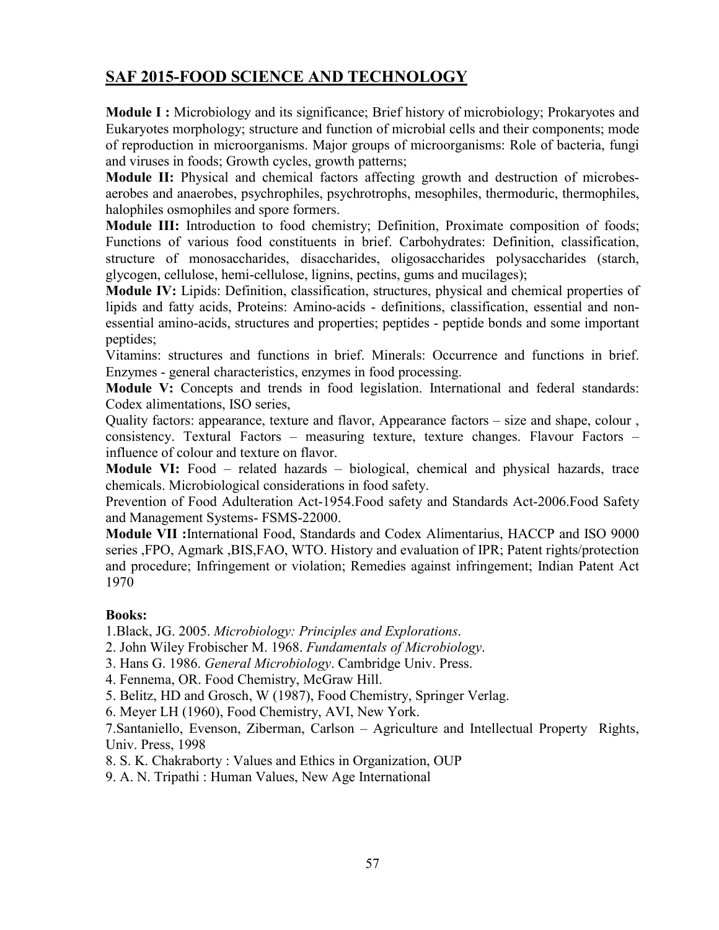# **SAF 2015-FOOD SCIENCE AND TECHNOLOGY**

**Module I :** Microbiology and its significance; Brief history of microbiology; Prokaryotes and Eukaryotes morphology; structure and function of microbial cells and their components; mode of reproduction in microorganisms. Major groups of microorganisms: Role of bacteria, fungi and viruses in foods; Growth cycles, growth patterns;

**Module II:** Physical and chemical factors affecting growth and destruction of microbesaerobes and anaerobes, psychrophiles, psychrotrophs, mesophiles, thermoduric, thermophiles, halophiles osmophiles and spore formers.

**Module III:** Introduction to food chemistry; Definition, Proximate composition of foods; Functions of various food constituents in brief. Carbohydrates: Definition, classification, structure of monosaccharides, disaccharides, oligosaccharides polysaccharides (starch, glycogen, cellulose, hemi-cellulose, lignins, pectins, gums and mucilages);

**Module IV:** Lipids: Definition, classification, structures, physical and chemical properties of lipids and fatty acids, Proteins: Amino-acids - definitions, classification, essential and nonessential amino-acids, structures and properties; peptides - peptide bonds and some important peptides;

Vitamins: structures and functions in brief. Minerals: Occurrence and functions in brief. Enzymes - general characteristics, enzymes in food processing.

**Module V:** Concepts and trends in food legislation. International and federal standards: Codex alimentations, ISO series,

Quality factors: appearance, texture and flavor, Appearance factors – size and shape, colour , consistency. Textural Factors – measuring texture, texture changes. Flavour Factors – influence of colour and texture on flavor.

**Module VI:** Food – related hazards – biological, chemical and physical hazards, trace chemicals. Microbiological considerations in food safety.

Prevention of Food Adulteration Act-1954.Food safety and Standards Act-2006.Food Safety and Management Systems- FSMS-22000.

**Module VII :**International Food, Standards and Codex Alimentarius, HACCP and ISO 9000 series ,FPO, Agmark ,BIS,FAO, WTO. History and evaluation of IPR; Patent rights/protection and procedure; Infringement or violation; Remedies against infringement; Indian Patent Act 1970

### **Books:**

1.Black, JG. 2005. *Microbiology: Principles and Explorations*.

2. John Wiley Frobischer M. 1968. *Fundamentals of Microbiology*.

3. Hans G. 1986. *General Microbiology*. Cambridge Univ. Press.

4. Fennema, OR. Food Chemistry, McGraw Hill.

5. Belitz, HD and Grosch, W (1987), Food Chemistry, Springer Verlag.

6. Meyer LH (1960), Food Chemistry, AVI, New York.

7.Santaniello, Evenson, Ziberman, Carlson – Agriculture and Intellectual Property Rights, Univ. Press, 1998

8. S. K. Chakraborty : Values and Ethics in Organization, OUP

9. A. N. Tripathi : Human Values, New Age International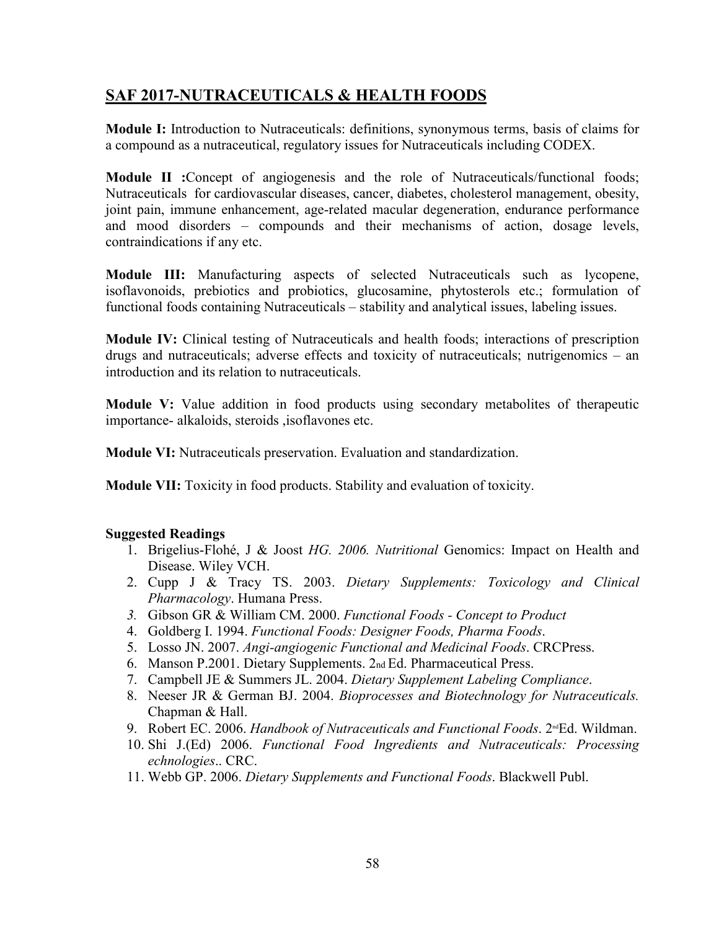# **SAF 2017-NUTRACEUTICALS & HEALTH FOODS**

**Module I:** Introduction to Nutraceuticals: definitions, synonymous terms, basis of claims for a compound as a nutraceutical, regulatory issues for Nutraceuticals including CODEX.

**Module II :**Concept of angiogenesis and the role of Nutraceuticals/functional foods; Nutraceuticals for cardiovascular diseases, cancer, diabetes, cholesterol management, obesity, joint pain, immune enhancement, age-related macular degeneration, endurance performance and mood disorders – compounds and their mechanisms of action, dosage levels, contraindications if any etc.

**Module III:** Manufacturing aspects of selected Nutraceuticals such as lycopene, isoflavonoids, prebiotics and probiotics, glucosamine, phytosterols etc.; formulation of functional foods containing Nutraceuticals – stability and analytical issues, labeling issues.

**Module IV:** Clinical testing of Nutraceuticals and health foods; interactions of prescription drugs and nutraceuticals; adverse effects and toxicity of nutraceuticals; nutrigenomics – an introduction and its relation to nutraceuticals.

**Module V:** Value addition in food products using secondary metabolites of therapeutic importance- alkaloids, steroids ,isoflavones etc.

**Module VI:** Nutraceuticals preservation. Evaluation and standardization.

**Module VII:** Toxicity in food products. Stability and evaluation of toxicity.

### **Suggested Readings**

- 1. Brigelius-Flohé, J & Joost *HG. 2006. Nutritional* Genomics: Impact on Health and Disease. Wiley VCH.
- 2. Cupp J & Tracy TS. 2003. *Dietary Supplements: Toxicology and Clinical Pharmacology*. Humana Press.
- *3.* Gibson GR & William CM. 2000. *Functional Foods - Concept to Product*
- 4. Goldberg I. 1994. *Functional Foods: Designer Foods, Pharma Foods*.
- 5. Losso JN. 2007. *Angi-angiogenic Functional and Medicinal Foods*. CRCPress.
- 6. Manson P.2001. Dietary Supplements. 2nd Ed. Pharmaceutical Press.
- 7. Campbell JE & Summers JL. 2004. *Dietary Supplement Labeling Compliance*.
- 8. Neeser JR & German BJ. 2004. *Bioprocesses and Biotechnology for Nutraceuticals.*  Chapman & Hall.
- 9. Robert EC. 2006. *Handbook of Nutraceuticals and Functional Foods*. 2<sup>nd</sup>Ed. Wildman.
- 10. Shi J.(Ed) 2006. *Functional Food Ingredients and Nutraceuticals: Processing echnologies*.. CRC.
- 11. Webb GP. 2006. *Dietary Supplements and Functional Foods*. Blackwell Publ.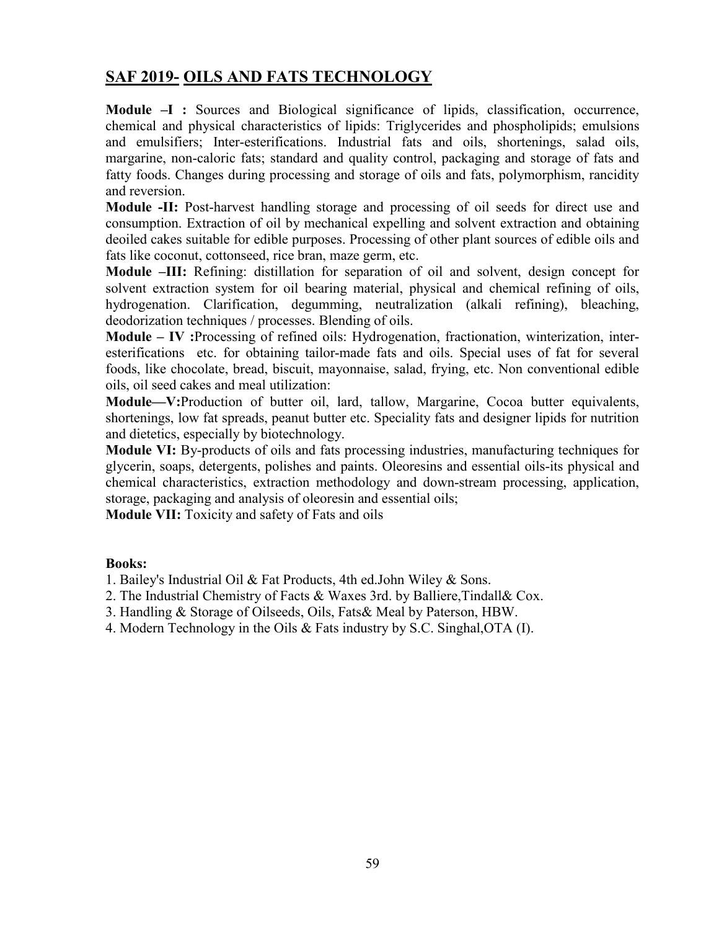# **SAF 2019- OILS AND FATS TECHNOLOGY**

**Module –I :** Sources and Biological significance of lipids, classification, occurrence, chemical and physical characteristics of lipids: Triglycerides and phospholipids; emulsions and emulsifiers; Inter-esterifications. Industrial fats and oils, shortenings, salad oils, margarine, non-caloric fats; standard and quality control, packaging and storage of fats and fatty foods. Changes during processing and storage of oils and fats, polymorphism, rancidity and reversion.

**Module -II:** Post-harvest handling storage and processing of oil seeds for direct use and consumption. Extraction of oil by mechanical expelling and solvent extraction and obtaining deoiled cakes suitable for edible purposes. Processing of other plant sources of edible oils and fats like coconut, cottonseed, rice bran, maze germ, etc.

**Module –III:** Refining: distillation for separation of oil and solvent, design concept for solvent extraction system for oil bearing material, physical and chemical refining of oils, hydrogenation. Clarification, degumming, neutralization (alkali refining), bleaching, deodorization techniques / processes. Blending of oils.

**Module – IV :**Processing of refined oils: Hydrogenation, fractionation, winterization, interesterifications etc. for obtaining tailor-made fats and oils. Special uses of fat for several foods, like chocolate, bread, biscuit, mayonnaise, salad, frying, etc. Non conventional edible oils, oil seed cakes and meal utilization:

**Module—V:**Production of butter oil, lard, tallow, Margarine, Cocoa butter equivalents, shortenings, low fat spreads, peanut butter etc. Speciality fats and designer lipids for nutrition and dietetics, especially by biotechnology.

**Module VI:** By-products of oils and fats processing industries, manufacturing techniques for glycerin, soaps, detergents, polishes and paints. Oleoresins and essential oils-its physical and chemical characteristics, extraction methodology and down-stream processing, application, storage, packaging and analysis of oleoresin and essential oils;

**Module VII:** Toxicity and safety of Fats and oils

#### **Books:**

1. Bailey's Industrial Oil & Fat Products, 4th ed.John Wiley & Sons.

2. The Industrial Chemistry of Facts & Waxes 3rd. by Balliere,Tindall& Cox.

- 3. Handling & Storage of Oilseeds, Oils, Fats& Meal by Paterson, HBW.
- 4. Modern Technology in the Oils & Fats industry by S.C. Singhal,OTA (I).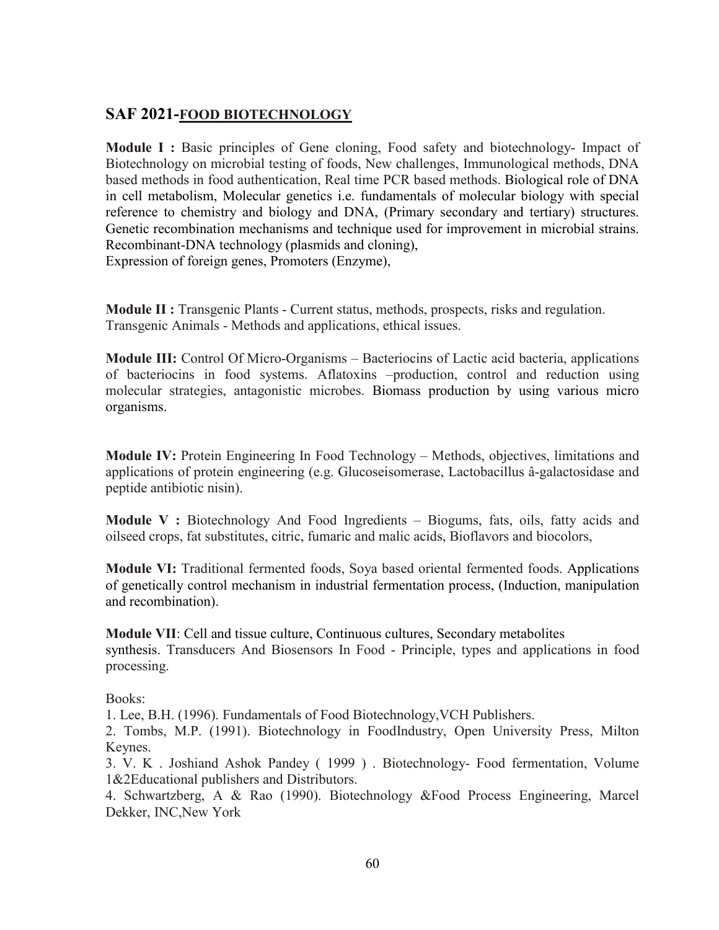### **SAF 2021-FOOD BIOTECHNOLOGY**

**Module I :** Basic principles of Gene cloning, Food safety and biotechnology- Impact of Biotechnology on microbial testing of foods, New challenges, Immunological methods, DNA based methods in food authentication, Real time PCR based methods. Biological role of DNA in cell metabolism, Molecular genetics i.e. fundamentals of molecular biology with special reference to chemistry and biology and DNA, (Primary secondary and tertiary) structures. Genetic recombination mechanisms and technique used for improvement in microbial strains. Recombinant-DNA technology (plasmids and cloning), Expression of foreign genes, Promoters (Enzyme),

**Module II :** Transgenic Plants - Current status, methods, prospects, risks and regulation. Transgenic Animals - Methods and applications, ethical issues.

**Module III:** Control Of Micro-Organisms – Bacteriocins of Lactic acid bacteria, applications of bacteriocins in food systems. Aflatoxins –production, control and reduction using molecular strategies, antagonistic microbes. Biomass production by using various micro organisms.

**Module IV:** Protein Engineering In Food Technology – Methods, objectives, limitations and applications of protein engineering (e.g. Glucoseisomerase, Lactobacillus â-galactosidase and peptide antibiotic nisin).

**Module V :** Biotechnology And Food Ingredients – Biogums, fats, oils, fatty acids and oilseed crops, fat substitutes, citric, fumaric and malic acids, Bioflavors and biocolors,

**Module VI:** Traditional fermented foods, Soya based oriental fermented foods. Applications of genetically control mechanism in industrial fermentation process, (Induction, manipulation and recombination).

**Module VII**: Cell and tissue culture, Continuous cultures, Secondary metabolites synthesis. Transducers And Biosensors In Food - Principle, types and applications in food processing.

Books:

1. Lee, B.H. (1996). Fundamentals of Food Biotechnology,VCH Publishers.

2. Tombs, M.P. (1991). Biotechnology in FoodIndustry, Open University Press, Milton Keynes.

3. V. K . Joshiand Ashok Pandey ( 1999 ) . Biotechnology- Food fermentation, Volume 1&2Educational publishers and Distributors.

4. Schwartzberg, A & Rao (1990). Biotechnology &Food Process Engineering, Marcel Dekker, INC,New York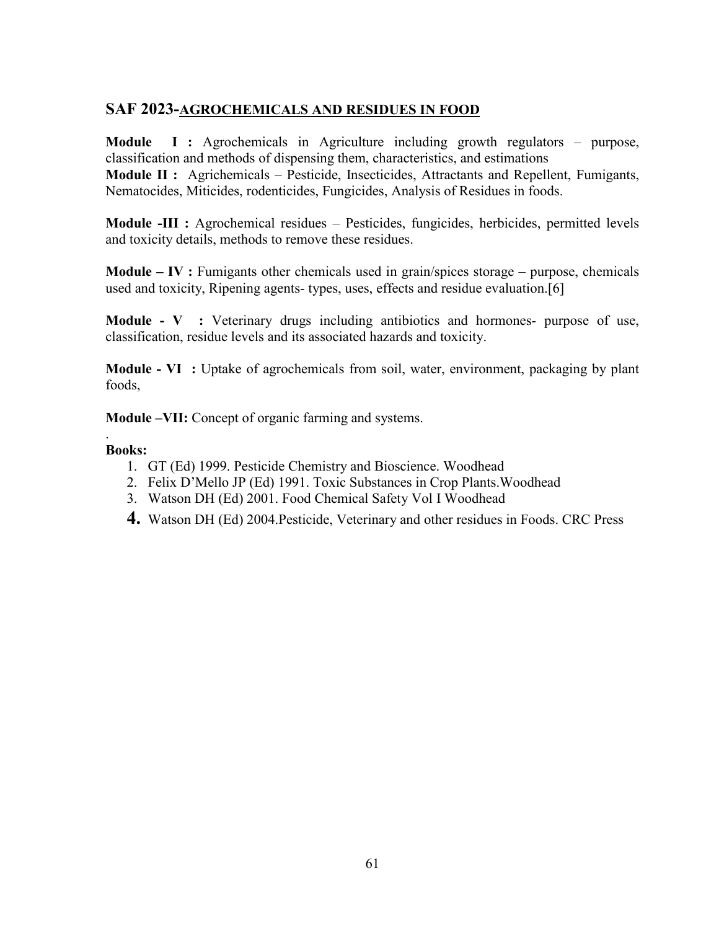## **SAF 2023-AGROCHEMICALS AND RESIDUES IN FOOD**

**Module I :** Agrochemicals in Agriculture including growth regulators – purpose, classification and methods of dispensing them, characteristics, and estimations **Module II :** Agrichemicals – Pesticide, Insecticides, Attractants and Repellent, Fumigants, Nematocides, Miticides, rodenticides, Fungicides, Analysis of Residues in foods.

**Module -III :** Agrochemical residues – Pesticides, fungicides, herbicides, permitted levels and toxicity details, methods to remove these residues.

**Module – IV :** Fumigants other chemicals used in grain/spices storage – purpose, chemicals used and toxicity, Ripening agents- types, uses, effects and residue evaluation.[6]

**Module - V :** Veterinary drugs including antibiotics and hormones- purpose of use, classification, residue levels and its associated hazards and toxicity.

**Module - VI :** Uptake of agrochemicals from soil, water, environment, packaging by plant foods,

**Module –VII:** Concept of organic farming and systems.

### **Books:**

.

- 1. GT (Ed) 1999. Pesticide Chemistry and Bioscience. Woodhead
- 2. Felix D'Mello JP (Ed) 1991. Toxic Substances in Crop Plants.Woodhead
- 3. Watson DH (Ed) 2001. Food Chemical Safety Vol I Woodhead
- **4.** Watson DH (Ed) 2004.Pesticide, Veterinary and other residues in Foods. CRC Press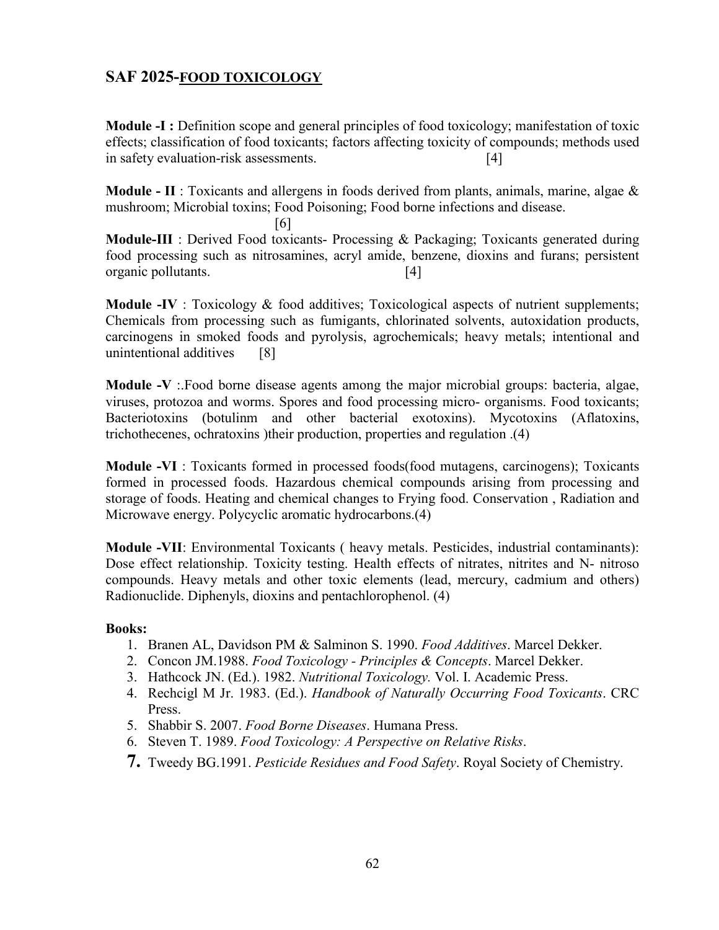## **SAF 2025-FOOD TOXICOLOGY**

**Module -I :** Definition scope and general principles of food toxicology; manifestation of toxic effects; classification of food toxicants; factors affecting toxicity of compounds; methods used in safety evaluation-risk assessments. [4]

**Module - II** : Toxicants and allergens in foods derived from plants, animals, marine, algae & mushroom; Microbial toxins; Food Poisoning; Food borne infections and disease.

[6] **Module-III** : Derived Food toxicants- Processing & Packaging; Toxicants generated during food processing such as nitrosamines, acryl amide, benzene, dioxins and furans; persistent organic pollutants. [4]

**Module -IV** : Toxicology & food additives; Toxicological aspects of nutrient supplements; Chemicals from processing such as fumigants, chlorinated solvents, autoxidation products, carcinogens in smoked foods and pyrolysis, agrochemicals; heavy metals; intentional and unintentional additives [8]

**Module -V** :.Food borne disease agents among the major microbial groups: bacteria, algae, viruses, protozoa and worms. Spores and food processing micro- organisms. Food toxicants; Bacteriotoxins (botulinm and other bacterial exotoxins). Mycotoxins (Aflatoxins, trichothecenes, ochratoxins )their production, properties and regulation .(4)

**Module -VI** : Toxicants formed in processed foods(food mutagens, carcinogens); Toxicants formed in processed foods. Hazardous chemical compounds arising from processing and storage of foods. Heating and chemical changes to Frying food. Conservation , Radiation and Microwave energy. Polycyclic aromatic hydrocarbons.(4)

**Module -VII**: Environmental Toxicants ( heavy metals. Pesticides, industrial contaminants): Dose effect relationship. Toxicity testing. Health effects of nitrates, nitrites and N- nitroso compounds. Heavy metals and other toxic elements (lead, mercury, cadmium and others) Radionuclide. Diphenyls, dioxins and pentachlorophenol. (4)

- 1. Branen AL, Davidson PM & Salminon S. 1990. *Food Additives*. Marcel Dekker.
- 2. Concon JM.1988. *Food Toxicology - Principles & Concepts*. Marcel Dekker.
- 3. Hathcock JN. (Ed.). 1982. *Nutritional Toxicology.* Vol. I. Academic Press.
- 4. Rechcigl M Jr. 1983. (Ed.). *Handbook of Naturally Occurring Food Toxicants*. CRC Press.
- 5. Shabbir S. 2007. *Food Borne Diseases*. Humana Press.
- 6. Steven T. 1989. *Food Toxicology: A Perspective on Relative Risks*.
- **7.** Tweedy BG.1991. *Pesticide Residues and Food Safety*. Royal Society of Chemistry.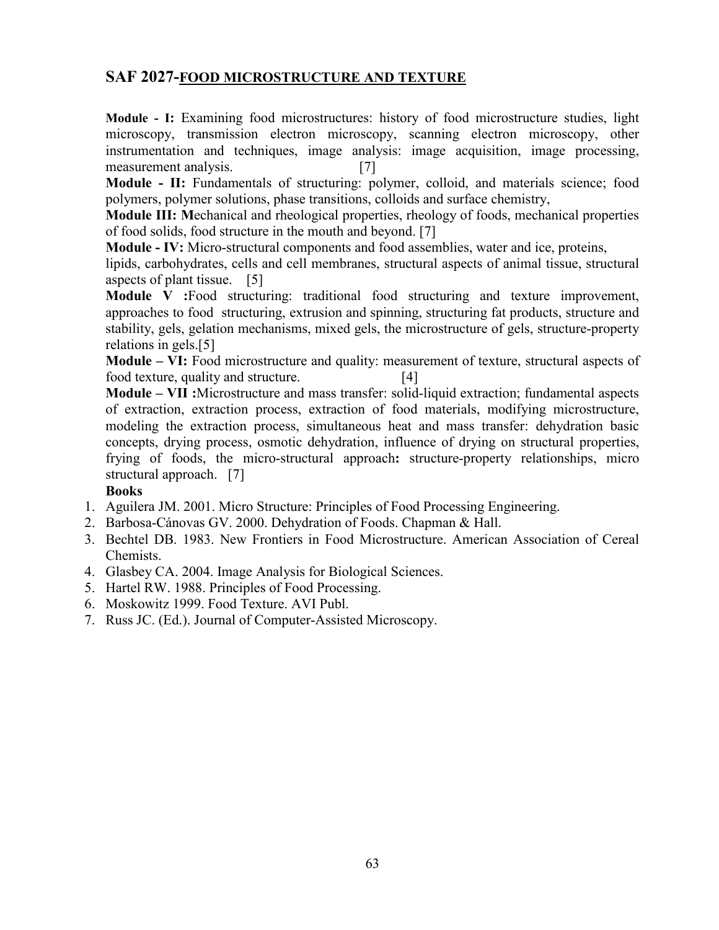### **SAF 2027-FOOD MICROSTRUCTURE AND TEXTURE**

**Module - I:** Examining food microstructures: history of food microstructure studies, light microscopy, transmission electron microscopy, scanning electron microscopy, other instrumentation and techniques, image analysis: image acquisition, image processing, measurement analysis. [7]

**Module - II:** Fundamentals of structuring: polymer, colloid, and materials science; food polymers, polymer solutions, phase transitions, colloids and surface chemistry,

**Module III: M**echanical and rheological properties, rheology of foods, mechanical properties of food solids, food structure in the mouth and beyond. [7]

**Module - IV:** Micro-structural components and food assemblies, water and ice, proteins,

lipids, carbohydrates, cells and cell membranes, structural aspects of animal tissue, structural aspects of plant tissue. [5]

**Module V :**Food structuring: traditional food structuring and texture improvement, approaches to food structuring, extrusion and spinning, structuring fat products, structure and stability, gels, gelation mechanisms, mixed gels, the microstructure of gels, structure-property relations in gels.[5]

**Module – VI:** Food microstructure and quality: measurement of texture, structural aspects of food texture, quality and structure. [4]

**Module – VII :**Microstructure and mass transfer: solid-liquid extraction; fundamental aspects of extraction, extraction process, extraction of food materials, modifying microstructure, modeling the extraction process, simultaneous heat and mass transfer: dehydration basic concepts, drying process, osmotic dehydration, influence of drying on structural properties, frying of foods, the micro-structural approach**:** structure-property relationships, micro structural approach. [7]

- 1. Aguilera JM. 2001. Micro Structure: Principles of Food Processing Engineering.
- 2. Barbosa-Cánovas GV. 2000. Dehydration of Foods. Chapman & Hall.
- 3. Bechtel DB. 1983. New Frontiers in Food Microstructure. American Association of Cereal Chemists.
- 4. Glasbey CA. 2004. Image Analysis for Biological Sciences.
- 5. Hartel RW. 1988. Principles of Food Processing.
- 6. Moskowitz 1999. Food Texture. AVI Publ.
- 7. Russ JC. (Ed.). Journal of Computer-Assisted Microscopy.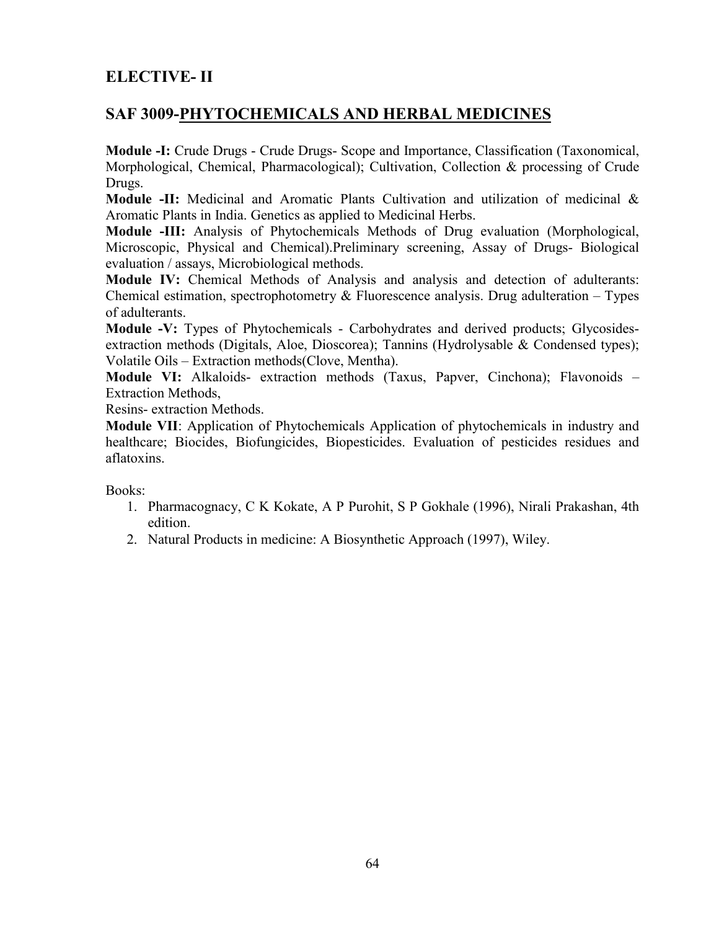# **ELECTIVE- II**

## **SAF 3009-PHYTOCHEMICALS AND HERBAL MEDICINES**

**Module -I:** Crude Drugs - Crude Drugs- Scope and Importance, Classification (Taxonomical, Morphological, Chemical, Pharmacological); Cultivation, Collection & processing of Crude Drugs.

**Module -II:** Medicinal and Aromatic Plants Cultivation and utilization of medicinal & Aromatic Plants in India. Genetics as applied to Medicinal Herbs.

**Module -III:** Analysis of Phytochemicals Methods of Drug evaluation (Morphological, Microscopic, Physical and Chemical).Preliminary screening, Assay of Drugs- Biological evaluation / assays, Microbiological methods.

**Module IV:** Chemical Methods of Analysis and analysis and detection of adulterants: Chemical estimation, spectrophotometry  $\&$  Fluorescence analysis. Drug adulteration – Types of adulterants.

**Module -V:** Types of Phytochemicals - Carbohydrates and derived products; Glycosidesextraction methods (Digitals, Aloe, Dioscorea); Tannins (Hydrolysable & Condensed types); Volatile Oils – Extraction methods(Clove, Mentha).

**Module VI:** Alkaloids- extraction methods (Taxus, Papver, Cinchona); Flavonoids – Extraction Methods,

Resins- extraction Methods.

**Module VII**: Application of Phytochemicals Application of phytochemicals in industry and healthcare; Biocides, Biofungicides, Biopesticides. Evaluation of pesticides residues and aflatoxins.

- 1. Pharmacognacy, C K Kokate, A P Purohit, S P Gokhale (1996), Nirali Prakashan, 4th edition.
- 2. Natural Products in medicine: A Biosynthetic Approach (1997), Wiley.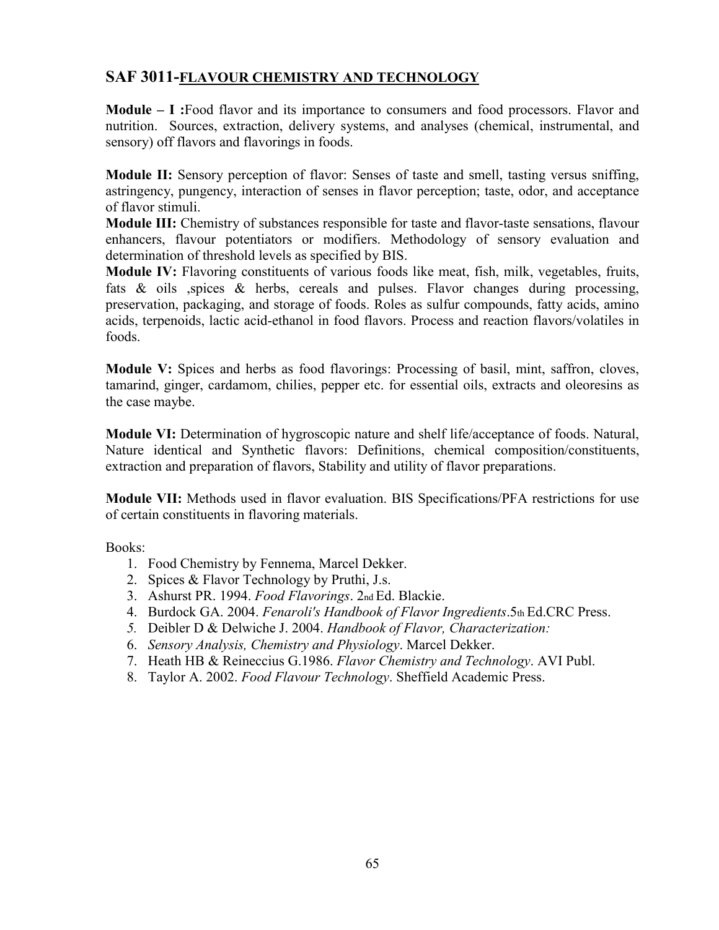## **SAF 3011-FLAVOUR CHEMISTRY AND TECHNOLOGY**

**Module – I :**Food flavor and its importance to consumers and food processors. Flavor and nutrition. Sources, extraction, delivery systems, and analyses (chemical, instrumental, and sensory) off flavors and flavorings in foods.

**Module II:** Sensory perception of flavor: Senses of taste and smell, tasting versus sniffing, astringency, pungency, interaction of senses in flavor perception; taste, odor, and acceptance of flavor stimuli.

**Module III:** Chemistry of substances responsible for taste and flavor-taste sensations, flavour enhancers, flavour potentiators or modifiers. Methodology of sensory evaluation and determination of threshold levels as specified by BIS.

**Module IV:** Flavoring constituents of various foods like meat, fish, milk, vegetables, fruits, fats & oils ,spices & herbs, cereals and pulses. Flavor changes during processing, preservation, packaging, and storage of foods. Roles as sulfur compounds, fatty acids, amino acids, terpenoids, lactic acid-ethanol in food flavors. Process and reaction flavors/volatiles in foods.

**Module V:** Spices and herbs as food flavorings: Processing of basil, mint, saffron, cloves, tamarind, ginger, cardamom, chilies, pepper etc. for essential oils, extracts and oleoresins as the case maybe.

**Module VI:** Determination of hygroscopic nature and shelf life/acceptance of foods. Natural, Nature identical and Synthetic flavors: Definitions, chemical composition/constituents, extraction and preparation of flavors, Stability and utility of flavor preparations.

**Module VII:** Methods used in flavor evaluation. BIS Specifications/PFA restrictions for use of certain constituents in flavoring materials.

- 1. Food Chemistry by Fennema, Marcel Dekker.
- 2. Spices & Flavor Technology by Pruthi, J.s.
- 3. Ashurst PR. 1994. *Food Flavorings*. 2nd Ed. Blackie.
- 4. Burdock GA. 2004. *Fenaroli's Handbook of Flavor Ingredients*.5th Ed.CRC Press.
- *5.* Deibler D & Delwiche J. 2004. *Handbook of Flavor, Characterization:*
- 6. *Sensory Analysis, Chemistry and Physiology*. Marcel Dekker.
- 7. Heath HB & Reineccius G.1986. *Flavor Chemistry and Technology*. AVI Publ.
- 8. Taylor A. 2002. *Food Flavour Technology*. Sheffield Academic Press.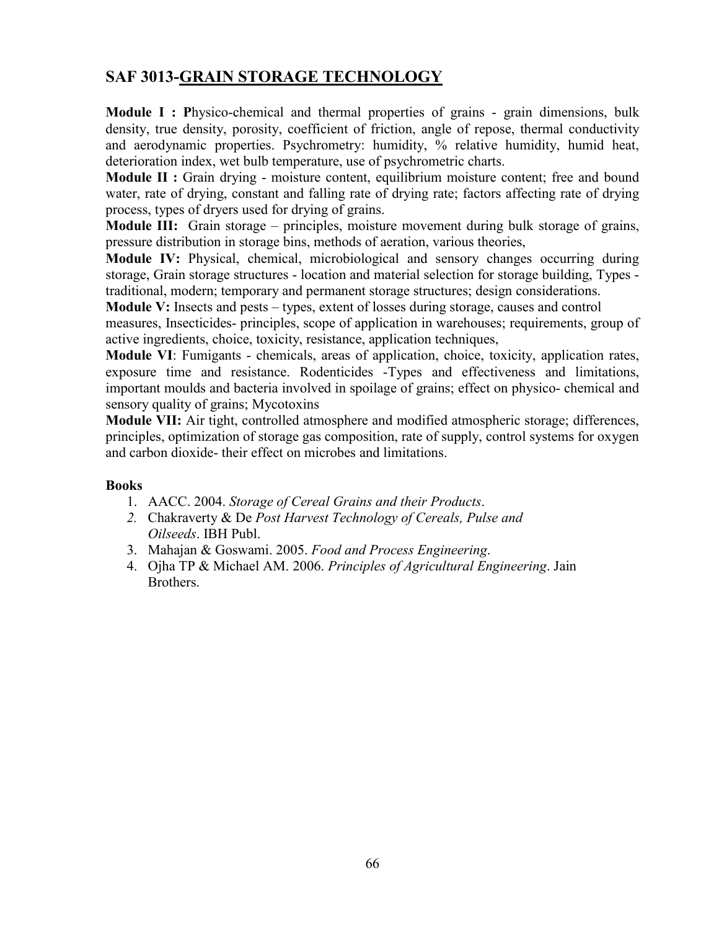# **SAF 3013-GRAIN STORAGE TECHNOLOGY**

**Module I : Physico-chemical and thermal properties of grains - grain dimensions, bulk** density, true density, porosity, coefficient of friction, angle of repose, thermal conductivity and aerodynamic properties. Psychrometry: humidity, % relative humidity, humid heat, deterioration index, wet bulb temperature, use of psychrometric charts.

**Module II :** Grain drying - moisture content, equilibrium moisture content; free and bound water, rate of drying, constant and falling rate of drying rate; factors affecting rate of drying process, types of dryers used for drying of grains.

**Module III:** Grain storage – principles, moisture movement during bulk storage of grains, pressure distribution in storage bins, methods of aeration, various theories,

**Module IV:** Physical, chemical, microbiological and sensory changes occurring during storage, Grain storage structures - location and material selection for storage building, Types traditional, modern; temporary and permanent storage structures; design considerations.

**Module V:** Insects and pests – types, extent of losses during storage, causes and control

measures, Insecticides- principles, scope of application in warehouses; requirements, group of active ingredients, choice, toxicity, resistance, application techniques,

**Module VI**: Fumigants - chemicals, areas of application, choice, toxicity, application rates, exposure time and resistance. Rodenticides -Types and effectiveness and limitations, important moulds and bacteria involved in spoilage of grains; effect on physico- chemical and sensory quality of grains; Mycotoxins

**Module VII:** Air tight, controlled atmosphere and modified atmospheric storage; differences, principles, optimization of storage gas composition, rate of supply, control systems for oxygen and carbon dioxide- their effect on microbes and limitations.

- 1. AACC. 2004. *Storage of Cereal Grains and their Products*.
- *2.* Chakraverty & De *Post Harvest Technology of Cereals, Pulse and Oilseeds*. IBH Publ.
- 3. Mahajan & Goswami. 2005. *Food and Process Engineering*.
- 4. Ojha TP & Michael AM. 2006. *Principles of Agricultural Engineering*. Jain Brothers.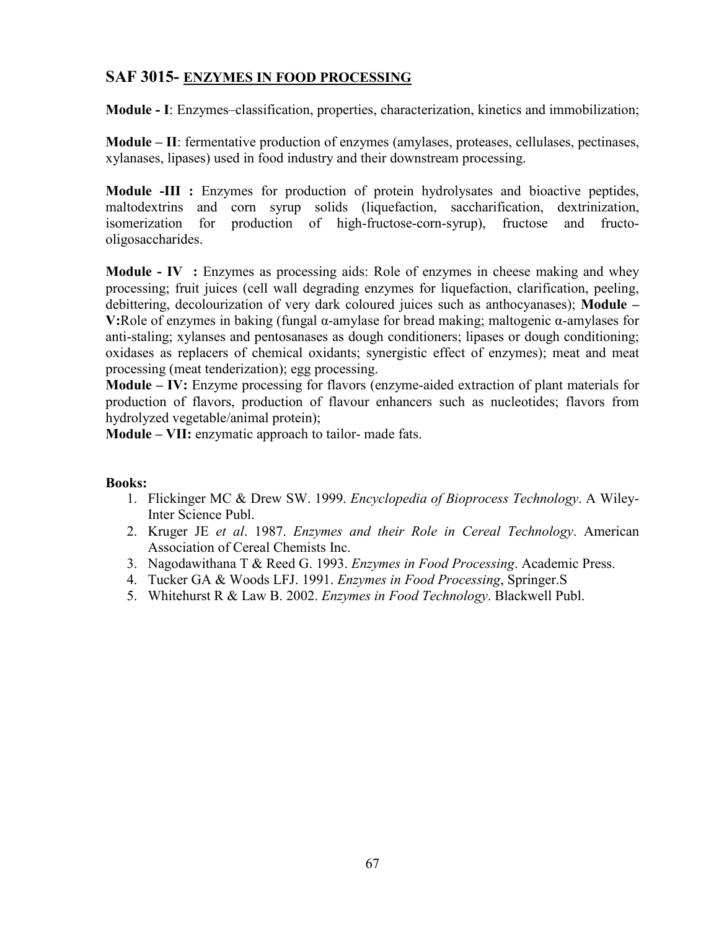### **SAF 3015- ENZYMES IN FOOD PROCESSING**

**Module - I**: Enzymes–classification, properties, characterization, kinetics and immobilization;

**Module – II**: fermentative production of enzymes (amylases, proteases, cellulases, pectinases, xylanases, lipases) used in food industry and their downstream processing.

**Module -III :** Enzymes for production of protein hydrolysates and bioactive peptides, maltodextrins and corn syrup solids (liquefaction, saccharification, dextrinization, isomerization for production of high-fructose-corn-syrup), fructose and fructoproduction of high-fructose-corn-syrup), fructose and fructooligosaccharides.

**Module - <b>IV** : Enzymes as processing aids: Role of enzymes in cheese making and whey processing; fruit juices (cell wall degrading enzymes for liquefaction, clarification, peeling, debittering, decolourization of very dark coloured juices such as anthocyanases); **Module – V:**Role of enzymes in baking (fungal α-amylase for bread making; maltogenic α-amylases for anti-staling; xylanses and pentosanases as dough conditioners; lipases or dough conditioning; oxidases as replacers of chemical oxidants; synergistic effect of enzymes); meat and meat processing (meat tenderization); egg processing.

**Module – IV:** Enzyme processing for flavors (enzyme-aided extraction of plant materials for production of flavors, production of flavour enhancers such as nucleotides; flavors from hydrolyzed vegetable/animal protein);

**Module – VII:** enzymatic approach to tailor- made fats.

- 1. Flickinger MC & Drew SW. 1999. *Encyclopedia of Bioprocess Technology*. A Wiley-Inter Science Publ.
- 2. Kruger JE *et al*. 1987. *Enzymes and their Role in Cereal Technology*. American Association of Cereal Chemists Inc.
- 3. Nagodawithana T & Reed G. 1993. *Enzymes in Food Processing*. Academic Press.
- 4. Tucker GA & Woods LFJ. 1991. *Enzymes in Food Processing*, Springer.S
- 5. Whitehurst R & Law B. 2002. *Enzymes in Food Technology*. Blackwell Publ.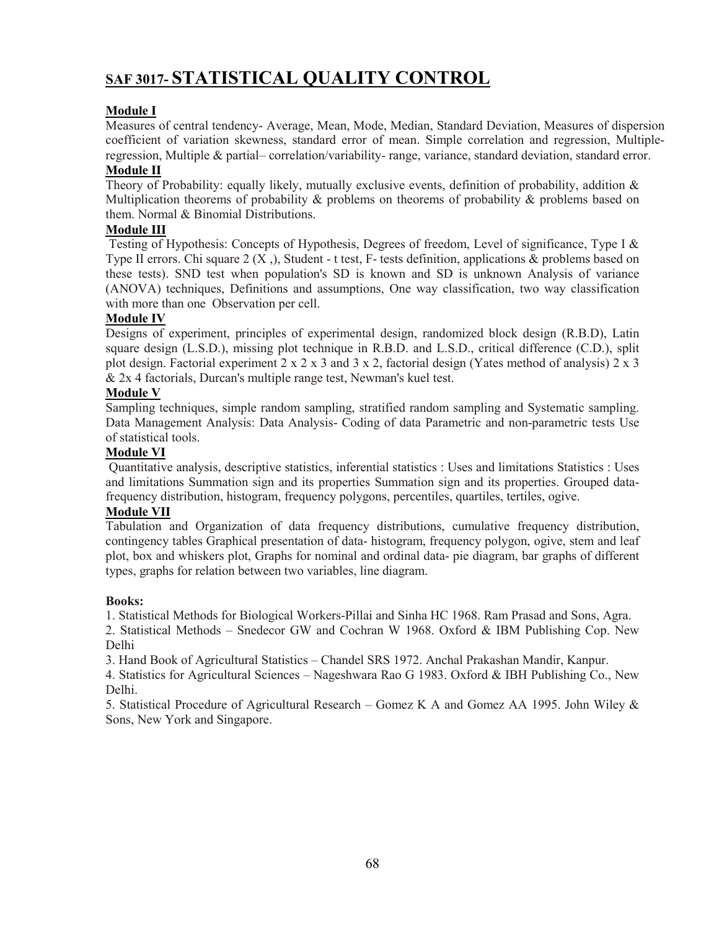# **SAF 3017- STATISTICAL QUALITY CONTROL**

### **Module I**

Measures of central tendency- Average, Mean, Mode, Median, Standard Deviation, Measures of dispersion coefficient of variation skewness, standard error of mean. Simple correlation and regression, Multipleregression, Multiple & partial– correlation/variability- range, variance, standard deviation, standard error.

### **Module II**

Theory of Probability: equally likely, mutually exclusive events, definition of probability, addition & Multiplication theorems of probability  $\&$  problems on theorems of probability  $\&$  problems based on them. Normal & Binomial Distributions.

### **Module III**

Testing of Hypothesis: Concepts of Hypothesis, Degrees of freedom, Level of significance, Type I & Type II errors. Chi square  $2(X, \cdot)$ , Student - t test, F- tests definition, applications & problems based on these tests). SND test when population's SD is known and SD is unknown Analysis of variance (ANOVA) techniques, Definitions and assumptions, One way classification, two way classification with more than one Observation per cell.

#### **Module IV**

Designs of experiment, principles of experimental design, randomized block design (R.B.D), Latin square design (L.S.D.), missing plot technique in R.B.D. and L.S.D., critical difference (C.D.), split plot design. Factorial experiment  $2 \times 2 \times 3$  and  $3 \times 2$ , factorial design (Yates method of analysis)  $2 \times 3$ & 2x 4 factorials, Durcan's multiple range test, Newman's kuel test.

#### **Module V**

Sampling techniques, simple random sampling, stratified random sampling and Systematic sampling. Data Management Analysis: Data Analysis- Coding of data Parametric and non-parametric tests Use of statistical tools.

#### **Module VI**

Quantitative analysis, descriptive statistics, inferential statistics : Uses and limitations Statistics : Uses and limitations Summation sign and its properties Summation sign and its properties. Grouped datafrequency distribution, histogram, frequency polygons, percentiles, quartiles, tertiles, ogive.

#### **Module VII**

Tabulation and Organization of data frequency distributions, cumulative frequency distribution, contingency tables Graphical presentation of data- histogram, frequency polygon, ogive, stem and leaf plot, box and whiskers plot, Graphs for nominal and ordinal data- pie diagram, bar graphs of different types, graphs for relation between two variables, line diagram.

#### **Books:**

1. Statistical Methods for Biological Workers-Pillai and Sinha HC 1968. Ram Prasad and Sons, Agra.

2. Statistical Methods – Snedecor GW and Cochran W 1968. Oxford & IBM Publishing Cop. New Delhi

3. Hand Book of Agricultural Statistics – Chandel SRS 1972. Anchal Prakashan Mandir, Kanpur.

4. Statistics for Agricultural Sciences – Nageshwara Rao G 1983. Oxford & IBH Publishing Co., New Delhi.

5. Statistical Procedure of Agricultural Research – Gomez K A and Gomez AA 1995. John Wiley & Sons, New York and Singapore.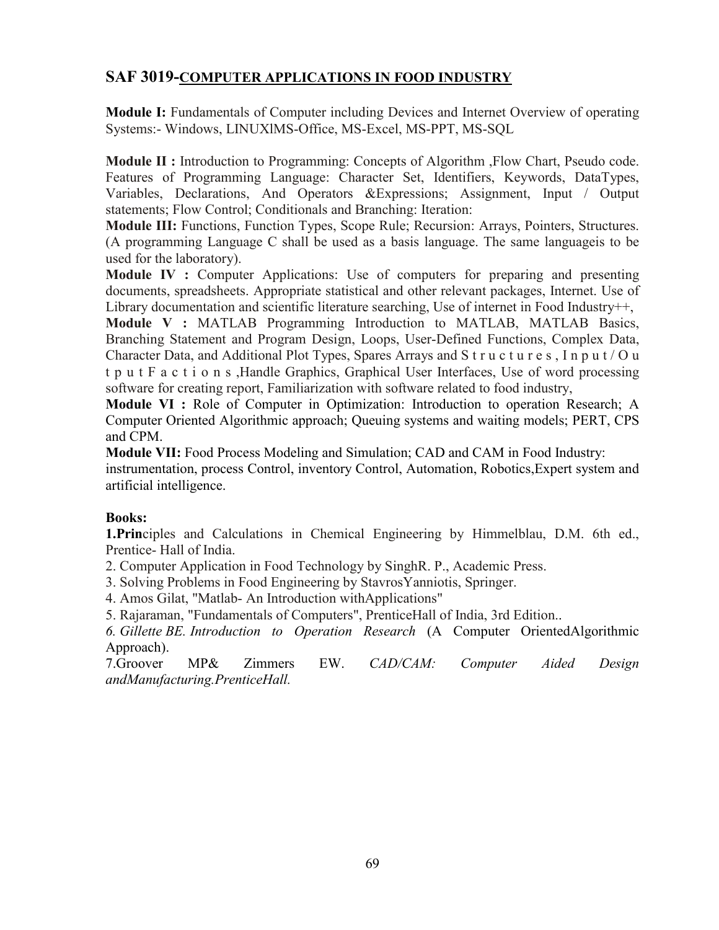## **SAF 3019-COMPUTER APPLICATIONS IN FOOD INDUSTRY**

**Module I:** Fundamentals of Computer including Devices and Internet Overview of operating Systems:- Windows, LINUXlMS-Office, MS-Excel, MS-PPT, MS-SQL

**Module II :** Introduction to Programming: Concepts of Algorithm ,Flow Chart, Pseudo code. Features of Programming Language: Character Set, Identifiers, Keywords, DataTypes, Variables, Declarations, And Operators &Expressions; Assignment, Input / Output statements; Flow Control; Conditionals and Branching: Iteration:

**Module III:** Functions, Function Types, Scope Rule; Recursion: Arrays, Pointers, Structures. (A programming Language C shall be used as a basis language. The same languageis to be used for the laboratory).

**Module IV :** Computer Applications: Use of computers for preparing and presenting documents, spreadsheets. Appropriate statistical and other relevant packages, Internet. Use of Library documentation and scientific literature searching, Use of internet in Food Industry++,

**Module V :** MATLAB Programming Introduction to MATLAB, MATLAB Basics, Branching Statement and Program Design, Loops, User-Defined Functions, Complex Data, Character Data, and Additional Plot Types, Spares Arrays and S t r u c t u r e s, I n p u t / O u t p u t F a c t i o n s ,Handle Graphics, Graphical User Interfaces, Use of word processing software for creating report, Familiarization with software related to food industry,

**Module VI :** Role of Computer in Optimization: Introduction to operation Research; A Computer Oriented Algorithmic approach; Queuing systems and waiting models; PERT, CPS and CPM.

**Module VII:** Food Process Modeling and Simulation; CAD and CAM in Food Industry: instrumentation, process Control, inventory Control, Automation, Robotics,Expert system and artificial intelligence.

### **Books:**

**1.Prin**ciples and Calculations in Chemical Engineering by Himmelblau, D.M. 6th ed., Prentice- Hall of India.

2. Computer Application in Food Technology by SinghR. P., Academic Press.

3. Solving Problems in Food Engineering by StavrosYanniotis, Springer.

4. Amos Gilat, "Matlab- An Introduction withApplications"

5. Rajaraman, "Fundamentals of Computers", PrenticeHall of India, 3rd Edition..

*6. Gillette BE. Introduction to Operation Research* (A Computer OrientedAlgorithmic Approach).

7.Groover MP& Zimmers EW. *CAD/CAM: Computer Aided Design andManufacturing.PrenticeHall.*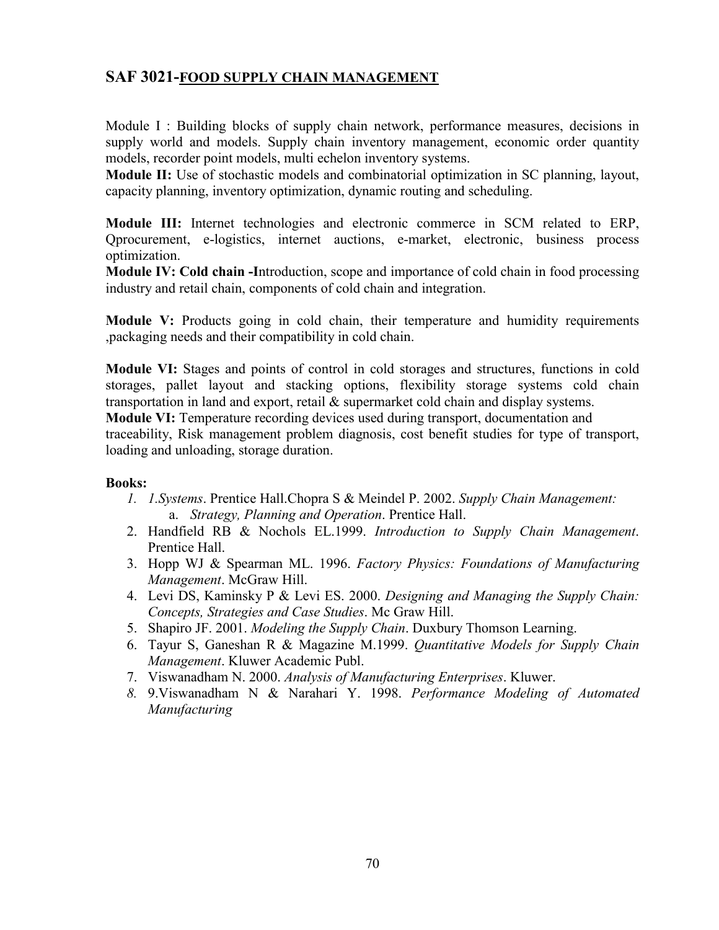### **SAF 3021-FOOD SUPPLY CHAIN MANAGEMENT**

Module I : Building blocks of supply chain network, performance measures, decisions in supply world and models. Supply chain inventory management, economic order quantity models, recorder point models, multi echelon inventory systems.

**Module II:** Use of stochastic models and combinatorial optimization in SC planning, layout, capacity planning, inventory optimization, dynamic routing and scheduling.

**Module III:** Internet technologies and electronic commerce in SCM related to ERP, Qprocurement, e-logistics, internet auctions, e-market, electronic, business process optimization.

**Module IV: Cold chain -I**ntroduction, scope and importance of cold chain in food processing industry and retail chain, components of cold chain and integration.

**Module V:** Products going in cold chain, their temperature and humidity requirements ,packaging needs and their compatibility in cold chain.

**Module VI:** Stages and points of control in cold storages and structures, functions in cold storages, pallet layout and stacking options, flexibility storage systems cold chain transportation in land and export, retail & supermarket cold chain and display systems. **Module VI:** Temperature recording devices used during transport, documentation and traceability, Risk management problem diagnosis, cost benefit studies for type of transport, loading and unloading, storage duration.

- *1. 1.Systems*. Prentice Hall.Chopra S & Meindel P. 2002. *Supply Chain Management:*  a. *Strategy, Planning and Operation*. Prentice Hall.
- 2. Handfield RB & Nochols EL.1999. *Introduction to Supply Chain Management*. Prentice Hall.
- 3. Hopp WJ & Spearman ML. 1996. *Factory Physics: Foundations of Manufacturing Management*. McGraw Hill.
- 4. Levi DS, Kaminsky P & Levi ES. 2000. *Designing and Managing the Supply Chain: Concepts, Strategies and Case Studies*. Mc Graw Hill.
- 5. Shapiro JF. 2001. *Modeling the Supply Chain*. Duxbury Thomson Learning.
- 6. Tayur S, Ganeshan R & Magazine M.1999. *Quantitative Models for Supply Chain Management*. Kluwer Academic Publ.
- 7. Viswanadham N. 2000. *Analysis of Manufacturing Enterprises*. Kluwer.
- *8.* 9.Viswanadham N & Narahari Y. 1998. *Performance Modeling of Automated Manufacturing*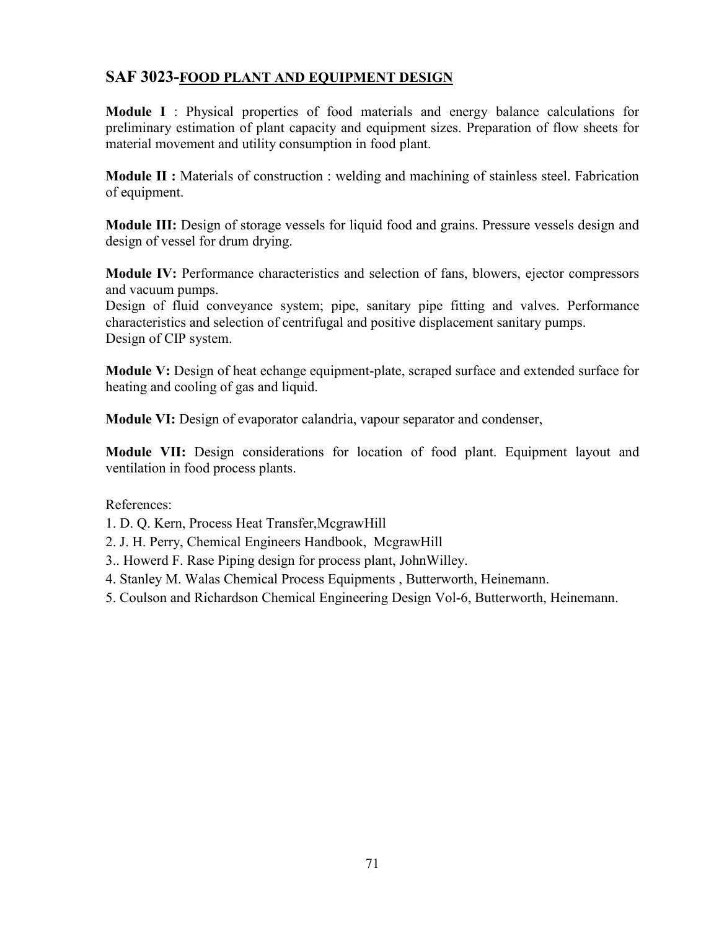## **SAF 3023-FOOD PLANT AND EQUIPMENT DESIGN**

**Module I** : Physical properties of food materials and energy balance calculations for preliminary estimation of plant capacity and equipment sizes. Preparation of flow sheets for material movement and utility consumption in food plant.

**Module II :** Materials of construction : welding and machining of stainless steel. Fabrication of equipment.

**Module III:** Design of storage vessels for liquid food and grains. Pressure vessels design and design of vessel for drum drying.

**Module IV:** Performance characteristics and selection of fans, blowers, ejector compressors and vacuum pumps.

Design of fluid conveyance system; pipe, sanitary pipe fitting and valves. Performance characteristics and selection of centrifugal and positive displacement sanitary pumps. Design of CIP system.

**Module V:** Design of heat echange equipment-plate, scraped surface and extended surface for heating and cooling of gas and liquid.

**Module VI:** Design of evaporator calandria, vapour separator and condenser,

**Module VII:** Design considerations for location of food plant. Equipment layout and ventilation in food process plants.

References:

1. D. Q. Kern, Process Heat Transfer,McgrawHill

2. J. H. Perry, Chemical Engineers Handbook, McgrawHill

- 3.. Howerd F. Rase Piping design for process plant, JohnWilley.
- 4. Stanley M. Walas Chemical Process Equipments , Butterworth, Heinemann.

5. Coulson and Richardson Chemical Engineering Design Vol-6, Butterworth, Heinemann.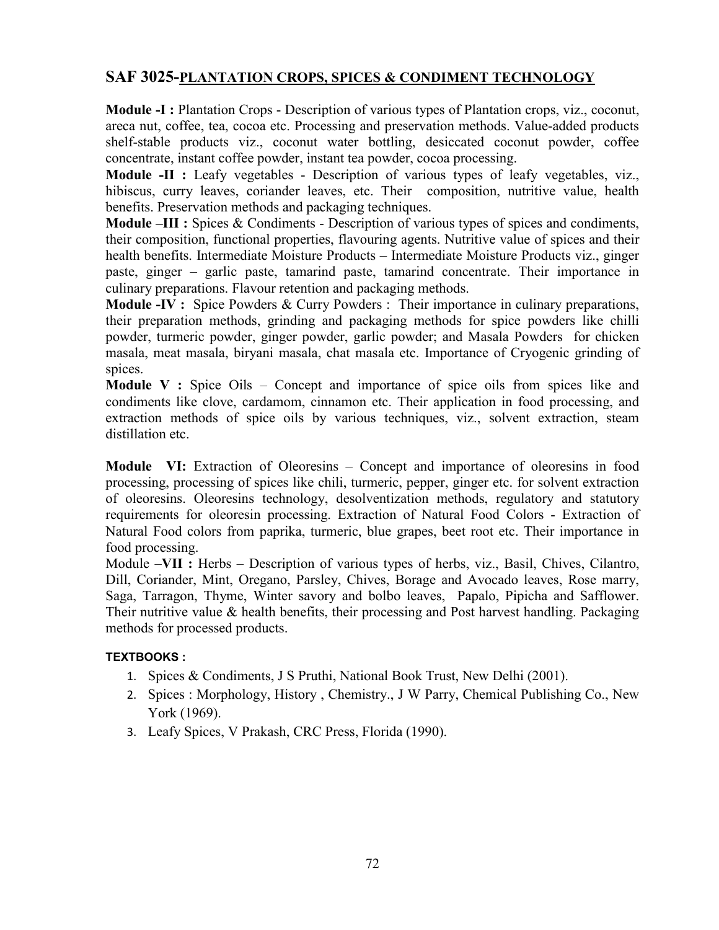# **SAF 3025-PLANTATION CROPS, SPICES & CONDIMENT TECHNOLOGY**

**Module -I :** Plantation Crops - Description of various types of Plantation crops, viz., coconut, areca nut, coffee, tea, cocoa etc. Processing and preservation methods. Value-added products shelf-stable products viz., coconut water bottling, desiccated coconut powder, coffee concentrate, instant coffee powder, instant tea powder, cocoa processing.

**Module -II :** Leafy vegetables - Description of various types of leafy vegetables, viz., hibiscus, curry leaves, coriander leaves, etc. Their composition, nutritive value, health benefits. Preservation methods and packaging techniques.

**Module –III :** Spices & Condiments - Description of various types of spices and condiments, their composition, functional properties, flavouring agents. Nutritive value of spices and their health benefits. Intermediate Moisture Products – Intermediate Moisture Products viz., ginger paste, ginger – garlic paste, tamarind paste, tamarind concentrate. Their importance in culinary preparations. Flavour retention and packaging methods.

**Module -IV :** Spice Powders & Curry Powders : Their importance in culinary preparations, their preparation methods, grinding and packaging methods for spice powders like chilli powder, turmeric powder, ginger powder, garlic powder; and Masala Powders for chicken masala, meat masala, biryani masala, chat masala etc. Importance of Cryogenic grinding of spices.

**Module V :** Spice Oils – Concept and importance of spice oils from spices like and condiments like clove, cardamom, cinnamon etc. Their application in food processing, and extraction methods of spice oils by various techniques, viz., solvent extraction, steam distillation etc.

**Module VI:** Extraction of Oleoresins – Concept and importance of oleoresins in food processing, processing of spices like chili, turmeric, pepper, ginger etc. for solvent extraction of oleoresins. Oleoresins technology, desolventization methods, regulatory and statutory requirements for oleoresin processing. Extraction of Natural Food Colors - Extraction of Natural Food colors from paprika, turmeric, blue grapes, beet root etc. Their importance in food processing.

Module –**VII :** Herbs – Description of various types of herbs, viz., Basil, Chives, Cilantro, Dill, Coriander, Mint, Oregano, Parsley, Chives, Borage and Avocado leaves, Rose marry, Saga, Tarragon, Thyme, Winter savory and bolbo leaves, Papalo, Pipicha and Safflower. Their nutritive value & health benefits, their processing and Post harvest handling. Packaging methods for processed products.

### **TEXTBOOKS :**

- 1. Spices & Condiments, J S Pruthi, National Book Trust, New Delhi (2001).
- 2. Spices : Morphology, History , Chemistry., J W Parry, Chemical Publishing Co., New York (1969).
- 3. Leafy Spices, V Prakash, CRC Press, Florida (1990).